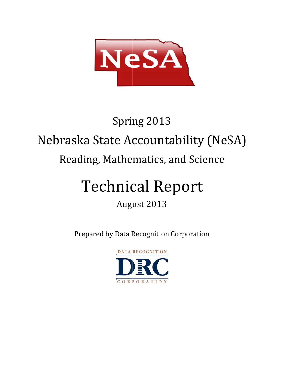

# Nebraska State Accountability (NeSA) Reading, Mathematics, and Science Spring 2013

# Technical Report

# August 2013

Prepared by Data Recognition Corporation

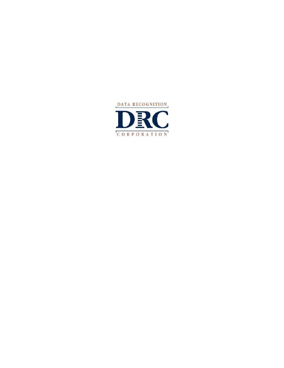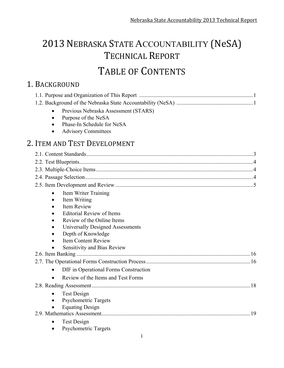# 2013 NEBRASKA STATE ACCOUNTABILITY (NeSA) TECHNICAL REPORT TABLE OF CONTENTS

# 1. BACKGROUND

| Previous Nebraska Assessment (STARS)<br>$\bullet$<br>Purpose of the NeSA<br>$\bullet$<br>Phase-In Schedule for NeSA<br><b>Advisory Committees</b> |    |
|---------------------------------------------------------------------------------------------------------------------------------------------------|----|
| 2. ITEM AND TEST DEVELOPMENT                                                                                                                      |    |
|                                                                                                                                                   |    |
|                                                                                                                                                   |    |
|                                                                                                                                                   |    |
|                                                                                                                                                   |    |
|                                                                                                                                                   |    |
| <b>Item Writer Training</b><br>$\bullet$                                                                                                          |    |
| Item Writing<br>٠                                                                                                                                 |    |
| Item Review                                                                                                                                       |    |
| <b>Editorial Review of Items</b>                                                                                                                  |    |
| Review of the Online Items                                                                                                                        |    |
| Universally Designed Assessments                                                                                                                  |    |
| Depth of Knowledge<br>$\bullet$                                                                                                                   |    |
| <b>Item Content Review</b>                                                                                                                        |    |
| <b>Sensitivity and Bias Review</b>                                                                                                                |    |
|                                                                                                                                                   |    |
|                                                                                                                                                   |    |
| DIF in Operational Forms Construction<br>$\bullet$                                                                                                |    |
| Review of the Items and Test Forms                                                                                                                |    |
|                                                                                                                                                   |    |
| <b>Test Design</b>                                                                                                                                |    |
| <b>Psychometric Targets</b>                                                                                                                       |    |
| <b>Equating Design</b>                                                                                                                            |    |
|                                                                                                                                                   | 19 |
| <b>Test Design</b>                                                                                                                                |    |
| <b>Psychometric Targets</b>                                                                                                                       |    |
| $\mathbf{i}$                                                                                                                                      |    |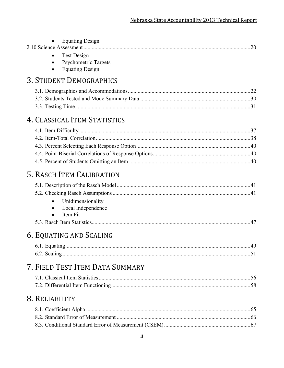| ii                                                                   |     |
|----------------------------------------------------------------------|-----|
|                                                                      |     |
| 8. RELIABILITY                                                       |     |
| 7. FIELD TEST ITEM DATA SUMMARY                                      |     |
| 6. EQUATING AND SCALING                                              |     |
| Unidimensionality<br>Local Independence<br>Item Fit                  |     |
| 5. RASCH ITEM CALIBRATION                                            |     |
|                                                                      |     |
| 4. CLASSICAL ITEM STATISTICS                                         |     |
|                                                                      |     |
| <b>Equating Design</b><br><b>3. STUDENT DEMOGRAPHICS</b>             |     |
| <b>Equating Design</b><br><b>Test Design</b><br>Psychometric Targets | .20 |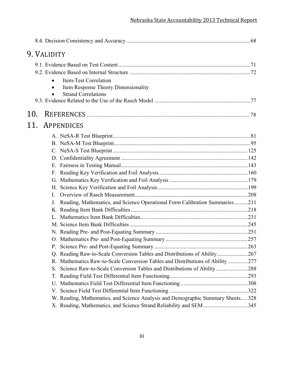|     | 9. VALIDITY |                                                                                 |  |
|-----|-------------|---------------------------------------------------------------------------------|--|
|     |             |                                                                                 |  |
|     |             |                                                                                 |  |
|     |             | Item-Test Correlation                                                           |  |
|     |             | Item Response Theory Dimensionality                                             |  |
|     |             | <b>Strand Correlations</b>                                                      |  |
|     |             |                                                                                 |  |
| 10. |             |                                                                                 |  |
| 11. |             | APPENDICES                                                                      |  |
|     |             |                                                                                 |  |
|     |             |                                                                                 |  |
|     |             |                                                                                 |  |
|     |             |                                                                                 |  |
|     |             |                                                                                 |  |
|     |             |                                                                                 |  |
|     |             |                                                                                 |  |
|     |             |                                                                                 |  |
|     | L           |                                                                                 |  |
|     |             | Reading, Mathematics, and Science Operational Form Calibration Summaries211     |  |
|     |             |                                                                                 |  |
|     |             |                                                                                 |  |
|     |             |                                                                                 |  |
|     |             |                                                                                 |  |
|     |             |                                                                                 |  |
|     |             |                                                                                 |  |
|     |             | Q. Reading Raw-to-Scale Conversion Tables and Distributions of Ability267       |  |
|     | R.          | Mathematics Raw-to-Scale Conversion Tables and Distributions of Ability 277     |  |
|     | S.          | Science Raw-to-Scale Conversion Tables and Distributions of Ability288          |  |
|     | Т.          |                                                                                 |  |
|     | U.          |                                                                                 |  |
|     |             |                                                                                 |  |
|     |             | W. Reading, Mathematics, and Science Analysis and Demographic Summary Sheets328 |  |
|     |             | X. Reading, Mathematics, and Science Strand Reliability and SEM345              |  |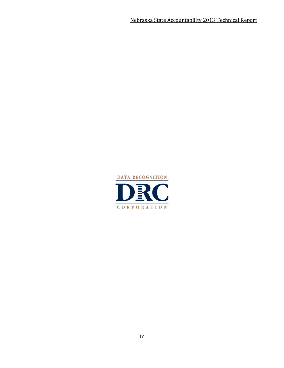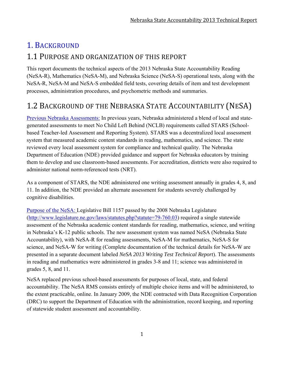# 1. BACKGROUND

## 1.1 PURPOSE AND ORGANIZATION OF THIS REPORT

This report documents the technical aspects of the 2013 Nebraska State Accountability Reading (NeSA-R), Mathematics (NeSA-M), and Nebraska Science (NeSA-S) operational tests, along with the NeSA-R, NeSA-M and NeSA-S embedded field tests, covering details of item and test development processes, administration procedures, and psychometric methods and summaries.

# 1.2 BACKGROUND OF THE NEBRASKA STATE ACCOUNTABILITY (NESA)

Previous Nebraska Assessments: In previous years, Nebraska administered a blend of local and stategenerated assessments to meet No Child Left Behind (NCLB) requirements called STARS (Schoolbased Teacher-led Assessment and Reporting System). STARS was a decentralized local assessment system that measured academic content standards in reading, mathematics, and science. The state reviewed every local assessment system for compliance and technical quality. The Nebraska Department of Education (NDE) provided guidance and support for Nebraska educators by training them to develop and use classroom-based assessments. For accreditation, districts were also required to administer national norm-referenced tests (NRT).

As a component of STARS, the NDE administered one writing assessment annually in grades 4, 8, and 11. In addition, the NDE provided an alternate assessment for students severely challenged by cognitive disabilities.

Purpose of the NeSA: Legislative Bill 1157 passed by the 2008 Nebraska Legislature (http://www.legislature.ne.gov/laws/statutes.php?statute=79-760.03) required a single statewide assessment of the Nebraska academic content standards for reading, mathematics, science, and writing in Nebraska's K-12 public schools. The new assessment system was named NeSA (Nebraska State Accountability), with NeSA-R for reading assessments, NeSA-M for mathematics, NeSA-S for science, and NeSA-W for writing (Complete documentation of the technical details for NeSA-W are presented in a separate document labeled *NeSA 2013 Writing Test Technical Report*). The assessments in reading and mathematics were administered in grades 3-8 and 11; science was administered in grades 5, 8, and 11.

NeSA replaced previous school-based assessments for purposes of local, state, and federal accountability. The NeSA RMS consists entirely of multiple choice items and will be administered, to the extent practicable, online. In January 2009, the NDE contracted with Data Recognition Corporation (DRC) to support the Department of Education with the administration, record keeping, and reporting of statewide student assessment and accountability.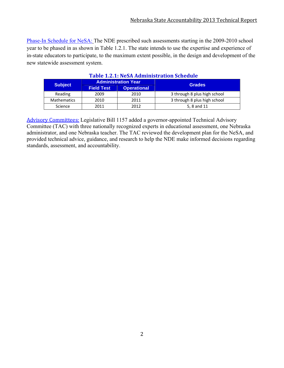Phase-In Schedule for NeSA: The NDE prescribed such assessments starting in the 2009-2010 school year to be phased in as shown in Table 1.2.1. The state intends to use the expertise and experience of in-state educators to participate, to the maximum extent possible, in the design and development of the new statewide assessment system.

| Table 1.2.1. NeSA Administration Schedule |                   |                            |                              |  |  |
|-------------------------------------------|-------------------|----------------------------|------------------------------|--|--|
|                                           |                   | <b>Administration Year</b> | <b>Grades</b>                |  |  |
| <b>Subject</b>                            | <b>Field Test</b> | <b>Operational</b>         |                              |  |  |
| Reading                                   | 2009              | 2010                       | 3 through 8 plus high school |  |  |
| <b>Mathematics</b>                        | 2010              | 2011                       | 3 through 8 plus high school |  |  |
| Science                                   | 2011              | 2012                       | 5, 8 and 11                  |  |  |

#### **Table 1.2.1: NeSA Administration Schedule**

Advisory Committees: Legislative Bill 1157 added a governor-appointed Technical Advisory Committee (TAC) with three nationally recognized experts in educational assessment, one Nebraska administrator, and one Nebraska teacher. The TAC reviewed the development plan for the NeSA, and provided technical advice, guidance, and research to help the NDE make informed decisions regarding standards, assessment, and accountability.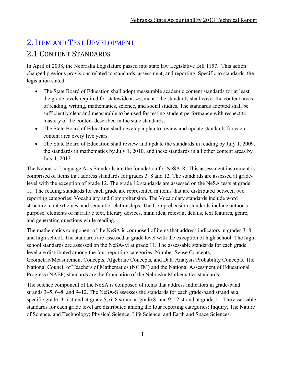# 2. ITEM AND TEST DEVELOPMENT 2.1 CONTENT STANDARDS

In April of 2008, the Nebraska Legislature passed into state law Legislative Bill 1157. This action changed previous provisions related to standards, assessment, and reporting. Specific to standards, the legislation stated:

- The State Board of Education shall adopt measurable academic content standards for at least the grade levels required for statewide assessment. The standards shall cover the content areas of reading, writing, mathematics, science, and social studies. The standards adopted shall be sufficiently clear and measurable to be used for testing student performance with respect to mastery of the content described in the state standards.
- The State Board of Education shall develop a plan to review and update standards for each content area every five years.
- The State Board of Education shall review and update the standards in reading by July 1, 2009, the standards in mathematics by July 1, 2010, and these standards in all other content areas by July 1, 2013.

The Nebraska Language Arts Standards are the foundation for NeSA-R. This assessment instrument is comprised of items that address standards for grades 3–8 and 12. The standards are assessed at gradelevel with the exception of grade 12. The grade 12 standards are assessed on the NeSA tests at grade 11. The reading standards for each grade are represented in items that are distributed between two reporting categories: Vocabulary and Comprehension. The Vocabulary standards include word structure, context clues, and semantic relationships. The Comprehension standards include author's purpose, elements of narrative text, literary devices, main idea, relevant details, text features, genre, and generating questions while reading.

The mathematics component of the NeSA is composed of items that address indicators in grades 3–8 and high school. The standards are assessed at grade level with the exception of high school. The high school standards are assessed on the NeSA-M at grade 11. The assessable standards for each grade level are distributed among the four reporting categories: Number Sense Concepts, Geometric/Measurement Concepts, Algebraic Concepts, and Data Analysis/Probability Concepts. The National Council of Teachers of Mathematics (NCTM) and the National Assessment of Educational Progress (NAEP) standards are the foundation of the Nebraska Mathematics standards.

The science component of the NeSA is composed of items that address indicators in grade-band strands 3–5, 6–8, and 9–12. The NeSA-S assesses the standards for each grade-band strand at a specific grade: 3-5 strand at grade 5, 6–8 strand at grade 8, and 9–12 strand at grade 11. The assessable standards for each grade level are distributed among the four reporting categories: Inquiry, The Nature of Science, and Technology; Physical Science; Life Science; and Earth and Space Sciences.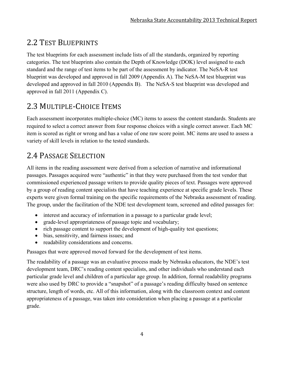# 2.2 TEST BLUEPRINTS

The test blueprints for each assessment include lists of all the standards, organized by reporting categories. The test blueprints also contain the Depth of Knowledge (DOK) level assigned to each standard and the range of test items to be part of the assessment by indicator. The NeSA-R test blueprint was developed and approved in fall 2009 (Appendix A). The NeSA-M test blueprint was developed and approved in fall 2010 (Appendix B). The NeSA-S test blueprint was developed and approved in fall 2011 (Appendix C).

# 2.3 MULTIPLE-CHOICE ITEMS

Each assessment incorporates multiple-choice (MC) items to assess the content standards. Students are required to select a correct answer from four response choices with a single correct answer. Each MC item is scored as right or wrong and has a value of one raw score point. MC items are used to assess a variety of skill levels in relation to the tested standards.

# 2.4 PASSAGE SELECTION

All items in the reading assessment were derived from a selection of narrative and informational passages. Passages acquired were "authentic" in that they were purchased from the test vendor that commissioned experienced passage writers to provide quality pieces of text. Passages were approved by a group of reading content specialists that have teaching experience at specific grade levels. These experts were given formal training on the specific requirements of the Nebraska assessment of reading. The group, under the facilitation of the NDE test development team, screened and edited passages for:

- interest and accuracy of information in a passage to a particular grade level;
- grade-level appropriateness of passage topic and vocabulary;
- rich passage content to support the development of high-quality test questions;
- bias, sensitivity, and fairness issues; and
- readability considerations and concerns.

Passages that were approved moved forward for the development of test items.

The readability of a passage was an evaluative process made by Nebraska educators, the NDE's test development team, DRC's reading content specialists, and other individuals who understand each particular grade level and children of a particular age group. In addition, formal readability programs were also used by DRC to provide a "snapshot" of a passage's reading difficulty based on sentence structure, length of words, etc. All of this information, along with the classroom context and content appropriateness of a passage, was taken into consideration when placing a passage at a particular grade.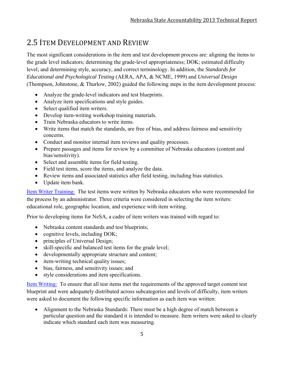## 2.5 ITEM DEVELOPMENT AND REVIEW

The most significant considerations in the item and test development process are: aligning the items to the grade level indicators; determining the grade-level appropriateness; DOK; estimated difficulty level; and determining style, accuracy, and correct terminology. In addition, the *Standards for Educational and Psychological Testing* (AERA, APA, & NCME, 1999) and *Universal Design* (Thompson, Johnstone, & Thurlow, 2002) guided the following steps in the item development process:

- Analyze the grade-level indicators and test blueprints.
- Analyze item specifications and style guides.
- Select qualified item writers.
- Develop item-writing workshop training materials.
- Train Nebraska educators to write items.
- Write items that match the standards, are free of bias, and address fairness and sensitivity concerns.
- Conduct and monitor internal item reviews and quality processes.
- Prepare passages and items for review by a committee of Nebraska educators (content and bias/sensitivity).
- Select and assemble items for field testing.
- Field test items, score the items, and analyze the data.
- Review items and associated statistics after field testing, including bias statistics.
- Update item bank.

Item Writer Training: The test items were written by Nebraska educators who were recommended for the process by an administrator. Three criteria were considered in selecting the item writers: educational role, geographic location, and experience with item writing.

Prior to developing items for NeSA, a cadre of item writers was trained with regard to:

- Nebraska content standards and test blueprints;
- cognitive levels, including DOK;
- principles of Universal Design;
- skill-specific and balanced test items for the grade level;
- developmentally appropriate structure and content;
- item-writing technical quality issues;
- bias, fairness, and sensitivity issues; and
- style considerations and item specifications.

Item Writing: To ensure that all test items met the requirements of the approved target content test blueprint and were adequately distributed across subcategories and levels of difficulty, item writers were asked to document the following specific information as each item was written:

 Alignment to the Nebraska Standards: There must be a high degree of match between a particular question and the standard it is intended to measure. Item writers were asked to clearly indicate which standard each item was measuring.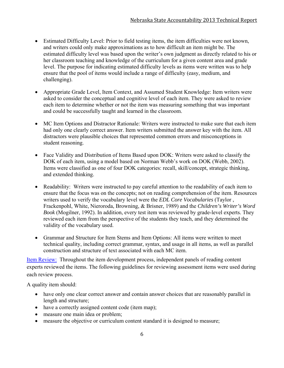- Estimated Difficulty Level: Prior to field testing items, the item difficulties were not known, and writers could only make approximations as to how difficult an item might be. The estimated difficulty level was based upon the writer's own judgment as directly related to his or her classroom teaching and knowledge of the curriculum for a given content area and grade level. The purpose for indicating estimated difficulty levels as items were written was to help ensure that the pool of items would include a range of difficulty (easy, medium, and challenging).
- Appropriate Grade Level, Item Context, and Assumed Student Knowledge: Item writers were asked to consider the conceptual and cognitive level of each item. They were asked to review each item to determine whether or not the item was measuring something that was important and could be successfully taught and learned in the classroom.
- MC Item Options and Distractor Rationale: Writers were instructed to make sure that each item had only one clearly correct answer. Item writers submitted the answer key with the item. All distractors were plausible choices that represented common errors and misconceptions in student reasoning.
- Face Validity and Distribution of Items Based upon DOK: Writers were asked to classify the DOK of each item, using a model based on Norman Webb's work on DOK (Webb, 2002). Items were classified as one of four DOK categories: recall, skill/concept, strategic thinking, and extended thinking.
- Readability: Writers were instructed to pay careful attention to the readability of each item to ensure that the focus was on the concepts; not on reading comprehension of the item. Resources writers used to verify the vocabulary level were the *EDL Core Vocabularies* (Taylor , Frackenpohl, White, Nieroroda, Browning, & Brisner, 1989) and the *Children's Writer's Word Book* (Mogilner, 1992). In addition, every test item was reviewed by grade-level experts. They reviewed each item from the perspective of the students they teach, and they determined the validity of the vocabulary used.
- Grammar and Structure for Item Stems and Item Options: All items were written to meet technical quality, including correct grammar, syntax, and usage in all items, as well as parallel construction and structure of text associated with each MC item.

Item Review: Throughout the item development process, independent panels of reading content experts reviewed the items. The following guidelines for reviewing assessment items were used during each review process.

A quality item should:

- have only one clear correct answer and contain answer choices that are reasonably parallel in length and structure;
- have a correctly assigned content code (item map);
- measure one main idea or problem;
- measure the objective or curriculum content standard it is designed to measure;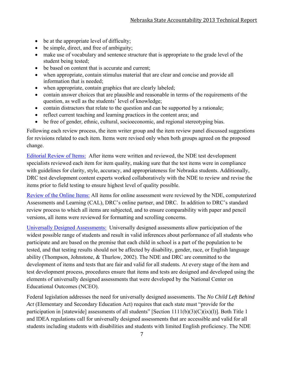- be at the appropriate level of difficulty;
- be simple, direct, and free of ambiguity;
- make use of vocabulary and sentence structure that is appropriate to the grade level of the student being tested;
- be based on content that is accurate and current;
- when appropriate, contain stimulus material that are clear and concise and provide all information that is needed;
- when appropriate, contain graphics that are clearly labeled;
- contain answer choices that are plausible and reasonable in terms of the requirements of the question, as well as the students' level of knowledge;
- contain distractors that relate to the question and can be supported by a rationale;
- reflect current teaching and learning practices in the content area; and
- be free of gender, ethnic, cultural, socioeconomic, and regional stereotyping bias.

Following each review process, the item writer group and the item review panel discussed suggestions for revisions related to each item. Items were revised only when both groups agreed on the proposed change.

Editorial Review of Items: After items were written and reviewed, the NDE test development specialists reviewed each item for item quality, making sure that the test items were in compliance with guidelines for clarity, style, accuracy, and appropriateness for Nebraska students. Additionally, DRC test development content experts worked collaboratively with the NDE to review and revise the items prior to field testing to ensure highest level of quality possible.

Review of the Online Items: All items for online assessment were reviewed by the NDE, computerized Assessments and Learning (CAL), DRC's online partner, and DRC. In addition to DRC's standard review process to which all items are subjected, and to ensure comparability with paper and pencil versions, all items were reviewed for formatting and scrolling concerns.

Universally Designed Assessments: Universally designed assessments allow participation of the widest possible range of students and result in valid inferences about performance of all students who participate and are based on the premise that each child in school is a part of the population to be tested, and that testing results should not be affected by disability, gender, race, or English language ability (Thompson, Johnstone, & Thurlow, 2002). The NDE and DRC are committed to the development of items and tests that are fair and valid for all students. At every stage of the item and test development process, procedures ensure that items and tests are designed and developed using the elements of universally designed assessments that were developed by the National Center on Educational Outcomes (NCEO).

Federal legislation addresses the need for universally designed assessments. The *No Child Left Behind Act* (Elementary and Secondary Education Act) requires that each state must "provide for the participation in [statewide] assessments of all students" [Section 1111(b)(3)(C)(ix)(l)]. Both Title 1 and IDEA regulations call for universally designed assessments that are accessible and valid for all students including students with disabilities and students with limited English proficiency. The NDE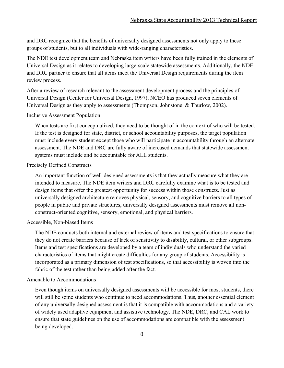and DRC recognize that the benefits of universally designed assessments not only apply to these groups of students, but to all individuals with wide-ranging characteristics.

The NDE test development team and Nebraska item writers have been fully trained in the elements of Universal Design as it relates to developing large-scale statewide assessments. Additionally, the NDE and DRC partner to ensure that all items meet the Universal Design requirements during the item review process.

After a review of research relevant to the assessment development process and the principles of Universal Design (Center for Universal Design, 1997), NCEO has produced seven elements of Universal Design as they apply to assessments (Thompson, Johnstone, & Thurlow, 2002).

#### Inclusive Assessment Population

When tests are first conceptualized, they need to be thought of in the context of who will be tested. If the test is designed for state, district, or school accountability purposes, the target population must include every student except those who will participate in accountability through an alternate assessment. The NDE and DRC are fully aware of increased demands that statewide assessment systems must include and be accountable for ALL students.

#### Precisely Defined Constructs

An important function of well-designed assessments is that they actually measure what they are intended to measure. The NDE item writers and DRC carefully examine what is to be tested and design items that offer the greatest opportunity for success within those constructs. Just as universally designed architecture removes physical, sensory, and cognitive barriers to all types of people in public and private structures, universally designed assessments must remove all nonconstruct-oriented cognitive, sensory, emotional, and physical barriers.

#### Accessible, Non-biased Items

The NDE conducts both internal and external review of items and test specifications to ensure that they do not create barriers because of lack of sensitivity to disability, cultural, or other subgroups. Items and test specifications are developed by a team of individuals who understand the varied characteristics of items that might create difficulties for any group of students. Accessibility is incorporated as a primary dimension of test specifications, so that accessibility is woven into the fabric of the test rather than being added after the fact.

#### Amenable to Accommodations

Even though items on universally designed assessments will be accessible for most students, there will still be some students who continue to need accommodations. Thus, another essential element of any universally designed assessment is that it is compatible with accommodations and a variety of widely used adaptive equipment and assistive technology. The NDE, DRC, and CAL work to ensure that state guidelines on the use of accommodations are compatible with the assessment being developed.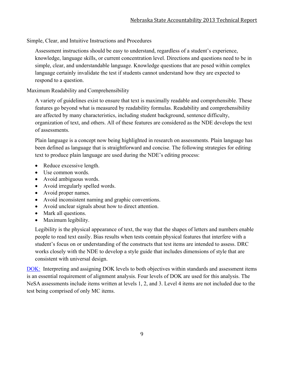Simple, Clear, and Intuitive Instructions and Procedures

Assessment instructions should be easy to understand, regardless of a student's experience, knowledge, language skills, or current concentration level. Directions and questions need to be in simple, clear, and understandable language. Knowledge questions that are posed within complex language certainly invalidate the test if students cannot understand how they are expected to respond to a question.

Maximum Readability and Comprehensibility

A variety of guidelines exist to ensure that text is maximally readable and comprehensible. These features go beyond what is measured by readability formulas. Readability and comprehensibility are affected by many characteristics, including student background, sentence difficulty, organization of text, and others. All of these features are considered as the NDE develops the text of assessments.

Plain language is a concept now being highlighted in research on assessments. Plain language has been defined as language that is straightforward and concise. The following strategies for editing text to produce plain language are used during the NDE's editing process:

- Reduce excessive length.
- Use common words.
- Avoid ambiguous words.
- Avoid irregularly spelled words.
- Avoid proper names.
- Avoid inconsistent naming and graphic conventions.
- Avoid unclear signals about how to direct attention.
- Mark all questions.
- Maximum legibility.

Legibility is the physical appearance of text, the way that the shapes of letters and numbers enable people to read text easily. Bias results when tests contain physical features that interfere with a student's focus on or understanding of the constructs that test items are intended to assess. DRC works closely with the NDE to develop a style guide that includes dimensions of style that are consistent with universal design.

DOK: Interpreting and assigning DOK levels to both objectives within standards and assessment items is an essential requirement of alignment analysis. Four levels of DOK are used for this analysis. The NeSA assessments include items written at levels 1, 2, and 3. Level 4 items are not included due to the test being comprised of only MC items.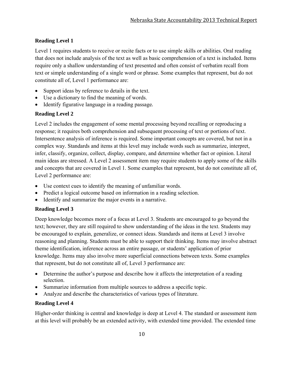#### **Reading Level 1**

Level 1 requires students to receive or recite facts or to use simple skills or abilities. Oral reading that does not include analysis of the text as well as basic comprehension of a text is included. Items require only a shallow understanding of text presented and often consist of verbatim recall from text or simple understanding of a single word or phrase. Some examples that represent, but do not constitute all of, Level 1 performance are:

- Support ideas by reference to details in the text.
- Use a dictionary to find the meaning of words.
- Identify figurative language in a reading passage.

#### **Reading Level 2**

Level 2 includes the engagement of some mental processing beyond recalling or reproducing a response; it requires both comprehension and subsequent processing of text or portions of text. Intersentence analysis of inference is required. Some important concepts are covered, but not in a complex way. Standards and items at this level may include words such as summarize, interpret, infer, classify, organize, collect, display, compare, and determine whether fact or opinion. Literal main ideas are stressed. A Level 2 assessment item may require students to apply some of the skills and concepts that are covered in Level 1. Some examples that represent, but do not constitute all of, Level 2 performance are:

- Use context cues to identify the meaning of unfamiliar words.
- Predict a logical outcome based on information in a reading selection.
- Identify and summarize the major events in a narrative.

#### **Reading Level 3**

Deep knowledge becomes more of a focus at Level 3. Students are encouraged to go beyond the text; however, they are still required to show understanding of the ideas in the text. Students may be encouraged to explain, generalize, or connect ideas. Standards and items at Level 3 involve reasoning and planning. Students must be able to support their thinking. Items may involve abstract theme identification, inference across an entire passage, or students' application of prior knowledge. Items may also involve more superficial connections between texts. Some examples that represent, but do not constitute all of, Level 3 performance are:

- Determine the author's purpose and describe how it affects the interpretation of a reading selection.
- Summarize information from multiple sources to address a specific topic.
- Analyze and describe the characteristics of various types of literature.

#### **Reading Level 4**

Higher-order thinking is central and knowledge is deep at Level 4. The standard or assessment item at this level will probably be an extended activity, with extended time provided. The extended time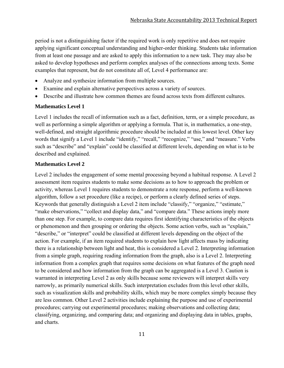period is not a distinguishing factor if the required work is only repetitive and does not require applying significant conceptual understanding and higher-order thinking. Students take information from at least one passage and are asked to apply this information to a new task. They may also be asked to develop hypotheses and perform complex analyses of the connections among texts. Some examples that represent, but do not constitute all of, Level 4 performance are:

- Analyze and synthesize information from multiple sources.
- Examine and explain alternative perspectives across a variety of sources.
- Describe and illustrate how common themes are found across texts from different cultures.

#### **Mathematics Level 1**

Level 1 includes the recall of information such as a fact, definition, term, or a simple procedure, as well as performing a simple algorithm or applying a formula. That is, in mathematics, a one-step, well-defined, and straight algorithmic procedure should be included at this lowest level. Other key words that signify a Level 1 include "identify," "recall," "recognize," "use," and "measure." Verbs such as "describe" and "explain" could be classified at different levels, depending on what is to be described and explained.

#### **Mathematics Level 2**

Level 2 includes the engagement of some mental processing beyond a habitual response. A Level 2 assessment item requires students to make some decisions as to how to approach the problem or activity, whereas Level 1 requires students to demonstrate a rote response, perform a well-known algorithm, follow a set procedure (like a recipe), or perform a clearly defined series of steps. Keywords that generally distinguish a Level 2 item include "classify," "organize," "estimate," "make observations," "collect and display data," and "compare data." These actions imply more than one step. For example, to compare data requires first identifying characteristics of the objects or phenomenon and then grouping or ordering the objects. Some action verbs, such as "explain," "describe," or "interpret" could be classified at different levels depending on the object of the action. For example, if an item required students to explain how light affects mass by indicating there is a relationship between light and heat, this is considered a Level 2. Interpreting information from a simple graph, requiring reading information from the graph, also is a Level 2. Interpreting information from a complex graph that requires some decisions on what features of the graph need to be considered and how information from the graph can be aggregated is a Level 3. Caution is warranted in interpreting Level 2 as only skills because some reviewers will interpret skills very narrowly, as primarily numerical skills. Such interpretation excludes from this level other skills, such as visualization skills and probability skills, which may be more complex simply because they are less common. Other Level 2 activities include explaining the purpose and use of experimental procedures; carrying out experimental procedures; making observations and collecting data; classifying, organizing, and comparing data; and organizing and displaying data in tables, graphs, and charts.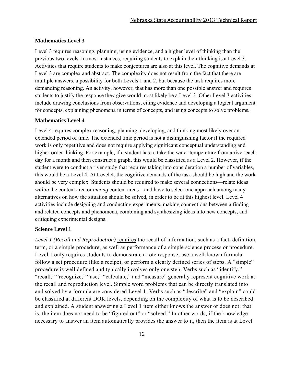#### **Mathematics Level 3**

Level 3 requires reasoning, planning, using evidence, and a higher level of thinking than the previous two levels. In most instances, requiring students to explain their thinking is a Level 3. Activities that require students to make conjectures are also at this level. The cognitive demands at Level 3 are complex and abstract. The complexity does not result from the fact that there are multiple answers, a possibility for both Levels 1 and 2, but because the task requires more demanding reasoning. An activity, however, that has more than one possible answer and requires students to justify the response they give would most likely be a Level 3. Other Level 3 activities include drawing conclusions from observations, citing evidence and developing a logical argument for concepts, explaining phenomena in terms of concepts, and using concepts to solve problems.

#### **Mathematics Level 4**

Level 4 requires complex reasoning, planning, developing, and thinking most likely over an extended period of time. The extended time period is not a distinguishing factor if the required work is only repetitive and does not require applying significant conceptual understanding and higher-order thinking. For example, if a student has to take the water temperature from a river each day for a month and then construct a graph, this would be classified as a Level 2. However, if the student were to conduct a river study that requires taking into consideration a number of variables, this would be a Level 4. At Level 4, the cognitive demands of the task should be high and the work should be very complex. Students should be required to make several connections—relate ideas *within* the content area or *among* content areas—and have to select one approach among many alternatives on how the situation should be solved, in order to be at this highest level. Level 4 activities include designing and conducting experiments, making connections between a finding and related concepts and phenomena, combining and synthesizing ideas into new concepts, and critiquing experimental designs.

#### **Science Level 1**

*Level 1 (Recall and Reproduction)* requires the recall of information, such as a fact, definition, term, or a simple procedure, as well as performance of a simple science process or procedure. Level 1 only requires students to demonstrate a rote response, use a well-known formula, follow a set procedure (like a recipe), or perform a clearly defined series of steps. A "simple" procedure is well defined and typically involves only one step. Verbs such as "identify," "recall," "recognize," "use," "calculate," and "measure" generally represent cognitive work at the recall and reproduction level. Simple word problems that can be directly translated into and solved by a formula are considered Level 1. Verbs such as "describe" and "explain" could be classified at different DOK levels, depending on the complexity of what is to be described and explained. A student answering a Level 1 item either knows the answer or does not: that is, the item does not need to be "figured out" or "solved." In other words, if the knowledge necessary to answer an item automatically provides the answer to it, then the item is at Level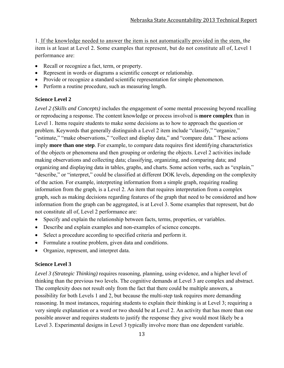1. If the knowledge needed to answer the item is not automatically provided in the stem, the item is at least at Level 2. Some examples that represent, but do not constitute all of, Level 1 performance are:

- Recall or recognize a fact, term, or property.
- Represent in words or diagrams a scientific concept or relationship.
- Provide or recognize a standard scientific representation for simple phenomenon.
- Perform a routine procedure, such as measuring length.

#### **Science Level 2**

*Level 2 (Skills and Concepts)* includes the engagement of some mental processing beyond recalling or reproducing a response. The content knowledge or process involved is **more complex** than in Level 1. Items require students to make some decisions as to how to approach the question or problem. Keywords that generally distinguish a Level 2 item include "classify," "organize," "estimate," "make observations," "collect and display data," and "compare data." These actions imply **more than one step**. For example, to compare data requires first identifying characteristics of the objects or phenomena and then grouping or ordering the objects. Level 2 activities include making observations and collecting data; classifying, organizing, and comparing data; and organizing and displaying data in tables, graphs, and charts. Some action verbs, such as "explain," "describe," or "interpret," could be classified at different DOK levels, depending on the complexity of the action. For example, interpreting information from a simple graph, requiring reading information from the graph, is a Level 2. An item that requires interpretation from a complex graph, such as making decisions regarding features of the graph that need to be considered and how information from the graph can be aggregated, is at Level 3. Some examples that represent, but do not constitute all of, Level 2 performance are:

- Specify and explain the relationship between facts, terms, properties, or variables.
- Describe and explain examples and non-examples of science concepts.
- Select a procedure according to specified criteria and perform it.
- Formulate a routine problem, given data and conditions.
- Organize, represent, and interpret data.

#### **Science Level 3**

*Level 3 (Strategic Thinking)* requires reasoning, planning, using evidence, and a higher level of thinking than the previous two levels. The cognitive demands at Level 3 are complex and abstract. The complexity does not result only from the fact that there could be multiple answers, a possibility for both Levels 1 and 2, but because the multi-step task requires more demanding reasoning. In most instances, requiring students to explain their thinking is at Level 3; requiring a very simple explanation or a word or two should be at Level 2. An activity that has more than one possible answer and requires students to justify the response they give would most likely be a Level 3. Experimental designs in Level 3 typically involve more than one dependent variable.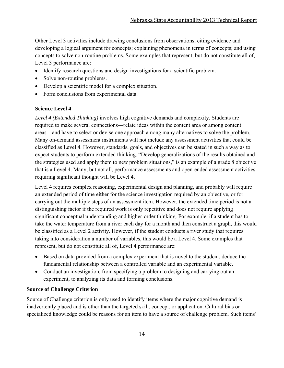Other Level 3 activities include drawing conclusions from observations; citing evidence and developing a logical argument for concepts; explaining phenomena in terms of concepts; and using concepts to solve non-routine problems. Some examples that represent, but do not constitute all of, Level 3 performance are:

- Identify research questions and design investigations for a scientific problem.
- Solve non-routine problems.
- Develop a scientific model for a complex situation.
- Form conclusions from experimental data.

#### **Science Level 4**

*Level 4 (Extended Thinking)* involves high cognitive demands and complexity. Students are required to make several connections—relate ideas within the content area or among content areas—and have to select or devise one approach among many alternatives to solve the problem. Many on-demand assessment instruments will not include any assessment activities that could be classified as Level 4. However, standards, goals, and objectives can be stated in such a way as to expect students to perform extended thinking. "Develop generalizations of the results obtained and the strategies used and apply them to new problem situations," is an example of a grade 8 objective that is a Level 4. Many, but not all, performance assessments and open-ended assessment activities requiring significant thought will be Level 4.

Level 4 requires complex reasoning, experimental design and planning, and probably will require an extended period of time either for the science investigation required by an objective, or for carrying out the multiple steps of an assessment item. However, the extended time period is not a distinguishing factor if the required work is only repetitive and does not require applying significant conceptual understanding and higher-order thinking. For example, if a student has to take the water temperature from a river each day for a month and then construct a graph, this would be classified as a Level 2 activity. However, if the student conducts a river study that requires taking into consideration a number of variables, this would be a Level 4. Some examples that represent, but do not constitute all of, Level 4 performance are:

- Based on data provided from a complex experiment that is novel to the student, deduce the fundamental relationship between a controlled variable and an experimental variable.
- Conduct an investigation, from specifying a problem to designing and carrying out an experiment, to analyzing its data and forming conclusions.

#### **Source of Challenge Criterion**

Source of Challenge criterion is only used to identify items where the major cognitive demand is inadvertently placed and is other than the targeted skill, concept, or application. Cultural bias or specialized knowledge could be reasons for an item to have a source of challenge problem. Such items'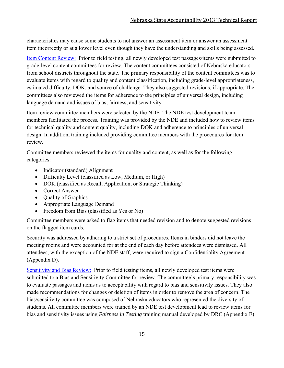characteristics may cause some students to not answer an assessment item or answer an assessment item incorrectly or at a lower level even though they have the understanding and skills being assessed.

Item Content Review: Prior to field testing, all newly developed test passages/items were submitted to grade-level content committees for review. The content committees consisted of Nebraska educators from school districts throughout the state. The primary responsibility of the content committees was to evaluate items with regard to quality and content classification, including grade-level appropriateness, estimated difficulty, DOK, and source of challenge. They also suggested revisions, if appropriate. The committees also reviewed the items for adherence to the principles of universal design, including language demand and issues of bias, fairness, and sensitivity.

Item review committee members were selected by the NDE. The NDE test development team members facilitated the process. Training was provided by the NDE and included how to review items for technical quality and content quality, including DOK and adherence to principles of universal design. In addition, training included providing committee members with the procedures for item review.

Committee members reviewed the items for quality and content, as well as for the following categories:

- Indicator (standard) Alignment
- Difficulty Level (classified as Low, Medium, or High)
- DOK (classified as Recall, Application, or Strategic Thinking)
- Correct Answer
- Quality of Graphics
- Appropriate Language Demand
- Freedom from Bias (classified as Yes or No)

Committee members were asked to flag items that needed revision and to denote suggested revisions on the flagged item cards.

Security was addressed by adhering to a strict set of procedures. Items in binders did not leave the meeting rooms and were accounted for at the end of each day before attendees were dismissed. All attendees, with the exception of the NDE staff, were required to sign a Confidentiality Agreement (Appendix D).

Sensitivity and Bias Review: Prior to field testing items, all newly developed test items were submitted to a Bias and Sensitivity Committee for review. The committee's primary responsibility was to evaluate passages and items as to acceptability with regard to bias and sensitivity issues. They also made recommendations for changes or deletion of items in order to remove the area of concern. The bias/sensitivity committee was composed of Nebraska educators who represented the diversity of students. All committee members were trained by an NDE test development lead to review items for bias and sensitivity issues using *Fairness in Testing* training manual developed by DRC (Appendix E).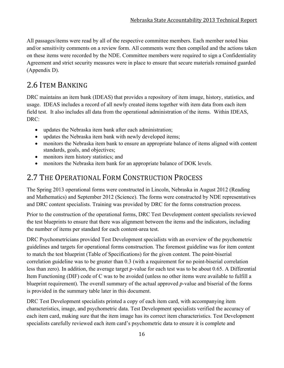All passages/items were read by all of the respective committee members. Each member noted bias and/or sensitivity comments on a review form. All comments were then compiled and the actions taken on these items were recorded by the NDE. Committee members were required to sign a Confidentiality Agreement and strict security measures were in place to ensure that secure materials remained guarded (Appendix D).

# 2.6 ITEM BANKING

DRC maintains an item bank (IDEAS) that provides a repository of item image, history, statistics, and usage. IDEAS includes a record of all newly created items together with item data from each item field test. It also includes all data from the operational administration of the items. Within IDEAS, DRC:

- updates the Nebraska item bank after each administration;
- updates the Nebraska item bank with newly developed items;
- monitors the Nebraska item bank to ensure an appropriate balance of items aligned with content standards, goals, and objectives;
- monitors item history statistics; and
- monitors the Nebraska item bank for an appropriate balance of DOK levels.

# 2.7 THE OPERATIONAL FORM CONSTRUCTION PROCESS

The Spring 2013 operational forms were constructed in Lincoln, Nebraska in August 2012 (Reading and Mathematics) and September 2012 (Science). The forms were constructed by NDE representatives and DRC content specialists. Training was provided by DRC for the forms construction process.

Prior to the construction of the operational forms, DRC Test Development content specialists reviewed the test blueprints to ensure that there was alignment between the items and the indicators, including the number of items per standard for each content-area test.

DRC Psychometricians provided Test Development specialists with an overview of the psychometric guidelines and targets for operational forms construction. The foremost guideline was for item content to match the test blueprint (Table of Specifications) for the given content. The point-biserial correlation guideline was to be greater than 0.3 (with a requirement for no point-biserial correlation less than zero). In addition, the average target *p*-value for each test was to be about 0.65. A Differential Item Functioning (DIF) code of C was to be avoided (unless no other items were available to fulfill a blueprint requirement). The overall summary of the actual approved *p*-value and biserial of the forms is provided in the summary table later in this document.

DRC Test Development specialists printed a copy of each item card, with accompanying item characteristics, image, and psychometric data. Test Development specialists verified the accuracy of each item card, making sure that the item image has its correct item characteristics. Test Development specialists carefully reviewed each item card's psychometric data to ensure it is complete and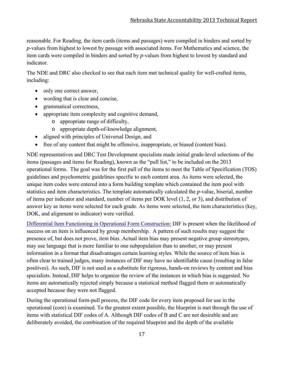reasonable. For Reading, the item cards (items and passages) were compiled in binders and sorted by *p*-values from highest to lowest by passage with associated items. For Mathematics and science, the item cards were compiled in binders and sorted by *p*-values from highest to lowest by standard and indicator.

The NDE and DRC also checked to see that each item met technical quality for well-crafted items, including:

- only one correct answer,
- wording that is clear and concise,
- grammatical correctness,
- appropriate item complexity and cognitive demand,
	- o appropriate range of difficulty,
	- o appropriate depth-of-knowledge alignment,
- aligned with principles of Universal Design, and
- free of any content that might be offensive, inappropriate, or biased (content bias).

NDE representatives and DRC Test Development specialists made initial grade-level selections of the items (passages and items for Reading), known as the "pull list," to be included on the 2013 operational forms. The goal was for the first pull of the items to meet the Table of Specification (TOS) guidelines and psychometric guidelines specific to each content area. As items were selected, the unique item codes were entered into a form building template which contained the item pool with statistics and item characteristics. The template automatically calculated the *p*-value, biserial, number of items per indicator and standard, number of items per DOK level (1, 2, or 3), and distribution of answer key as items were selected for each grade. As items were selected, the item characteristics (key, DOK, and alignment to indicator) were verified.

Differential Item Functioning in Operational Form Construction: DIF is present when the likelihood of success on an item is influenced by group membership. A pattern of such results may suggest the presence of, but does not prove, *item bias*. Actual item bias may present negative group stereotypes, may use language that is more familiar to one subpopulation than to another, or may present information in a format that disadvantages certain learning styles. While the source of item bias is often clear to trained judges, many instances of DIF may have no identifiable cause (resulting in false positives). As such, DIF is not used as a substitute for rigorous, hands-on reviews by content and bias specialists. Instead, DIF helps to organize the review of the instances in which bias is suggested. No items are automatically rejected simply because a statistical method flagged them or automatically accepted because they were not flagged.

During the operational form-pull process, the DIF code for every item proposed for use in the operational (core) is examined. To the greatest extent possible, the blueprint is met through the use of items with statistical DIF codes of A. Although DIF codes of B and C are not desirable and are deliberately avoided, the combination of the required blueprint and the depth of the available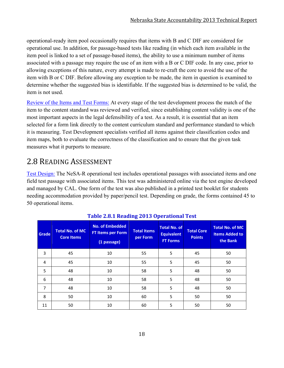operational-ready item pool occasionally requires that items with B and C DIF are considered for operational use. In addition, for passage-based tests like reading (in which each item available in the item pool is linked to a set of passage-based items), the ability to use a minimum number of items associated with a passage may require the use of an item with a B or C DIF code. In any case, prior to allowing exceptions of this nature, every attempt is made to re-craft the core to avoid the use of the item with B or C DIF. Before allowing any exception to be made, the item in question is examined to determine whether the suggested bias is identifiable. If the suggested bias is determined to be valid, the item is not used.

Review of the Items and Test Forms: At every stage of the test development process the match of the item to the content standard was reviewed and verified, since establishing content validity is one of the most important aspects in the legal defensibility of a test. As a result, it is essential that an item selected for a form link directly to the content curriculum standard and performance standard to which it is measuring. Test Development specialists verified all items against their classification codes and item maps, both to evaluate the correctness of the classification and to ensure that the given task measures what it purports to measure.

# 2.8 READING ASSESSMENT

Test Design: The NeSA-R operational test includes operational passages with associated items and one field test passage with associated items. This test was administered online via the test engine developed and managed by CAL. One form of the test was also published in a printed test booklet for students needing accommodation provided by paper/pencil test. Depending on grade, the forms contained 45 to 50 operational items.

| Grade          | <b>Total No. of MC</b><br><b>Core Items</b> | <b>No. of Embedded</b><br><b>FT Items per Form</b><br>(1 passage) | <b>Total Items</b><br>per Form | <b>Total No. of</b><br><b>Equivalent</b><br><b>FT Forms</b> | <b>Total Core</b><br><b>Points</b> | <b>Total No. of MC</b><br><b>Items Added to</b><br>the Bank |
|----------------|---------------------------------------------|-------------------------------------------------------------------|--------------------------------|-------------------------------------------------------------|------------------------------------|-------------------------------------------------------------|
| 3              | 45                                          | 10                                                                | 55                             | 5                                                           | 45                                 | 50                                                          |
| 4              | 45                                          | 10                                                                | 55                             | 5                                                           | 45                                 | 50                                                          |
| 5              | 48                                          | 10                                                                | 58                             | 5                                                           | 48                                 | 50                                                          |
| 6              | 48                                          | 10                                                                | 58                             | 5                                                           | 48                                 | 50                                                          |
| $\overline{7}$ | 48                                          | 10                                                                | 58                             | 5                                                           | 48                                 | 50                                                          |
| 8              | 50                                          | 10                                                                | 60                             | 5                                                           | 50                                 | 50                                                          |
| 11             | 50                                          | 10                                                                | 60                             | 5                                                           | 50                                 | 50                                                          |

#### **Table 2.8.1 Reading 2013 Operational Test**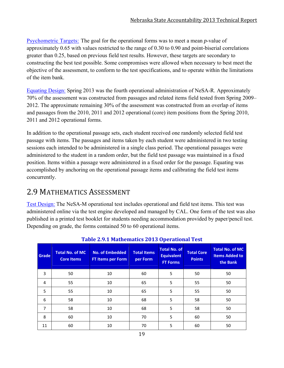Psychometric Targets: The goal for the operational forms was to meet a mean *p*-value of approximately 0.65 with values restricted to the range of 0.30 to 0.90 and point-biserial correlations greater than 0.25, based on previous field test results. However, these targets are secondary to constructing the best test possible. Some compromises were allowed when necessary to best meet the objective of the assessment, to conform to the test specifications, and to operate within the limitations of the item bank.

Equating Design: Spring 2013 was the fourth operational administration of NeSA-R. Approximately 70% of the assessment was constructed from passages and related items field tested from Spring 2009– 2012. The approximate remaining 30% of the assessment was constructed from an overlap of items and passages from the 2010, 2011 and 2012 operational (core) item positions from the Spring 2010, 2011 and 2012 operational forms.

In addition to the operational passage sets, each student received one randomly selected field test passage with items. The passages and items taken by each student were administered in two testing sessions each intended to be administered in a single class period. The operational passages were administered to the student in a random order, but the field test passage was maintained in a fixed position. Items within a passage were administered in a fixed order for the passage. Equating was accomplished by anchoring on the operational passage items and calibrating the field test items concurrently.

# 2.9 MATHEMATICS ASSESSMENT

Test Design: The NeSA-M operational test includes operational and field test items. This test was administered online via the test engine developed and managed by CAL. One form of the test was also published in a printed test booklet for students needing accommodation provided by paper/pencil test. Depending on grade, the forms contained 50 to 60 operational items.

| Grade | <b>Total No. of MC</b><br><b>Core Items</b> | <b>No. of Embedded</b><br>FT Items per Form | <b>Total Items</b><br>per Form | <b>Total No. of</b><br><b>Equivalent</b><br><b>FT Forms</b> | <b>Total Core</b><br><b>Points</b> | <b>Total No. of MC</b><br><b>Items Added to</b><br>the Bank |  |
|-------|---------------------------------------------|---------------------------------------------|--------------------------------|-------------------------------------------------------------|------------------------------------|-------------------------------------------------------------|--|
| 3     | 50                                          | 10                                          | 60                             | 5                                                           | 50                                 | 50                                                          |  |
| 4     | 55                                          | 10                                          | 65                             | 5                                                           | 55                                 | 50                                                          |  |
| 5     | 55                                          | 10                                          | 65                             | 5                                                           | 55                                 | 50                                                          |  |
| 6     | 58                                          | 10                                          | 68                             | 5                                                           | 58                                 | 50                                                          |  |
| 7     | 58                                          | 10                                          | 68                             | 5                                                           | 58                                 | 50                                                          |  |
| 8     | 60                                          | 10                                          | 70                             | 5                                                           | 60                                 | 50                                                          |  |
| 11    | 60                                          | 10                                          | 70                             | 5                                                           | 60                                 | 50                                                          |  |

**Table 2.9.1 Mathematics 2013 Operational Test**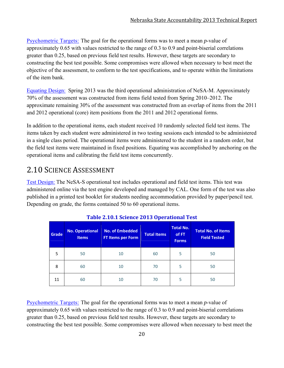Psychometric Targets: The goal for the operational forms was to meet a mean *p*-value of approximately 0.65 with values restricted to the range of 0.3 to 0.9 and point-biserial correlations greater than 0.25, based on previous field test results. However, these targets are secondary to constructing the best test possible. Some compromises were allowed when necessary to best meet the objective of the assessment, to conform to the test specifications, and to operate within the limitations of the item bank.

Equating Design: Spring 2013 was the third operational administration of NeSA-M. Approximately 70% of the assessment was constructed from items field tested from Spring 2010–2012. The approximate remaining 30% of the assessment was constructed from an overlap of items from the 2011 and 2012 operational (core) item positions from the 2011 and 2012 operational forms.

In addition to the operational items, each student received 10 randomly selected field test items. The items taken by each student were administered in two testing sessions each intended to be administered in a single class period. The operational items were administered to the student in a random order, but the field test items were maintained in fixed positions. Equating was accomplished by anchoring on the operational items and calibrating the field test items concurrently.

# 2.10 SCIENCE ASSESSMENT

Test Design: The NeSA-S operational test includes operational and field test items. This test was administered online via the test engine developed and managed by CAL. One form of the test was also published in a printed test booklet for students needing accommodation provided by paper/pencil test. Depending on grade, the forms contained 50 to 60 operational items.

| Grade | <b>No. Operational</b><br><b>Items</b> | <b>No. of Embedded</b><br><b>FT Items per Form</b> | <b>Total Items</b> | <b>Total No.</b><br>of FT<br><b>Forms</b> | <b>Total No. of Items</b><br><b>Field Tested</b> |
|-------|----------------------------------------|----------------------------------------------------|--------------------|-------------------------------------------|--------------------------------------------------|
| 5     | 50                                     | 10                                                 | 60                 | 5                                         | 50                                               |
| 8     | 60                                     | 10                                                 | 70                 | 5                                         | 50                                               |
| 11    | 60                                     | 10                                                 | 70                 | 5                                         | 50                                               |

| <b>Table 2.10.1 Science 2013 Operational Test</b> |  |  |
|---------------------------------------------------|--|--|
|---------------------------------------------------|--|--|

Psychometric Targets: The goal for the operational forms was to meet a mean *p*-value of approximately 0.65 with values restricted to the range of 0.3 to 0.9 and point-biserial correlations greater than 0.25, based on previous field test results. However, these targets are secondary to constructing the best test possible. Some compromises were allowed when necessary to best meet the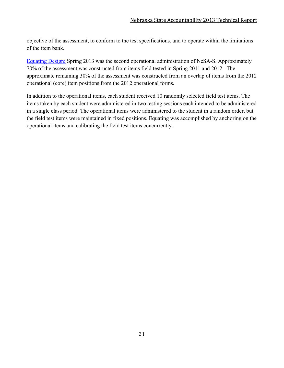objective of the assessment, to conform to the test specifications, and to operate within the limitations of the item bank.

Equating Design: Spring 2013 was the second operational administration of NeSA-S. Approximately 70% of the assessment was constructed from items field tested in Spring 2011 and 2012. The approximate remaining 30% of the assessment was constructed from an overlap of items from the 2012 operational (core) item positions from the 2012 operational forms.

In addition to the operational items, each student received 10 randomly selected field test items. The items taken by each student were administered in two testing sessions each intended to be administered in a single class period. The operational items were administered to the student in a random order, but the field test items were maintained in fixed positions. Equating was accomplished by anchoring on the operational items and calibrating the field test items concurrently.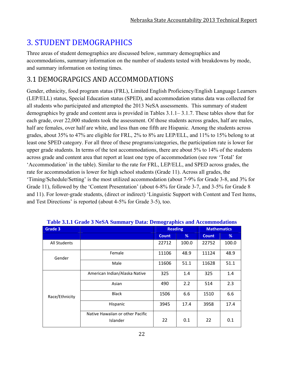# **3. STUDENT DEMOGRAPHICS**

Three areas of student demographics are discussed below, summary demographics and accommodations, summary information on the number of students tested with breakdowns by mode, and summary information on testing times.

## 3.1 DEMOGRAPGICS AND ACCOMMODATIONS

Gender, ethnicity, food program status (FRL), Limited English Proficiency/English Language Learners (LEP/ELL) status, Special Education status (SPED), and accommodation status data was collected for all students who participated and attempted the 2013 NeSA assessments. This summary of student demographics by grade and content area is provided in Tables 3.1.1– 3.1.7. These tables show that for each grade, over 22,000 students took the assessment. Of those students across grades, half are males, half are females, over half are white, and less than one fifth are Hispanic. Among the students across grades, about 35% to 47% are eligible for FRL, 2% to 8% are LEP/ELL, and 11% to 15% belong to at least one SPED category. For all three of these programs/categories, the participation rate is lower for upper grade students. In terms of the test accommodations, there are about 5% to 14% of the students across grade and content area that report at least one type of accommodation (see row 'Total' for 'Accommodation' in the table). Similar to the rate for FRL, LEP/ELL, and SPED across grades, the rate for accommodation is lower for high school students (Grade 11). Across all grades, the 'Timing/Schedule/Setting' is the most utilized accommodation (about 7-9% for Grade 3-8, and 3% for Grade 11), followed by the 'Content Presentation' (about 6-8% for Grade 3-7, and 3-5% for Grade 8 and 11). For lower-grade students, (direct or indirect) 'Linguistic Support with Content and Test Items, and Test Directions' is reported (about 4-5% for Grade 3-5), too.

| - 8- T              |                                              |                |       |                    |       |
|---------------------|----------------------------------------------|----------------|-------|--------------------|-------|
| Grade 3             |                                              | <b>Reading</b> |       | <b>Mathematics</b> |       |
|                     |                                              | <b>Count</b>   | %     | <b>Count</b>       | %     |
| <b>All Students</b> |                                              | 22712          | 100.0 | 22752              | 100.0 |
| Gender              | Female                                       | 11106          | 48.9  | 11124              | 48.9  |
|                     | Male                                         | 11606          | 51.1  | 11628              | 51.1  |
| Race/Ethnicity      | American Indian/Alaska Native                | 325            | 1.4   | 325                | 1.4   |
|                     | Asian                                        | 490            | 2.2   | 514                | 2.3   |
|                     | <b>Black</b>                                 | 1506           | 6.6   | 1510               | 6.6   |
|                     | Hispanic                                     | 3945           | 17.4  | 3958               | 17.4  |
|                     | Native Hawaiian or other Pacific<br>Islander | 22             | 0.1   | 22                 | 0.1   |

| Table 3.1.1 Grade 3 NeSA Summary Data: Demographics and Accommodations |  |  |
|------------------------------------------------------------------------|--|--|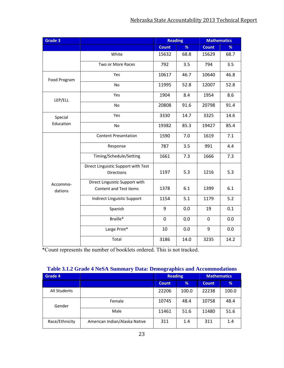| Grade 3      |                                                          | <b>Reading</b> |      | <b>Mathematics</b> |      |
|--------------|----------------------------------------------------------|----------------|------|--------------------|------|
|              |                                                          | <b>Count</b>   | %    | <b>Count</b>       | %    |
|              | White                                                    | 15632          | 68.8 | 15629              | 68.7 |
|              | Two or More Races                                        | 792            | 3.5  | 794                | 3.5  |
| Food Program | Yes                                                      | 10617          | 46.7 | 10640              | 46.8 |
|              | <b>No</b>                                                | 11995          | 52.8 | 12007              | 52.8 |
| LEP/ELL      | Yes                                                      | 1904           | 8.4  | 1954               | 8.6  |
|              | No                                                       | 20808          | 91.6 | 20798              | 91.4 |
| Special      | Yes                                                      | 3330           | 14.7 | 3325               | 14.6 |
| Education    | No                                                       | 19382          | 85.3 | 19427              | 85.4 |
|              | <b>Content Presentation</b>                              | 1590           | 7.0  | 1619               | 7.1  |
|              | Response                                                 | 787            | 3.5  | 991                | 4.4  |
|              | Timing/Schedule/Setting                                  | 1661           | 7.3  | 1666               | 7.3  |
|              | Direct Linguistic Support with Test<br><b>Directions</b> | 1197           | 5.3  | 1216               | 5.3  |
| Accommo-     | Direct Linguistic Support with<br>Content and Test items | 1378           | 6.1  | 1399               | 6.1  |
| dations      |                                                          |                |      |                    |      |
|              | Indirect Linguistic Support                              | 1154           | 5.1  | 1179               | 5.2  |
|              | Spanish                                                  | 9              | 0.0  | 19                 | 0.1  |
|              | Braille*                                                 | 0              | 0.0  | $\mathbf 0$        | 0.0  |
|              | Large Print*                                             | 10             | 0.0  | 9                  | 0.0  |
|              | Total                                                    | 3186           | 14.0 | 3235               | 14.2 |

| Table 3.1.2 Grade 4 NeSA Summary Data: Demographics and Accommodations |  |  |
|------------------------------------------------------------------------|--|--|
|                                                                        |  |  |

| <b>Grade 4</b>      |                               | <b>Reading</b> |       |              |       | <b>Mathematics</b> |  |
|---------------------|-------------------------------|----------------|-------|--------------|-------|--------------------|--|
|                     |                               | <b>Count</b>   | %     | <b>Count</b> | %     |                    |  |
| <b>All Students</b> |                               | 22206          | 100.0 | 22238        | 100.0 |                    |  |
| Gender              | Female                        | 10745          | 48.4  | 10758        | 48.4  |                    |  |
|                     | Male                          | 11461          | 51.6  | 11480        | 51.6  |                    |  |
| Race/Ethnicity      | American Indian/Alaska Native | 311            | 1.4   | 311          | 1.4   |                    |  |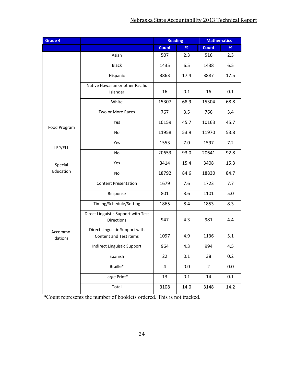| Grade 4             |                                                          | <b>Reading</b>          |         | <b>Mathematics</b> |         |
|---------------------|----------------------------------------------------------|-------------------------|---------|--------------------|---------|
|                     |                                                          | <b>Count</b>            | %       | <b>Count</b>       | %       |
|                     | Asian                                                    | 507                     | 2.3     | 516                | 2.3     |
|                     | <b>Black</b>                                             | 1435                    | 6.5     | 1438               | 6.5     |
|                     | Hispanic                                                 | 3863                    | 17.4    | 3887               | 17.5    |
|                     | Native Hawaiian or other Pacific                         |                         |         |                    |         |
|                     | Islander                                                 | 16                      | 0.1     | 16                 | 0.1     |
|                     | White                                                    | 15307                   | 68.9    | 15304              | 68.8    |
|                     | Two or More Races                                        | 767                     | 3.5     | 766                | 3.4     |
| Food Program        | Yes                                                      | 10159                   | 45.7    | 10163              | 45.7    |
|                     | No                                                       | 11958                   | 53.9    | 11970              | 53.8    |
| LEP/ELL             | Yes                                                      | 1553                    | 7.0     | 1597               | 7.2     |
|                     | No                                                       | 20653                   | 93.0    | 20641              | 92.8    |
| Special             | Yes                                                      | 3414                    | 15.4    | 3408               | 15.3    |
| Education           | No                                                       | 18792                   | 84.6    | 18830              | 84.7    |
|                     | <b>Content Presentation</b>                              | 1679                    | 7.6     | 1723               | 7.7     |
|                     | Response                                                 | 801                     | 3.6     | 1101               | 5.0     |
|                     | Timing/Schedule/Setting                                  | 1865                    | 8.4     | 1853               | 8.3     |
|                     | Direct Linguistic Support with Test<br><b>Directions</b> | 947                     | 4.3     | 981                | 4.4     |
| Accommo-<br>dations | Direct Linguistic Support with<br>Content and Test items | 1097                    | 4.9     | 1136               | 5.1     |
|                     | Indirect Linguistic Support                              | 964                     | 4.3     | 994                | 4.5     |
|                     | Spanish                                                  | 22                      | 0.1     | 38                 | 0.2     |
|                     | Braille*                                                 | $\overline{\mathbf{4}}$ | 0.0     | $\overline{2}$     | 0.0     |
|                     | Large Print*                                             | 13                      | $0.1\,$ | 14                 | $0.1\,$ |
|                     | Total                                                    | 3108                    | 14.0    | 3148               | 14.2    |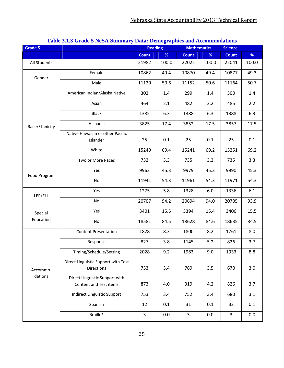| Grade 5             |                                                          | <b>Reading</b> |       | -- - - - - <b>-</b> ---<br><b>Mathematics</b> |       | <b>Science</b> |       |
|---------------------|----------------------------------------------------------|----------------|-------|-----------------------------------------------|-------|----------------|-------|
|                     |                                                          | <b>Count</b>   | $\%$  | <b>Count</b>                                  | %     | <b>Count</b>   | %     |
| All Students        |                                                          | 21982          | 100.0 | 22022                                         | 100.0 | 22041          | 100.0 |
| Gender              | Female                                                   | 10862          | 49.4  | 10870                                         | 49.4  | 10877          | 49.3  |
|                     | Male                                                     | 11120          | 50.6  | 11152                                         | 50.6  | 11164          | 50.7  |
|                     | American Indian/Alaska Native                            | 302            | 1.4   | 299                                           | 1.4   | 300            | 1.4   |
|                     | Asian                                                    | 464            | 2.1   | 482                                           | 2.2   | 485            | 2.2   |
|                     | <b>Black</b>                                             | 1385           | 6.3   | 1388                                          | 6.3   | 1388           | 6.3   |
| Race/Ethnicity      | Hispanic                                                 | 3825           | 17.4  | 3852                                          | 17.5  | 3857           | 17.5  |
|                     | Native Hawaiian or other Pacific                         |                |       |                                               |       |                |       |
|                     | Islander                                                 | 25             | 0.1   | 25                                            | 0.1   | 25             | 0.1   |
|                     | White                                                    | 15249          | 69.4  | 15241                                         | 69.2  | 15251          | 69.2  |
|                     | Two or More Races                                        | 732            | 3.3   | 735                                           | 3.3   | 735            | 3.3   |
| Food Program        | Yes                                                      | 9962           | 45.3  | 9979                                          | 45.3  | 9990           | 45.3  |
|                     | No                                                       | 11941          | 54.3  | 11961                                         | 54.3  | 11971          | 54.3  |
| LEP/ELL             | Yes                                                      | 1275           | 5.8   | 1328                                          | 6.0   | 1336           | 6.1   |
|                     | No                                                       | 20707          | 94.2  | 20694                                         | 94.0  | 20705          | 93.9  |
| Special             | Yes                                                      | 3401           | 15.5  | 3394                                          | 15.4  | 3406           | 15.5  |
| Education           | No                                                       | 18581          | 84.5  | 18628                                         | 84.6  | 18635          | 84.5  |
|                     | <b>Content Presentation</b>                              | 1828           | 8.3   | 1800                                          | 8.2   | 1761           | 8.0   |
|                     | Response                                                 | 827            | 3.8   | 1145                                          | 5.2   | 826            | 3.7   |
|                     | Timing/Schedule/Setting                                  | 2028           | 9.2   | 1983                                          | 9.0   | 1933           | 8.8   |
|                     | Direct Linguistic Support with Test<br><b>Directions</b> | 753            | 3.4   | 769                                           | 3.5   | 670            | 3.0   |
| Accommo-<br>dations |                                                          |                |       |                                               |       |                |       |
|                     | Direct Linguistic Support with<br>Content and Test items | 873            | 4.0   | 919                                           | 4.2   | 826            | 3.7   |
|                     | Indirect Linguistic Support                              | 753            | 3.4   | 752                                           | 3.4   | 680            | 3.1   |
|                     | Spanish                                                  | 12             | 0.1   | 31                                            | 0.1   | 32             | 0.1   |
|                     | Braille*                                                 | $\overline{3}$ | 0.0   | $\overline{3}$                                | 0.0   | $\overline{3}$ | 0.0   |

#### **Table 3.1.3 Grade 5 NeSA Summary Data: Demographics and Accommodations**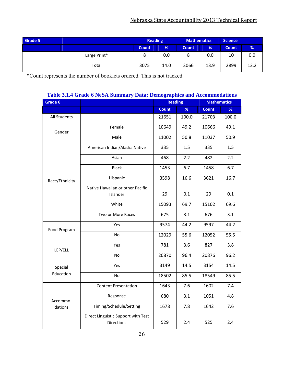| Grade 5 |              | <b>Reading</b> |      | <b>Mathematics</b> |               | <b>Science</b> |      |
|---------|--------------|----------------|------|--------------------|---------------|----------------|------|
|         |              | <b>Count</b>   | %    | <b>Count</b>       | $\frac{9}{6}$ | <b>Count</b>   | %    |
|         | Large Print* | O              | 0.0  | ٥                  | 0.0           | 10             | 0.0  |
|         | Total        | 3075           | 14.0 | 3066               | 13.9          | 2899           | 13.2 |

| Table 3.1.4 Grade 6 NeSA Summary Data: Demographics and Accommodations |  |
|------------------------------------------------------------------------|--|

| Grade 6        |                                                          | <b>Reading</b> |       | <b>Mathematics</b> |       |  |
|----------------|----------------------------------------------------------|----------------|-------|--------------------|-------|--|
|                |                                                          | <b>Count</b>   | %     | <b>Count</b>       | %     |  |
| All Students   |                                                          | 21651          | 100.0 | 21703              | 100.0 |  |
| Gender         | Female                                                   | 10649          | 49.2  | 10666              | 49.1  |  |
|                | Male                                                     | 11002          | 50.8  | 11037              | 50.9  |  |
|                | American Indian/Alaska Native                            | 335            | 1.5   | 335                | 1.5   |  |
|                | Asian                                                    | 468            | 2.2   | 482                | 2.2   |  |
|                | <b>Black</b>                                             | 1453           | 6.7   | 1458               | 6.7   |  |
| Race/Ethnicity | Hispanic                                                 | 3598           | 16.6  | 3621               | 16.7  |  |
|                | Native Hawaiian or other Pacific                         |                |       |                    |       |  |
|                | Islander                                                 | 29             | 0.1   | 29                 | 0.1   |  |
|                | White                                                    | 15093          | 69.7  | 15102              | 69.6  |  |
|                | Two or More Races                                        | 675            | 3.1   | 676                | 3.1   |  |
| Food Program   | Yes                                                      | 9574           | 44.2  | 9597               | 44.2  |  |
|                | No                                                       | 12029          | 55.6  | 12052              | 55.5  |  |
| LEP/ELL        | Yes                                                      | 781            | 3.6   | 827                | 3.8   |  |
|                | <b>No</b>                                                | 20870          | 96.4  | 20876              | 96.2  |  |
| Special        | Yes                                                      | 3149           | 14.5  | 3154               | 14.5  |  |
| Education      | No                                                       | 18502          | 85.5  | 18549              | 85.5  |  |
|                | <b>Content Presentation</b>                              | 1643           | 7.6   | 1602               | 7.4   |  |
| Accommo-       | Response                                                 | 680            | 3.1   | 1051               | 4.8   |  |
| dations        | Timing/Schedule/Setting                                  | 1678           | 7.8   | 1642               | 7.6   |  |
|                | Direct Linguistic Support with Test<br><b>Directions</b> | 529            | 2.4   | 525                | 2.4   |  |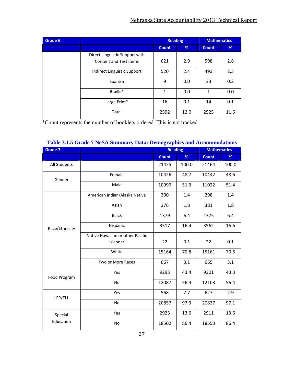| Grade 6 |                                | <b>Reading</b> |      | <b>Mathematics</b> |      |
|---------|--------------------------------|----------------|------|--------------------|------|
|         |                                | <b>Count</b>   | %    | <b>Count</b>       | %    |
|         | Direct Linguistic Support with |                |      |                    |      |
|         | Content and Test items         | 621            | 2.9  | 598                | 2.8  |
|         | Indirect Linguistic Support    |                | 2.4  | 493                | 2.3  |
|         | Spanish                        | 9              | 0.0  | 33                 | 0.2  |
|         | Braille*                       | 1              | 0.0  | $\mathbf{1}$       | 0.0  |
|         | Large Print*                   | 16             | 0.1  | 14                 | 0.1  |
|         | Total                          | 2592           | 12.0 | 2525               | 11.6 |

| Table 3.1.5 Grade 7 NeSA Summary Data: Demographics and Accommodations |  |  |  |
|------------------------------------------------------------------------|--|--|--|
|------------------------------------------------------------------------|--|--|--|

| <b>Grade 7</b> |                                  |              | <b>Reading</b><br><b>Mathematics</b> |              |       |
|----------------|----------------------------------|--------------|--------------------------------------|--------------|-------|
|                |                                  | <b>Count</b> | %                                    | <b>Count</b> | %     |
| All Students   |                                  | 21425        | 100.0                                | 21464        | 100.0 |
| Gender         | Female                           | 10426        | 48.7                                 | 10442        | 48.6  |
|                | Male                             | 10999        | 51.3                                 | 11022        | 51.4  |
|                | American Indian/Alaska Native    | 300          | 1.4                                  | 298          | 1.4   |
|                | Asian                            | 376          | 1.8                                  | 381          | 1.8   |
|                | <b>Black</b>                     | 1379         | 6.4                                  | 1375         | 6.4   |
| Race/Ethnicity | Hispanic                         | 3517         | 16.4                                 | 3562         | 16.6  |
|                | Native Hawaiian or other Pacific |              |                                      |              |       |
|                | Islander                         | 22           | 0.1                                  | 22           | 0.1   |
|                | White                            | 15164        | 70.8                                 | 15161        | 70.6  |
|                | Two or More Races                | 667          | 3.1                                  | 665          | 3.1   |
| Food Program   | Yes                              | 9293         | 43.4                                 | 9301         | 43.3  |
|                | No                               | 12087        | 56.4                                 | 12103        | 56.4  |
| LEP/ELL        | Yes                              | 568          | 2.7                                  | 627          | 2.9   |
|                | No                               | 20857        | 97.3                                 | 20837        | 97.1  |
| Special        | Yes                              | 2923         | 13.6                                 | 2911         | 13.6  |
| Education      | <b>No</b>                        | 18502        | 86.4                                 | 18553        | 86.4  |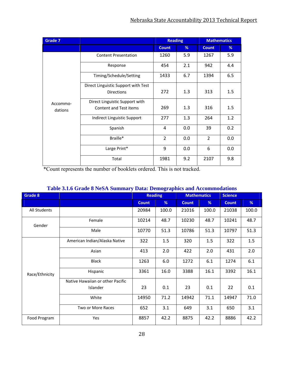| <b>Grade 7</b> |                                     | <b>Reading</b><br><b>Mathematics</b> |     |                |     |
|----------------|-------------------------------------|--------------------------------------|-----|----------------|-----|
|                |                                     | <b>Count</b>                         | %   | <b>Count</b>   | %   |
|                | <b>Content Presentation</b>         | 1260                                 | 5.9 | 1267           | 5.9 |
|                | Response                            | 454                                  | 2.1 | 942            | 4.4 |
|                | Timing/Schedule/Setting             | 1433                                 | 6.7 | 1394           | 6.5 |
|                | Direct Linguistic Support with Test |                                      |     |                |     |
|                | <b>Directions</b>                   | 272                                  | 1.3 | 313            | 1.5 |
| Accommo-       | Direct Linguistic Support with      |                                      |     |                |     |
| dations        | <b>Content and Test items</b>       | 269                                  | 1.3 | 316            | 1.5 |
|                | Indirect Linguistic Support         | 277                                  | 1.3 | 264            | 1.2 |
|                | Spanish                             | $\overline{4}$                       | 0.0 | 39             | 0.2 |
|                | Braille*                            | $\overline{2}$                       | 0.0 | $\overline{2}$ | 0.0 |
|                | Large Print*                        | 9                                    | 0.0 | 6              | 0.0 |
|                | Total                               | 1981                                 | 9.2 | 2107           | 9.8 |

#### **Table 3.1.6 Grade 8 NeSA Summary Data: Demographics and Accommodations**

| Grade 8        |                                  | <b>Reading</b> |       | <b>Mathematics</b> |       | <b>Science</b> |       |
|----------------|----------------------------------|----------------|-------|--------------------|-------|----------------|-------|
|                |                                  | <b>Count</b>   | %     | <b>Count</b>       | %     | <b>Count</b>   | %     |
| All Students   |                                  | 20984          | 100.0 | 21016              | 100.0 | 21038          | 100.0 |
| Gender         | Female                           | 10214          | 48.7  | 10230              | 48.7  | 10241          | 48.7  |
|                | Male                             | 10770          | 51.3  | 10786              | 51.3  | 10797          | 51.3  |
|                | American Indian/Alaska Native    | 322            | 1.5   | 320                | 1.5   | 322            | 1.5   |
|                | Asian                            | 413            | 2.0   | 422                | 2.0   | 431            | 2.0   |
|                | <b>Black</b>                     | 1263           | 6.0   | 1272               | 6.1   | 1274           | 6.1   |
| Race/Ethnicity | Hispanic                         | 3361           | 16.0  | 3388               | 16.1  | 3392           | 16.1  |
|                | Native Hawaiian or other Pacific |                |       |                    |       |                |       |
|                | Islander                         | 23             | 0.1   | 23                 | 0.1   | 22             | 0.1   |
|                | White                            | 14950          | 71.2  | 14942              | 71.1  | 14947          | 71.0  |
|                | Two or More Races                | 652            | 3.1   | 649                | 3.1   | 650            | 3.1   |
| Food Program   | Yes                              | 8857           | 42.2  | 8875               | 42.2  | 8886           | 42.2  |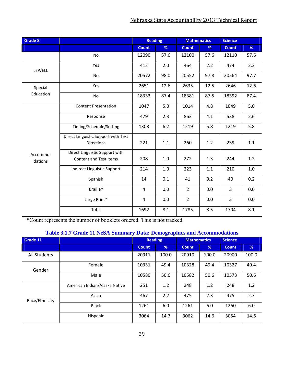| Grade 8             |                                                          |              | <b>Reading</b> |                | <b>Science</b><br><b>Mathematics</b> |                |      |
|---------------------|----------------------------------------------------------|--------------|----------------|----------------|--------------------------------------|----------------|------|
|                     |                                                          | <b>Count</b> | %              | <b>Count</b>   | %                                    | <b>Count</b>   | %    |
|                     | No                                                       | 12090        | 57.6           | 12100          | 57.6                                 | 12110          | 57.6 |
| LEP/ELL             | Yes                                                      | 412          | 2.0            | 464            | 2.2                                  | 474            | 2.3  |
|                     | No                                                       | 20572        | 98.0           | 20552          | 97.8                                 | 20564          | 97.7 |
| Special             | Yes                                                      | 2651         | 12.6           | 2635           | 12.5                                 | 2646           | 12.6 |
| Education           | <b>No</b>                                                | 18333        | 87.4           | 18381          | 87.5                                 | 18392          | 87.4 |
|                     | <b>Content Presentation</b>                              | 1047         | 5.0            | 1014           | 4.8                                  | 1049           | 5.0  |
|                     | Response                                                 | 479          | 2.3            | 863            | 4.1                                  | 538            | 2.6  |
|                     | Timing/Schedule/Setting                                  | 1303         | 6.2            | 1219           | 5.8                                  | 1219           | 5.8  |
|                     | Direct Linguistic Support with Test<br><b>Directions</b> | 221          | 1.1            | 260            | 1.2                                  | 239            | 1.1  |
| Accommo-<br>dations | Direct Linguistic Support with<br>Content and Test items | 208          | 1.0            | 272            | 1.3                                  | 244            | 1.2  |
|                     | Indirect Linguistic Support                              | 214          | 1.0            | 223            | 1.1                                  | 210            | 1.0  |
|                     | Spanish                                                  | 14           | 0.1            | 41             | 0.2                                  | 40             | 0.2  |
|                     | Braille*                                                 | 4            | 0.0            | $\overline{2}$ | 0.0                                  | $\overline{3}$ | 0.0  |
|                     | Large Print*                                             | 4            | 0.0            | $\overline{2}$ | 0.0                                  | $\overline{3}$ | 0.0  |
|                     | Total                                                    | 1692         | 8.1            | 1785           | 8.5                                  | 1704           | 8.1  |

#### **Table 3.1.7 Grade 11 NeSA Summary Data: Demographics and Accommodations**

| Grade 11            |                               | <b>Reading</b> |       | <b>Mathematics</b> |       | <b>Science</b> |       |
|---------------------|-------------------------------|----------------|-------|--------------------|-------|----------------|-------|
|                     |                               | <b>Count</b>   | %     | <b>Count</b>       | %     | <b>Count</b>   | %     |
| <b>All Students</b> |                               | 20911          | 100.0 | 20910              | 100.0 | 20900          | 100.0 |
| Gender              | Female                        | 10331          | 49.4  | 10328              | 49.4  | 10327          | 49.4  |
|                     | Male                          | 10580          | 50.6  | 10582              | 50.6  | 10573          | 50.6  |
| Race/Ethnicity      | American Indian/Alaska Native | 251            | 1.2   | 248                | 1.2   | 248            | 1.2   |
|                     | Asian                         | 467            | 2.2   | 475                | 2.3   | 475            | 2.3   |
|                     | <b>Black</b>                  | 1261           | 6.0   | 1261               | 6.0   | 1260           | 6.0   |
|                     | Hispanic                      | 3064           | 14.7  | 3062               | 14.6  | 3054           | 14.6  |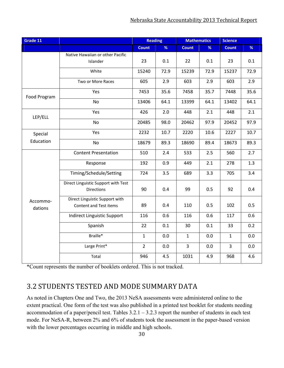| Grade 11             |                                                          | <b>Reading</b> |         | <b>Mathematics</b> |      | <b>Science</b> |      |
|----------------------|----------------------------------------------------------|----------------|---------|--------------------|------|----------------|------|
|                      |                                                          | <b>Count</b>   | %       | <b>Count</b>       | %    | <b>Count</b>   | %    |
|                      | Native Hawaiian or other Pacific<br>Islander             | 23             | 0.1     | 22                 | 0.1  | 23             | 0.1  |
|                      | White                                                    | 15240          | 72.9    | 15239              | 72.9 | 15237          | 72.9 |
|                      | Two or More Races                                        | 605            | 2.9     | 603                | 2.9  | 603            | 2.9  |
| Food Program         | Yes                                                      | 7453           | 35.6    | 7458               | 35.7 | 7448           | 35.6 |
|                      | <b>No</b>                                                | 13406          | 64.1    | 13399              | 64.1 | 13402          | 64.1 |
| LEP/ELL              | Yes                                                      | 426            | 2.0     | 448                | 2.1  | 448            | 2.1  |
|                      | <b>No</b>                                                | 20485          | 98.0    | 20462              | 97.9 | 20452          | 97.9 |
| Special<br>Education | Yes                                                      | 2232           | 10.7    | 2220               | 10.6 | 2227           | 10.7 |
|                      | No                                                       | 18679          | 89.3    | 18690              | 89.4 | 18673          | 89.3 |
| Accommo-<br>dations  | <b>Content Presentation</b>                              | 510            | 2.4     | 533                | 2.5  | 560            | 2.7  |
|                      | Response                                                 | 192            | 0.9     | 449                | 2.1  | 278            | 1.3  |
|                      | Timing/Schedule/Setting                                  | 724            | 3.5     | 689                | 3.3  | 705            | 3.4  |
|                      | Direct Linguistic Support with Test<br><b>Directions</b> | 90             | 0.4     | 99                 | 0.5  | 92             | 0.4  |
|                      | Direct Linguistic Support with<br>Content and Test items | 89             | 0.4     | 110                | 0.5  | 102            | 0.5  |
|                      | <b>Indirect Linguistic Support</b>                       | 116            | 0.6     | 116                | 0.6  | 117            | 0.6  |
|                      | Spanish                                                  | 22             | 0.1     | 30                 | 0.1  | 33             | 0.2  |
|                      | Braille*                                                 | $\mathbf{1}$   | 0.0     | $\mathbf{1}$       | 0.0  | $\mathbf{1}$   | 0.0  |
|                      | Large Print*                                             | $\overline{2}$ | $0.0\,$ | 3                  | 0.0  | 3              | 0.0  |
|                      | Total                                                    | 946            | 4.5     | 1031               | 4.9  | 968            | 4.6  |

### 3.2 STUDENTS TESTED AND MODE SUMMARY DATA

As noted in Chapters One and Two, the 2013 NeSA assessments were administered online to the extent practical. One form of the test was also published in a printed test booklet for students needing accommodation of a paper/pencil test. Tables  $3.2.1 - 3.2.3$  report the number of students in each test mode. For NeSA-R, between 2% and 6% of students took the assessment in the paper-based version with the lower percentages occurring in middle and high schools.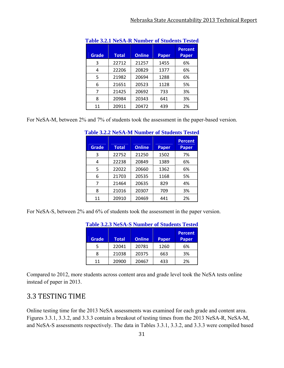| <b>Grade</b> | Total | <b>Online</b> | <b>Paper</b> | <b>Percent</b><br><b>Paper</b> |
|--------------|-------|---------------|--------------|--------------------------------|
| 3            | 22712 | 21257         | 1455         | 6%                             |
| 4            | 22206 | 20829         | 1377         | 6%                             |
| 5            | 21982 | 20694         | 1288         | 6%                             |
| 6            | 21651 | 20523         | 1128         | 5%                             |
| 7            | 21425 | 20692         | 733          | 3%                             |
| 8            | 20984 | 20343         | 641          | 3%                             |
| 11           | 20911 | 20472         | 439          | 2%                             |

For NeSA-M, between 2% and 7% of students took the assessment in the paper-based version.

| $\sim$       |              |               | $\sim$ $\sim$ $\sim$ $\sim$ $\sim$ $\sim$ $\sim$ |                                |
|--------------|--------------|---------------|--------------------------------------------------|--------------------------------|
| <b>Grade</b> | <b>Total</b> | <b>Online</b> | <b>Paper</b>                                     | <b>Percent</b><br><b>Paper</b> |
| 3            | 22752        | 21250         | 1502                                             | 7%                             |
| 4            | 22238        | 20849         | 1389                                             | 6%                             |
| 5            | 22022        | 20660         | 1362                                             | 6%                             |
| 6            | 21703        | 20535         | 1168                                             | 5%                             |
| 7            | 21464        | 20635         | 829                                              | 4%                             |
| 8            | 21016        | 20307         | 709                                              | 3%                             |
| 11           | 20910        | 20469         | 441                                              | 2%                             |

|  |  | <b>Table 3.2.2 NeSA-M Number of Students Tested</b> |
|--|--|-----------------------------------------------------|
|  |  |                                                     |

For NeSA-S, between 2% and 6% of students took the assessment in the paper version.

| Grade | <b>Total</b> | <b>Online</b> | <b>Paper</b> | <b>Percent</b><br>Paper |
|-------|--------------|---------------|--------------|-------------------------|
|       | 22041        | 20781         | 1260         | 6%                      |
| 8     | 21038        | 20375         | 663          | 3%                      |
| 11    | 20900        | 20467         | 433          | 2%                      |

| <b>Table 3.2.3 NeSA-S Number of Students Tested</b> |  |  |
|-----------------------------------------------------|--|--|
|                                                     |  |  |

Compared to 2012, more students across content area and grade level took the NeSA tests online instead of paper in 2013.

### 3.3 TESTING TIME

Online testing time for the 2013 NeSA assessments was examined for each grade and content area. Figures 3.3.1, 3.3.2, and 3.3.3 contain a breakout of testing times from the 2013 NeSA-R, NeSA-M, and NeSA-S assessments respectively. The data in Tables 3.3.1, 3.3.2, and 3.3.3 were compiled based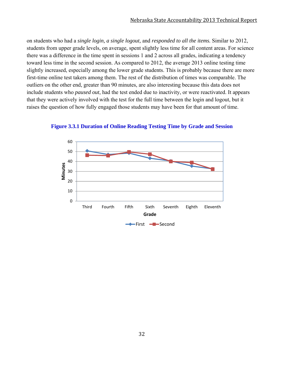on students who had a *single login, a single logout,* and *responded to all the items.* Similar to 2012, students from upper grade levels, on average, spent slightly less time for all content areas. For science there was a difference in the time spent in sessions 1 and 2 across all grades, indicating a tendency toward less time in the second session. As compared to 2012, the average 2013 online testing time slightly increased, especially among the lower grade students. This is probably because there are more first-time online test takers among them. The rest of the distribution of times was comparable. The outliers on the other end, greater than 90 minutes, are also interesting because this data does not include students who *paused out*, had the test ended due to inactivity, or were reactivated. It appears that they were actively involved with the test for the full time between the login and logout, but it raises the question of how fully engaged those students may have been for that amount of time.



**Figure 3.3.1 Duration of Online Reading Testing Time by Grade and Session**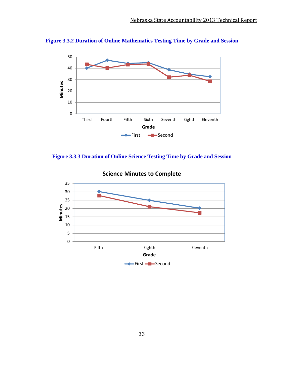



**Figure 3.3.3 Duration of Online Science Testing Time by Grade and Session** 



**Science Minutes to Complete**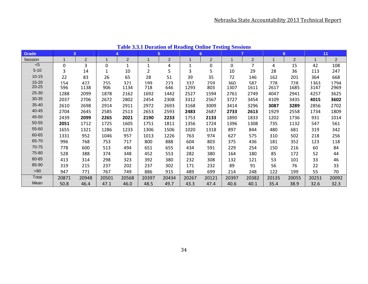| Grade     | 3            |                |             | 4              |                | $5\phantom{.0}$ |       | 6              |              | $\overline{7}$ | 8     |                | 11    |                |
|-----------|--------------|----------------|-------------|----------------|----------------|-----------------|-------|----------------|--------------|----------------|-------|----------------|-------|----------------|
| Session   |              | $\overline{2}$ |             | $\overline{2}$ |                | 2               |       | $\overline{2}$ |              | $\overline{2}$ |       | $\overline{2}$ |       | $\overline{c}$ |
| < 5       | $\mathbf{0}$ | 3              | $\mathbf 0$ | 1              |                | 4               | 1     | 0              | $\mathbf{0}$ | 7              | 4     | 15             | 42    | 108            |
| $5 - 10$  | 3            | 14             | 1           | 10             | $\overline{2}$ | 5               | 3     | 5              | 10           | 29             | 28    | 36             | 113   | 247            |
| $10 - 15$ | 22           | 83             | 26          | 65             | 28             | 51              | 39    | 35             | 72           | 146            | 162   | 201            | 364   | 668            |
| $15 - 20$ | 154          | 422            | 255         | 321            | 199            | 223             | 337   | 259            | 360          | 587            | 778   | 728            | 1363  | 1794           |
| 20-25     | 596          | 1138           | 906         | 1134           | 718            | 646             | 1293  | 803            | 1307         | 1611           | 2617  | 1685           | 3147  | 2969           |
| 25-30     | 1288         | 2099           | 1878        | 2162           | 1692           | 1442            | 2527  | 1594           | 2761         | 2749           | 4047  | 2941           | 4257  | 3625           |
| $30 - 35$ | 2037         | 2706           | 2672        | 2802           | 2454           | 2308            | 3312  | 2567           | 3727         | 3454           | 4109  | 3435           | 4015  | 3602           |
| $35 - 40$ | 2610         | 2698           | 2914        | 2911           | 2972           | 2693            | 3168  | 3009           | 3414         | 3296           | 3087  | 3289           | 2856  | 2702           |
| 40-45     | 2704         | 2645           | 2585        | 2513           | 2653           | 2593            | 2483  | 2687           | 2733         | 2613           | 1929  | 2558           | 1734  | 1809           |
| 45-50     | 2439         | 2099           | 2265        | 2021           | 2190           | 2233            | 1753  | 2133           | 1890         | 1833           | 1202  | 1736           | 931   | 1014           |
| 50-55     | 2051         | 1712           | 1725        | 1605           | 1751           | 1811            | 1356  | 1724           | 1396         | 1308           | 735   | 1132           | 547   | 561            |
| 55-60     | 1655         | 1321           | 1286        | 1233           | 1306           | 1506            | 1020  | 1318           | 897          | 844            | 480   | 681            | 319   | 342            |
| 60-65     | 1331         | 952            | 1046        | 957            | 1013           | 1226            | 763   | 974            | 627          | 575            | 310   | 502            | 218   | 256            |
| 65-70     | 996          | 768            | 753         | 717            | 800            | 888             | 604   | 803            | 375          | 436            | 181   | 352            | 123   | 118            |
| 70-75     | 778          | 600            | 513         | 494            | 651            | 655             | 434   | 591            | 229          | 254            | 150   | 216            | 60    | 84             |
| 75-80     | 528          | 388            | 374         | 348            | 452            | 553             | 282   | 380            | 164          | 180            | 85    | 172            | 52    | 44             |
| 80-85     | 413          | 314            | 298         | 323            | 392            | 380             | 232   | 308            | 132          | 121            | 53    | 101            | 33    | 46             |
| 85-90     | 319          | 215            | 237         | 202            | 237            | 302             | 171   | 232            | 89           | 91             | 56    | 76             | 22    | 33             |
| >90       | 947          | 771            | 767         | 749            | 886            | 915             | 489   | 699            | 214          | 248            | 122   | 199            | 55    | 70             |
| Total     | 20871        | 20948          | 20501       | 20568          | 20397          | 20434           | 20267 | 20121          | 20397        | 20382          | 20135 | 20055          | 20251 | 20092          |
| Mean      | 50.8         | 46.4           | 47.1        | 46.0           | 48.5           | 49.7            | 43.3  | 47.4           | 40.6         | 40.1           | 35.4  | 38.9           | 32.6  | 32.3           |

**Table 3.3.1 Duration of Reading Online Testing Sessions**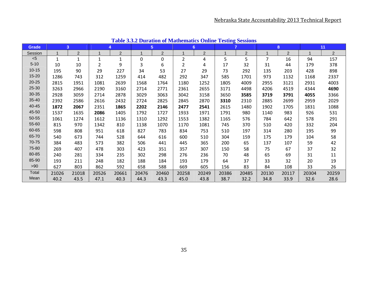| <b>Grade</b> |       | 3              | 4            |                |       | 5 <sup>5</sup> | 6              |                | $\overline{7}$ |                |       | 8              |       | 11             |
|--------------|-------|----------------|--------------|----------------|-------|----------------|----------------|----------------|----------------|----------------|-------|----------------|-------|----------------|
| Session      |       | $\overline{2}$ |              | $\overline{c}$ |       | $\overline{2}$ |                | $\overline{2}$ | 1              | $\overline{2}$ | 1     | $\overline{2}$ | 1     | $\overline{2}$ |
| $<$ 5        |       | $\mathbf{1}$   | $\mathbf{1}$ | $\mathbf{1}$   | 0     | 0              | $\overline{2}$ | 4              | 5.             | 5              | 7     | 16             | 94    | 157            |
| $5 - 10$     | 10    | 10             | 2            | 9              | 3     | 6              | 2              | 4              | 17             | 32             | 31    | 44             | 179   | 378            |
| $10 - 15$    | 195   | 90             | 29           | 227            | 34    | 53             | 27             | 29             | 73             | 292            | 135   | 203            | 428   | 898            |
| $15 - 20$    | 1286  | 743            | 312          | 1259           | 414   | 482            | 292            | 347            | 585            | 1701           | 973   | 1132           | 1168  | 2337           |
| 20-25        | 2815  | 1951           | 1081         | 2639           | 1568  | 1764           | 1180           | 1252           | 1805           | 4009           | 2955  | 3121           | 2931  | 4003           |
| $25 - 30$    | 3263  | 2966           | 2190         | 3160           | 2714  | 2771           | 2361           | 2655           | 3171           | 4498           | 4206  | 4519           | 4344  | 4690           |
| 30-35        | 2928  | 3059           | 2714         | 2878           | 3029  | 3063           | 3042           | 3158           | 3650           | 3585           | 3719  | 3791           | 4055  | 3366           |
| 35-40        | 2392  | 2586           | 2616         | 2432           | 2724  | 2825           | 2845           | 2870           | 3310           | 2310           | 2885  | 2699           | 2959  | 2029           |
| 40-45        | 1872  | 2067           | 2351         | 1865           | 2202  | 2146           | 2477           | 2541           | 2615           | 1480           | 1902  | 1705           | 1831  | 1088           |
| 45-50        | 1537  | 1635           | 2086         | 1405           | 1792  | 1727           | 1933           | 1971           | 1791           | 980            | 1140  | 983            | 926   | 531            |
| 50-55        | 1061  | 1274           | 1612         | 1136           | 1310  | 1292           | 1553           | 1382           | 1165           | 576            | 784   | 642            | 578   | 291            |
| 55-60        | 815   | 970            | 1342         | 810            | 1138  | 1070           | 1170           | 1081           | 745            | 370            | 510   | 420            | 332   | 204            |
| 60-65        | 598   | 808            | 951          | 618            | 827   | 783            | 834            | 753            | 510            | 197            | 314   | 280            | 195   | 99             |
| 65-70        | 540   | 673            | 744          | 528            | 644   | 616            | 600            | 510            | 304            | 159            | 175   | 179            | 104   | 58             |
| 70-75        | 384   | 483            | 573          | 382            | 506   | 441            | 445            | 365            | 200            | 65             | 137   | 107            | 59    | 42             |
| 75-80        | 269   | 407            | 478          | 303            | 423   | 351            | 357            | 307            | 150            | 58             | 75    | 67             | 37    | 32             |
| 80-85        | 240   | 281            | 334          | 235            | 302   | 298            | 276            | 236            | 70             | 48             | 65    | 69             | 31    | 11             |
| 85-90        | 193   | 211            | 248          | 182            | 188   | 184            | 193            | 179            | 64             | 37             | 33    | 32             | 20    | 19             |
| >90          | 627   | 803            | 862          | 592            | 658   | 588            | 669            | 605            | 156            | 83             | 84    | 108            | 33    | 26             |
| Total        | 21026 | 21018          | 20526        | 20661          | 20476 | 20460          | 20258          | 20249          | 20386          | 20485          | 20130 | 20117          | 20304 | 20259          |
| Mean         | 40.2  | 43.5           | 47.1         | 40.3           | 44.3  | 43.3           | 45.0           | 43.8           | 38.7           | 32.2           | 34.8  | 33.9           | 32.6  | 28.6           |

**Table 3.3.2 Duration of Mathematics Online Testing Sessions**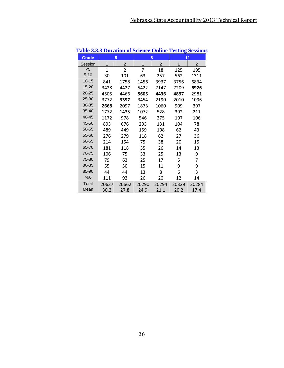| radio Jislo Duration of Science Omnie |       |                |              |                | <b>TOUTHE DOSTOP</b> |       |
|---------------------------------------|-------|----------------|--------------|----------------|----------------------|-------|
| <b>Grade</b>                          |       | 5              | 8            |                | 11                   |       |
| Session                               | 1     | $\overline{c}$ | $\mathbf{1}$ | $\overline{2}$ | 1                    | 2     |
| $5$                                   | 1     | $\overline{2}$ | 7            | 18             | 125                  | 195   |
| $5 - 10$                              | 30    | 101            | 63           | 257            | 562                  | 1311  |
| $10 - 15$                             | 841   | 1758           | 1456         | 3937           | 3756                 | 6834  |
| $15 - 20$                             | 3428  | 4427           | 5422         | 7147           | 7209                 | 6926  |
| $20 - 25$                             | 4505  | 4466           | 5605         | 4436           | 4897                 | 2981  |
| 25-30                                 | 3772  | 3397           | 3454         | 2190           | 2010                 | 1096  |
| 30-35                                 | 2668  | 2097           | 1873         | 1060           | 909                  | 397   |
| $35 - 40$                             | 1772  | 1435           | 1072         | 528            | 392                  | 211   |
| 40-45                                 | 1172  | 978            | 546          | 275            | 197                  | 106   |
| 45-50                                 | 893   | 676            | 293          | 131            | 104                  | 78    |
| 50-55                                 | 489   | 449            | 159          | 108            | 62                   | 43    |
| 55-60                                 | 276   | 279            | 118          | 62             | 27                   | 36    |
| 60-65                                 | 214   | 154            | 75           | 38             | 20                   | 15    |
| 65-70                                 | 181   | 118            | 35           | 26             | 14                   | 13    |
| 70-75                                 | 106   | 75             | 33           | 25             | 13                   | 9     |
| 75-80                                 | 79    | 63             | 25           | 17             | 5                    | 7     |
| 80-85                                 | 55    | 50             | 15           | 11             | 9                    | 9     |
| 85-90                                 | 44    | 44             | 13           | 8              | 6                    | 3     |
| >90                                   | 111   | 93             | 26           | 20             | 12                   | 14    |
| Total                                 | 20637 | 20662          | 20290        | 20294          | 20329                | 20284 |
| Mean                                  | 30.2  | 27.8           | 24.9         | 21.1           | 20.2                 | 17.4  |

**Table 3.3.3 Duration of Science Online Testing Sessions**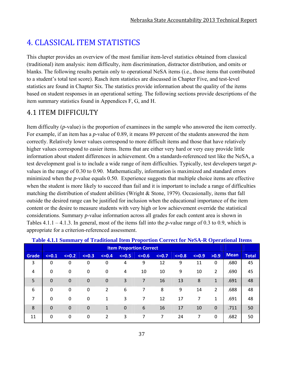# 4. CLASSICAL ITEM STATISTICS

This chapter provides an overview of the most familiar item-level statistics obtained from classical (traditional) item analysis: item difficulty, item discrimination, distractor distribution, and omits or blanks. The following results pertain only to operational NeSA items (i.e., those items that contributed to a student's total test score). Rasch item statistics are discussed in Chapter Five, and test-level statistics are found in Chapter Six. The statistics provide information about the quality of the items based on student responses in an operational setting. The following sections provide descriptions of the item summary statistics found in Appendices F, G, and H.

## 4.1 ITEM DIFFICULTY

Item difficulty (*p*-value) is the proportion of examinees in the sample who answered the item correctly. For example, if an item has a *p*-value of 0.89, it means 89 percent of the students answered the item correctly. Relatively lower values correspond to more difficult items and those that have relatively higher values correspond to easier items. Items that are either very hard or very easy provide little information about student differences in achievement. On a standards-referenced test like the NeSA, a test development goal is to include a wide range of item difficulties. Typically, test developers target *p*values in the range of 0.30 to 0.90. Mathematically, information is maximized and standard errors minimized when the *p*-value equals 0.50. Experience suggests that multiple choice items are effective when the student is more likely to succeed than fail and it is important to include a range of difficulties matching the distribution of student abilities (Wright & Stone, 1979). Occasionally, items that fall outside the desired range can be justified for inclusion when the educational importance of the item content or the desire to measure students with very high or low achievement override the statistical considerations. Summary *p*-value information across all grades for each content area is shown in Tables 4.1.1 – 4.1.3. In general, most of the items fall into the *p*-value range of 0.3 to 0.9, which is appropriate for a criterion-referenced assessment.

|       |             | <b>Item Proportion Correct</b> |             |                |             |         |         |         |         |                |             |              |  |  |
|-------|-------------|--------------------------------|-------------|----------------|-------------|---------|---------|---------|---------|----------------|-------------|--------------|--|--|
| Grade | $\leq -0.1$ | $\leq -0.2$                    | $\leq -0.3$ | $\leq 0.4$     | $<=0.5$     | $<=0.6$ | $<=0.7$ | $<=0.8$ | $<=0.9$ | >0.9           | <b>Mean</b> | <b>Total</b> |  |  |
| 3     | 0           | 0                              | 0           | 0              | 4           | 9       | 12      | 9       | 11      | $\Omega$       | .680        | 45           |  |  |
| 4     | 0           | 0                              | $\mathbf 0$ | $\mathbf 0$    | 4           | 10      | 10      | 9       | 10      | $\overline{2}$ | .690        | 45           |  |  |
| 5     | $\mathbf 0$ | 0                              | $\mathbf 0$ | $\mathbf 0$    | 3           | 7       | 16      | 13      | 8       | 1              | .691        | 48           |  |  |
| 6     | $\Omega$    | 0                              | 0           | $\overline{2}$ | 6           | 7       | 8       | 9       | 14      | $\overline{2}$ | .688        | 48           |  |  |
| 7     | 0           | $\mathbf 0$                    | $\mathbf 0$ | 1              | 3           |         | 12      | 17      |         | 1              | .691        | 48           |  |  |
| 8     | $\Omega$    | 0                              | 0           | $\mathbf{1}$   | $\mathbf 0$ | 6       | 16      | 17      | 10      | $\Omega$       | .711        | 50           |  |  |
| 11    | $\mathbf 0$ | 0                              | $\mathbf 0$ | $\overline{2}$ | 3           | 7       | 7       | 24      | 7       | 0              | .682        | 50           |  |  |

#### **Table 4.1.1 Summary of Traditional Item Proportion Correct for NeSA-R Operational Items**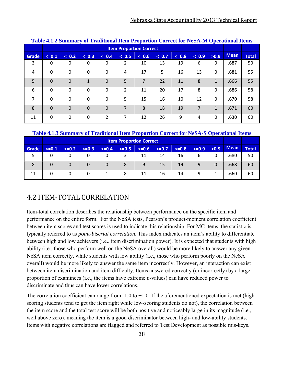|       | <u>Table 5.1.2 Building you Traditional Item I roportion Correct for NebA-M Operational Items</u> |                                |             |         |         |         |         |         |         |              |             |              |  |  |
|-------|---------------------------------------------------------------------------------------------------|--------------------------------|-------------|---------|---------|---------|---------|---------|---------|--------------|-------------|--------------|--|--|
|       |                                                                                                   | <b>Item Proportion Correct</b> |             |         |         |         |         |         |         |              |             |              |  |  |
| Grade | $\leq -0.1$                                                                                       | $\leq -0.2$                    | $\leq -0.3$ | $<=0.4$ | $<=0.5$ | $<=0.6$ | $<=0.7$ | $<=0.8$ | $<=0.9$ | >0.9         | <b>Mean</b> | <b>Total</b> |  |  |
| 3     | 0                                                                                                 | 0                              | 0           | 0       | 2       | 10      | 13      | 19      | 6       | 0            | .687        | 50           |  |  |
| 4     | 0                                                                                                 | 0                              | 0           | 0       | 4       | 17      | 5       | 16      | 13      | $\Omega$     | .681        | 55           |  |  |
| 5     | $\Omega$                                                                                          | $\mathbf 0$                    | 1           | 0       | 5       | 7       | 22      | 11      | 8       | $\mathbf{1}$ | .666        | 55           |  |  |
| 6     | $\Omega$                                                                                          | 0                              | 0           | 0       | 2       | 11      | 20      | 17      | 8       | $\Omega$     | .686        | 58           |  |  |
| 7     | $\Omega$                                                                                          | 0                              | 0           | 0       | 5       | 15      | 16      | 10      | 12      | $\Omega$     | .670        | 58           |  |  |
| 8     | $\Omega$                                                                                          | $\Omega$                       | $\Omega$    | 0       | 7       | 8       | 18      | 19      | 7       | $\mathbf{1}$ | .671        | 60           |  |  |
| 11    | 0                                                                                                 | 0                              | 0           | 2       | 7       | 12      | 26      | 9       | 4       | $\Omega$     | .630        | 60           |  |  |

#### **Table 4.1.2 Summary of Traditional Item Proportion Correct for NeSA-M Operational Items**

#### **Table 4.1.3 Summary of Traditional Item Proportion Correct for NeSA-S Operational Items**

|              |         | <b>Item Proportion Correct</b> |         |         |         |         |         |         |         |              |             |              |  |
|--------------|---------|--------------------------------|---------|---------|---------|---------|---------|---------|---------|--------------|-------------|--------------|--|
| <b>Grade</b> | $<=0.1$ | $<=0.2$                        | $<=0.3$ | $<=0.4$ | $<=0.5$ | $<=0.6$ | $<=0.7$ | $<=0.8$ | $<=0.9$ | >0.9         | <b>Mean</b> | <b>Total</b> |  |
|              | 0       |                                |         |         |         | 11      | 14      | 16      | 6       | 0            | .680        | 50           |  |
| 8            | 0       | 0                              | 0       | 0       | 8       | 9       | 15      | 19      | 9       | $\Omega$     | .668        | 60           |  |
| 11           | 0       | 0                              | 0       |         | 8       | 11      | 16      | 14      | 9       | $\mathbf{1}$ | .660        | 60           |  |

### 4.2 ITEM‐TOTAL CORRELATION

Item-total correlation describes the relationship between performance on the specific item and performance on the entire form. For the NeSA tests, Pearson's product-moment correlation coefficient between item scores and test scores is used to indicate this relationship. For MC items, the statistic is typically referred to as *point-biserial correlation*. This index indicates an item's ability to differentiate between high and low achievers (i.e., item discrimination power). It is expected that students with high ability (i.e., those who perform well on the NeSA overall) would be more likely to answer any given NeSA item correctly, while students with low ability (i.e., those who perform poorly on the NeSA overall) would be more likely to answer the same item incorrectly. However, an interaction can exist between item discrimination and item difficulty. Items answered correctly (or incorrectly) by a large proportion of examinees (i.e., the items have extreme *p*-values) can have reduced power to discriminate and thus can have lower correlations.

The correlation coefficient can range from  $-1.0$  to  $+1.0$ . If the aforementioned expectation is met (highscoring students tend to get the item right while low-scoring students do not), the correlation between the item score and the total test score will be both positive and noticeably large in its magnitude (i.e., well above zero), meaning the item is a good discriminator between high- and low-ability students. Items with negative correlations are flagged and referred to Test Development as possible mis-keys.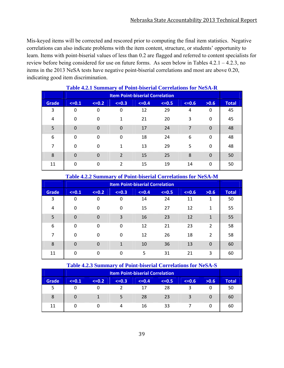Mis-keyed items will be corrected and rescored prior to computing the final item statistics. Negative correlations can also indicate problems with the item content, structure, or students' opportunity to learn. Items with point-biserial values of less than 0.2 are flagged and referred to content specialists for review before being considered for use on future forms. As seen below in Tables 4.2.1 – 4.2.3, no items in the 2013 NeSA tests have negative point-biserial correlations and most are above 0.20, indicating good item discrimination.

| <b>Table 4.2.1 Buildingly of Follit-bisel all Collegators for TwbA-K</b> |                                        |          |                |         |         |         |          |              |  |
|--------------------------------------------------------------------------|----------------------------------------|----------|----------------|---------|---------|---------|----------|--------------|--|
|                                                                          | <b>Item Point-biserial Correlation</b> |          |                |         |         |         |          |              |  |
| <b>Grade</b>                                                             | $<=0.1$                                | $<=0.2$  | $\leq -0.3$    | $<=0.4$ | $<=0.5$ | $<=0.6$ | >0.6     | <b>Total</b> |  |
| 3                                                                        | 0                                      | 0        | 0              | 12      | 29      | 4       | 0        | 45           |  |
| 4                                                                        | 0                                      | $\Omega$ | 1              | 21      | 20      | 3       | 0        | 45           |  |
| 5                                                                        | $\mathbf 0$                            | $\Omega$ | $\Omega$       | 17      | 24      | 7       | $\Omega$ | 48           |  |
| 6                                                                        | $\Omega$                               | $\Omega$ | 0              | 18      | 24      | 6       | 0        | 48           |  |
| $\overline{7}$                                                           | $\Omega$                               | $\Omega$ | 1              | 13      | 29      | 5       | 0        | 48           |  |
| 8                                                                        | $\mathbf 0$                            | $\Omega$ | $\mathcal{P}$  | 15      | 25      | 8       | $\Omega$ | 50           |  |
| 11                                                                       | $\Omega$                               | $\Omega$ | $\overline{2}$ | 15      | 19      | 14      | $\Omega$ | 50           |  |

#### **Table 4.2.1 Summary of Point-biserial Correlations for NeSA-R**

**Table 4.2.2 Summary of Point-biserial Correlations for NeSA-M** 

|       | $\bullet$                              |             |             |         |         |         |                |              |  |
|-------|----------------------------------------|-------------|-------------|---------|---------|---------|----------------|--------------|--|
|       | <b>Item Point-biserial Correlation</b> |             |             |         |         |         |                |              |  |
| Grade | $<=0.1$                                | $\leq -0.2$ | $\leq -0.3$ | $<=0.4$ | $<=0.5$ | $<=0.6$ | >0.6           | <b>Total</b> |  |
| 3     | 0                                      | 0           | 0           | 14      | 24      | 11      | 1              | 50           |  |
| 4     | 0                                      | 0           | $\Omega$    | 15      | 27      | 12      | 1              | 55           |  |
| 5     | $\Omega$                               | $\Omega$    | 3           | 16      | 23      | 12      | 1              | 55           |  |
| 6     | $\Omega$                               | $\Omega$    | $\Omega$    | 12      | 21      | 23      | $\overline{2}$ | 58           |  |
| 7     | 0                                      | $\Omega$    | $\Omega$    | 12      | 26      | 18      | 2              | 58           |  |
| 8     | $\Omega$                               | $\Omega$    | 1           | 10      | 36      | 13      | $\Omega$       | 60           |  |
| 11    | $\Omega$                               | $\Omega$    | $\Omega$    | 5       | 31      | 21      | 3              | 60           |  |

#### **Table 4.2.3 Summary of Point-biserial Correlations for NeSA-S**

|              | <b>Item Point-biserial Correlation</b> |             |         |         |         |         |      |              |  |
|--------------|----------------------------------------|-------------|---------|---------|---------|---------|------|--------------|--|
| <b>Grade</b> | $\leq 0.1$                             | $\leq -0.2$ | $<=0.3$ | $<=0.4$ | $<=0.5$ | $<=0.6$ | >0.6 | <b>Total</b> |  |
| 5            | 0                                      |             |         | 17      | 28      |         |      | 50           |  |
| 8            | $\Omega$                               |             |         | 28      | 23      | 3       |      | 60           |  |
| 11           | 0                                      |             |         | 16      | 33      |         |      | 60           |  |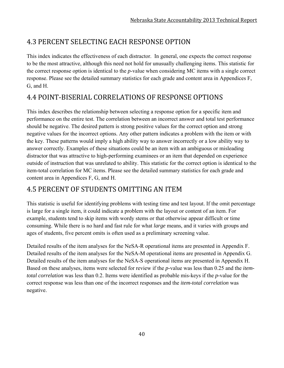# 4.3 PERCENT SELECTING EACH RESPONSE OPTION

This index indicates the effectiveness of each distractor. In general, one expects the correct response to be the most attractive, although this need not hold for unusually challenging items. This statistic for the correct response option is identical to the *p*-value when considering MC items with a single correct response. Please see the detailed summary statistics for each grade and content area in Appendices F, G, and H.

## 4.4 POINT‐BISERIAL CORRELATIONS OF RESPONSE OPTIONS

This index describes the relationship between selecting a response option for a specific item and performance on the entire test. The correlation between an incorrect answer and total test performance should be negative. The desired pattern is strong positive values for the correct option and strong negative values for the incorrect options. Any other pattern indicates a problem with the item or with the key. These patterns would imply a high ability way to answer incorrectly or a low ability way to answer correctly. Examples of these situations could be an item with an ambiguous or misleading distractor that was attractive to high-performing examinees or an item that depended on experience outside of instruction that was unrelated to ability. This statistic for the correct option is identical to the item-total correlation for MC items. Please see the detailed summary statistics for each grade and content area in Appendices F, G, and H.

## **4.5 PERCENT OF STUDENTS OMITTING AN ITEM**

This statistic is useful for identifying problems with testing time and test layout. If the omit percentage is large for a single item, it could indicate a problem with the layout or content of an item. For example, students tend to skip items with wordy stems or that otherwise appear difficult or time consuming. While there is no hard and fast rule for what *large* means, and it varies with groups and ages of students, five percent omits is often used as a preliminary screening value.

Detailed results of the item analyses for the NeSA-R operational items are presented in Appendix F. Detailed results of the item analyses for the NeSA-M operational items are presented in Appendix G. Detailed results of the item analyses for the NeSA-S operational items are presented in Appendix H. Based on these analyses, items were selected for review if the *p-*value was less than 0.25 and the *itemtotal correlation* was less than 0.2. Items were identified as probable mis-keys if the *p-*value for the correct response was less than one of the incorrect responses and the *item-total correlation* was negative.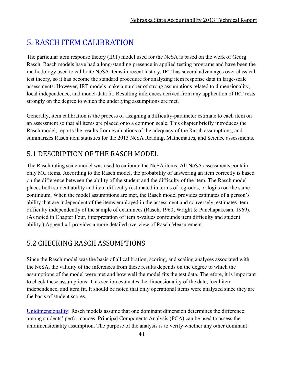# 5. RASCH ITEM CALIBRATION

The particular item response theory (IRT) model used for the NeSA is based on the work of Georg Rasch. Rasch models have had a long-standing presence in applied testing programs and have been the methodology used to calibrate NeSA items in recent history. IRT has several advantages over classical test theory, so it has become the standard procedure for analyzing item response data in large-scale assessments. However, IRT models make a number of strong assumptions related to dimensionality, local independence, and model-data fit. Resulting inferences derived from any application of IRT rests strongly on the degree to which the underlying assumptions are met.

Generally, item calibration is the process of assigning a difficulty-parameter estimate to each item on an assessment so that all items are placed onto a common scale. This chapter briefly introduces the Rasch model, reports the results from evaluations of the adequacy of the Rasch assumptions, and summarizes Rasch item statistics for the 2013 NeSA Reading, Mathematics, and Science assessments.

# 5.1 DESCRIPTION OF THE RASCH MODEL

The Rasch rating scale model was used to calibrate the NeSA items. All NeSA assessments contain only MC items. According to the Rasch model, the probability of answering an item correctly is based on the difference between the ability of the student and the difficulty of the item. The Rasch model places both student ability and item difficulty (estimated in terms of log-odds, or logits) on the same continuum. When the model assumptions are met, the Rasch model provides estimates of a person's ability that are independent of the items employed in the assessment and conversely, estimates item difficulty independently of the sample of examinees (Rasch, 1960; Wright & Panchapakesan, 1969). (As noted in Chapter Four, interpretation of item *p*-values confounds item difficulty and student ability.) Appendix I provides a more detailed overview of Rasch Measurement.

# 5.2 CHECKING RASCH ASSUMPTIONS

Since the Rasch model was the basis of all calibration, scoring, and scaling analyses associated with the NeSA, the validity of the inferences from these results depends on the degree to which the assumptions of the model were met and how well the model fits the test data. Therefore, it is important to check these assumptions. This section evaluates the dimensionality of the data, local item independence, and item fit. It should be noted that only operational items were analyzed since they are the basis of student scores.

Unidimensionality: Rasch models assume that one dominant dimension determines the difference among students' performances. Principal Components Analysis (PCA) can be used to assess the unidimensionality assumption. The purpose of the analysis is to verify whether any other dominant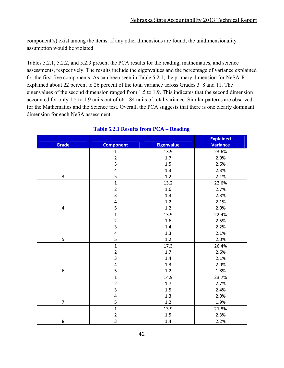component(s) exist among the items. If any other dimensions are found, the unidimensionality assumption would be violated.

Tables 5.2.1, 5.2.2, and 5.2.3 present the PCA results for the reading, mathematics, and science assessments, respectively. The results include the eigenvalues and the percentage of variance explained for the first five components. As can been seen in Table 5.2.1, the primary dimension for NeSA-R explained about 22 percent to 26 percent of the total variance across Grades 3–8 and 11. The eigenvalues of the second dimension ranged from 1.5 to 1.9. This indicates that the second dimension accounted for only 1.5 to 1.9 units out of 66 - 84 units of total variance. Similar patterns are observed for the Mathematics and the Science test. Overall, the PCA suggests that there is one clearly dominant dimension for each NeSA assessment.

|                  |                         |                   | <b>Explained</b> |
|------------------|-------------------------|-------------------|------------------|
| <b>Grade</b>     | <b>Component</b>        | <b>Eigenvalue</b> | <b>Variance</b>  |
|                  | $\mathbf{1}$            | 13.9              | 23.6%            |
|                  |                         | $1.7$             | 2.9%             |
|                  | $\frac{2}{3}$           | 1.5               | 2.6%             |
|                  | $\overline{\mathbf{r}}$ | 1.3               | 2.3%             |
| 3                | 5                       | 1.2               | 2.1%             |
|                  | $\overline{1}$          | 13.2              | 22.6%            |
|                  | $\overline{c}$          | 1.6               | 2.7%             |
|                  | 3                       | 1.3               | 2.3%             |
|                  | $\overline{\mathbf{r}}$ | 1.2               | 2.1%             |
| $\pmb{4}$        | 5                       | $1.2\,$           | 2.0%             |
|                  | $\overline{1}$          | 13.9              | 22.4%            |
|                  | $\overline{c}$          | $1.6\,$           | 2.5%             |
|                  | $\overline{\mathbf{3}}$ | 1.4               | 2.2%             |
|                  | $\overline{\mathbf{r}}$ | 1.3               | 2.1%             |
| 5                | 5                       | 1.2               | 2.0%             |
|                  | $\mathbf{1}$            | 17.3              | 26.4%            |
|                  | $\overline{\mathbf{c}}$ | 1.7               | 2.6%             |
|                  | 3                       | $1.4\,$           | 2.1%             |
|                  | $\overline{\mathbf{r}}$ | 1.3               | 2.0%             |
| $\boldsymbol{6}$ | 5                       | $1.2\,$           | 1.8%             |
|                  | $\overline{1}$          | 14.9              | 23.7%            |
|                  | $\overline{2}$          | $1.7$             | 2.7%             |
|                  | 3                       | 1.5               | 2.4%             |
|                  | $\overline{\mathbf{r}}$ | 1.3               | 2.0%             |
| $\overline{7}$   | 5                       | 1.2               | 1.9%             |
|                  | $\overline{1}$          | 13.9              | 21.8%            |
|                  | $\overline{\mathbf{c}}$ | 1.5               | 2.3%             |
| 8                | $\overline{3}$          | 1.4               | 2.2%             |

#### **Table 5.2.1 Results from PCA – Reading**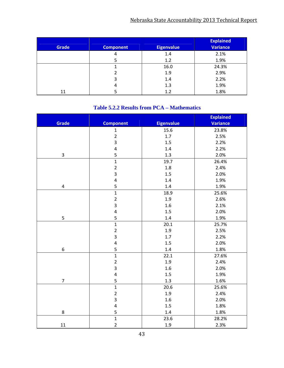| Grade | <b>Component</b> | <b>Eigenvalue</b> | <b>Explained</b><br><b>Variance</b> |
|-------|------------------|-------------------|-------------------------------------|
|       | 4                | 1.4               | 2.1%                                |
|       |                  | 1.2               | 1.9%                                |
|       |                  | 16.0              | 24.3%                               |
|       |                  | 1.9               | 2.9%                                |
|       | 3                | 1.4               | 2.2%                                |
|       | 4                | 1.3               | 1.9%                                |
| 11    |                  | 1.2               | 1.8%                                |

#### **Table 5.2.2 Results from PCA – Mathematics**

|                          |                         |                   | <b>Explained</b> |
|--------------------------|-------------------------|-------------------|------------------|
| <b>Grade</b>             | <b>Component</b>        | <b>Eigenvalue</b> | Variance         |
|                          | $\mathbf{1}$            | 15.6              | 23.8%            |
|                          | $\overline{2}$          | $1.7$             | 2.5%             |
|                          | $\overline{\mathbf{3}}$ | 1.5               | 2.2%             |
|                          | $\overline{\mathbf{r}}$ | 1.4               | 2.2%             |
| 3                        | 5                       | 1.3               | 2.0%             |
|                          | $\overline{1}$          | 19.7              | 26.4%            |
|                          | $\overline{c}$          | 1.8               | 2.4%             |
|                          | $\overline{\mathbf{3}}$ | 1.5               | 2.0%             |
|                          | $\overline{4}$          | 1.4               | 1.9%             |
| $\pmb{4}$                | 5                       | $1.4\,$           | 1.9%             |
|                          | $\overline{1}$          | 18.9              | 25.6%            |
|                          | $\overline{c}$          | 1.9               | 2.6%             |
|                          | $\overline{\mathbf{3}}$ | 1.6               | 2.1%             |
|                          | $\overline{\mathbf{4}}$ | 1.5               | 2.0%             |
| 5                        | 5                       | $1.4\,$           | 1.9%             |
|                          | $\overline{1}$          | 20.1              | 25.7%            |
|                          | $\overline{c}$          | 1.9               | 2.5%             |
|                          | $\overline{\mathbf{3}}$ | 1.7               | 2.2%             |
|                          | $\overline{\mathbf{4}}$ | 1.5               | 2.0%             |
| 6                        | 5                       | 1.4               | 1.8%             |
|                          | $\mathbf{1}$            | 22.1              | 27.6%            |
|                          | $\overline{c}$          | 1.9               | 2.4%             |
|                          | $\overline{\mathbf{3}}$ | $1.6\,$           | 2.0%             |
|                          | $\overline{a}$          | 1.5               | 1.9%             |
| $\overline{\mathcal{I}}$ | 5                       | 1.3               | 1.6%             |
|                          | $\overline{1}$          | 20.6              | 25.6%            |
|                          | $\overline{2}$          | 1.9               | 2.4%             |
|                          | $\overline{\mathbf{3}}$ | 1.6               | 2.0%             |
|                          | $\overline{a}$          | 1.5               | 1.8%             |
| 8                        | 5                       | 1.4               | 1.8%             |
|                          | $\overline{1}$          | 23.6              | 28.2%            |
| 11                       | $\overline{2}$          | 1.9               | 2.3%             |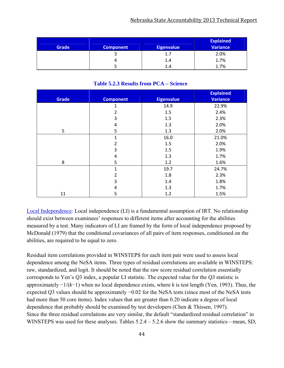| <b>Grade</b> | <b>Component</b> | <b>Eigenvalue</b> | <b>Explained</b><br><b>Variance</b> |
|--------------|------------------|-------------------|-------------------------------------|
|              |                  | 1.7               | 2.0%                                |
|              |                  | 1.4               | 1.7%                                |
|              |                  | 1.4               | 1.7%                                |

#### **Table 5.2.3 Results from PCA – Science**

|              |                  |                   | <b>Explained</b> |
|--------------|------------------|-------------------|------------------|
| <b>Grade</b> | <b>Component</b> | <b>Eigenvalue</b> | <b>Variance</b>  |
|              | 1                | 14.9              | 22.9%            |
|              | 2                | 1.5               | 2.4%             |
|              | 3                | 1.5               | 2.3%             |
|              | 4                | 1.3               | 2.0%             |
| 5            | 5                | 1.3               | 2.0%             |
|              | $\mathbf{1}$     | 16.0              | 21.0%            |
|              | 2                | 1.5               | 2.0%             |
|              | 3                | 1.5               | 1.9%             |
|              | 4                | 1.3               | 1.7%             |
| 8            | 5                | 1.2               | 1.6%             |
|              | $\mathbf{1}$     | 19.7              | 24.7%            |
|              | 2                | 1.8               | 2.3%             |
|              | 3                | 1.4               | 1.8%             |
|              | 4                | 1.3               | 1.7%             |
| 11           | 5                | 1.2               | 1.5%             |

Local Independence: Local independence (LI) is a fundamental assumption of IRT. No relationship should exist between examinees' responses to different items after accounting for the abilities measured by a test. Many indicators of LI are framed by the form of local independence proposed by McDonald (1979) that the conditional covariances of all pairs of item responses, conditioned on the abilities, are required to be equal to zero.

Residual item correlations provided in WINSTEPS for each item pair were used to assess local dependence among the NeSA items. Three types of residual correlations are available in WINSTEPS: raw, standardized, and logit. It should be noted that the raw score residual correlation essentially corresponds to Yen's *Q*3 index, a popular LI statistic. The expected value for the *Q3* statistic is approximately −1/(*k*−1) when no local dependence exists, where *k* is test length (Yen, 1993). Thus, the expected *Q*3 values should be approximately −0.02 for the NeSA tests (since most of the NeSA tests had more than 50 core items). Index values that are greater than 0.20 indicate a degree of local dependence that probably should be examined by test developers (Chen & Thissen, 1997). Since the three residual correlations are very similar, the default "standardized residual correlation" in WINSTEPS was used for these analyses. Tables  $5.2.4 - 5.2.6$  show the summary statistics—mean, SD,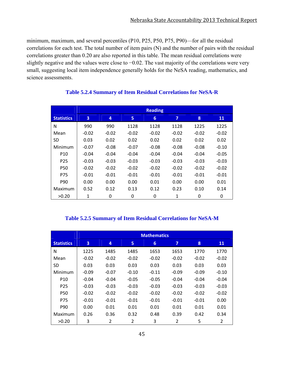minimum, maximum, and several percentiles (P10, P25, P50, P75, P90)—for all the residual correlations for each test. The total number of item pairs (N) and the number of pairs with the residual correlations greater than 0.20 are also reported in this table. The mean residual correlations were slightly negative and the values were close to −0.02. The vast majority of the correlations were very small, suggesting local item independence generally holds for the NeSA reading, mathematics, and science assessments.

|                   | <b>Reading</b> |         |         |         |         |         |         |  |  |
|-------------------|----------------|---------|---------|---------|---------|---------|---------|--|--|
| <b>Statistics</b> | 3              | 4       | 5       | 6       | 7       | 8       | 11      |  |  |
| N                 | 990            | 990     | 1128    | 1128    | 1128    | 1225    | 1225    |  |  |
| Mean              | $-0.02$        | $-0.02$ | $-0.02$ | $-0.02$ | $-0.02$ | $-0.02$ | $-0.02$ |  |  |
| <b>SD</b>         | 0.03           | 0.02    | 0.02    | 0.02    | 0.02    | 0.02    | 0.02    |  |  |
| Minimum           | $-0.07$        | $-0.08$ | $-0.07$ | $-0.08$ | $-0.08$ | $-0.08$ | $-0.10$ |  |  |
| P <sub>10</sub>   | $-0.04$        | $-0.04$ | $-0.04$ | $-0.04$ | $-0.04$ | $-0.04$ | $-0.05$ |  |  |
| P <sub>25</sub>   | $-0.03$        | $-0.03$ | $-0.03$ | $-0.03$ | $-0.03$ | $-0.03$ | $-0.03$ |  |  |
| <b>P50</b>        | $-0.02$        | $-0.02$ | $-0.02$ | $-0.02$ | $-0.02$ | $-0.02$ | $-0.02$ |  |  |
| P75               | $-0.01$        | $-0.01$ | $-0.01$ | $-0.01$ | $-0.01$ | $-0.01$ | $-0.01$ |  |  |
| P90               | 0.00           | 0.00    | 0.00    | 0.01    | 0.00    | 0.00    | 0.01    |  |  |
| Maximum           | 0.52           | 0.12    | 0.13    | 0.12    | 0.23    | 0.10    | 0.14    |  |  |
| >0.20             | 1              | 0       | 0       | 0       | 1       | 0       | 0       |  |  |

#### **Table 5.2.4 Summary of Item Residual Correlations for NeSA-R**

#### **Table 5.2.5 Summary of Item Residual Correlations for NeSA-M**

|                   |         | <b>Mathematics</b> |                |         |                         |         |         |  |  |  |  |
|-------------------|---------|--------------------|----------------|---------|-------------------------|---------|---------|--|--|--|--|
| <b>Statistics</b> | 3       | 4                  | 5              | 6       | $\overline{\mathbf{z}}$ | 8       | 11      |  |  |  |  |
| N                 | 1225    | 1485               | 1485           | 1653    | 1653                    | 1770    | 1770    |  |  |  |  |
| Mean              | $-0.02$ | $-0.02$            | $-0.02$        | $-0.02$ | $-0.02$                 | $-0.02$ | $-0.02$ |  |  |  |  |
| <b>SD</b>         | 0.03    | 0.03               | 0.03           | 0.03    | 0.03                    | 0.03    | 0.03    |  |  |  |  |
| Minimum           | $-0.09$ | $-0.07$            | $-0.10$        | $-0.11$ | $-0.09$                 | $-0.09$ | $-0.10$ |  |  |  |  |
| P <sub>10</sub>   | $-0.04$ | $-0.04$            | $-0.05$        | $-0.05$ | $-0.04$                 | $-0.04$ | $-0.04$ |  |  |  |  |
| P <sub>25</sub>   | $-0.03$ | $-0.03$            | $-0.03$        | $-0.03$ | $-0.03$                 | $-0.03$ | $-0.03$ |  |  |  |  |
| P50               | $-0.02$ | $-0.02$            | $-0.02$        | $-0.02$ | $-0.02$                 | $-0.02$ | $-0.02$ |  |  |  |  |
| P75               | $-0.01$ | $-0.01$            | $-0.01$        | $-0.01$ | $-0.01$                 | $-0.01$ | 0.00    |  |  |  |  |
| P90               | 0.00    | 0.01               | 0.01           | 0.01    | 0.01                    | 0.01    | 0.01    |  |  |  |  |
| Maximum           | 0.26    | 0.36               | 0.32           | 0.48    | 0.39                    | 0.42    | 0.34    |  |  |  |  |
| >0.20             | 3       | $\overline{2}$     | $\overline{2}$ | 3       | $\overline{2}$          | 5       | 2       |  |  |  |  |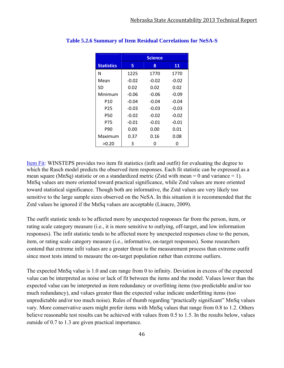|                   |         | <b>Science</b> |         |
|-------------------|---------|----------------|---------|
| <b>Statistics</b> | 5       | 8              | 11      |
| N                 | 1225    | 1770           | 1770    |
| Mean              | $-0.02$ | $-0.02$        | $-0.02$ |
| SD                | 0.02    | 0.02           | 0.02    |
| Minimum           | $-0.06$ | $-0.06$        | $-0.09$ |
| P10               | $-0.04$ | $-0.04$        | $-0.04$ |
| P25               | $-0.03$ | $-0.03$        | -0.03   |
| P50               | $-0.02$ | $-0.02$        | $-0.02$ |
| P75               | $-0.01$ | $-0.01$        | -0.01   |
| P90               | 0.00    | 0.00           | 0.01    |
| Maximum           | 0.37    | 0.16           | 0.08    |
| >0.20             | 3       | n              |         |

#### **Table 5.2.6 Summary of Item Residual Correlations for NeSA-S**

Item Fit: WINSTEPS provides two item fit statistics (infit and outfit) for evaluating the degree to which the Rasch model predicts the observed item responses. Each fit statistic can be expressed as a mean square (MnSq) statistic or on a standardized metric (Zstd with mean  $= 0$  and variance  $= 1$ ). MnSq values are more oriented toward practical significance, while Zstd values are more oriented toward statistical significance. Though both are informative, the Zstd values are very likely too sensitive to the large sample sizes observed on the NeSA. In this situation it is recommended that the Zstd values be ignored if the MnSq values are acceptable (Linacre, 2009).

The outfit statistic tends to be affected more by unexpected responses far from the person, item, or rating scale category measure (i.e., it is more sensitive to outlying, off-target, and low information responses). The infit statistic tends to be affected more by unexpected responses close to the person, item, or rating scale category measure (i.e., informative, on-target responses). Some researchers contend that extreme infit values are a greater threat to the measurement process than extreme outfit since most tests intend to measure the on-target population rather than extreme outliers.

The expected MnSq value is 1.0 and can range from 0 to infinity. Deviation in excess of the expected value can be interpreted as noise or lack of fit between the items and the model. Values lower than the expected value can be interpreted as item redundancy or overfitting items (too predictable and/or too much redundancy), and values greater than the expected value indicate underfitting items (too unpredictable and/or too much noise). Rules of thumb regarding "practically significant" MnSq values vary. More conservative users might prefer items with MnSq values that range from 0.8 to 1.2. Others believe reasonable test results can be achieved with values from 0.5 to 1.5. In the results below, values outside of 0.7 to 1.3 are given practical importance.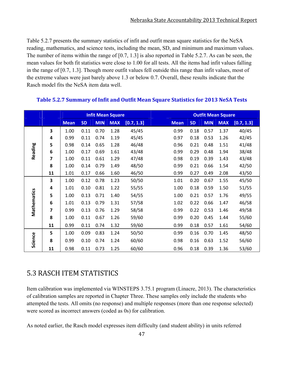Table 5.2.7 presents the summary statistics of infit and outfit mean square statistics for the NeSA reading, mathematics, and science tests, including the mean, SD, and minimum and maximum values. The number of items within the range of [0.7, 1.3] is also reported in Table 5.2.7. As can be seen, the mean values for both fit statistics were close to 1.00 for all tests. All the items had infit values falling in the range of [0.7, 1.3]. Though more outfit values fell outside this range than infit values, most of the extreme values were just barely above 1.3 or below 0.7. Overall, these results indicate that the Rasch model fits the NeSA item data well.

|             |    |             |           |            | <b>Infit Mean Square</b> |            |             |           |            | <b>Outfit Mean Square</b> |            |
|-------------|----|-------------|-----------|------------|--------------------------|------------|-------------|-----------|------------|---------------------------|------------|
|             |    | <b>Mean</b> | <b>SD</b> | <b>MIN</b> | <b>MAX</b>               | [0.7, 1.3] | <b>Mean</b> | <b>SD</b> | <b>MIN</b> | <b>MAX</b>                | [0.7, 1.3] |
|             | 3  | 1.00        | 0.11      | 0.70       | 1.28                     | 45/45      | 0.99        | 0.18      | 0.57       | 1.37                      | 40/45      |
|             | 4  | 0.99        | 0.11      | 0.74       | 1.19                     | 45/45      | 0.97        | 0.18      | 0.53       | 1.26                      | 42/45      |
|             | 5  | 0.98        | 0.14      | 0.65       | 1.28                     | 46/48      | 0.96        | 0.21      | 0.48       | 1.51                      | 41/48      |
| Reading     | 6  | 1.00        | 0.17      | 0.69       | 1.61                     | 43/48      | 0.99        | 0.29      | 0.48       | 1.94                      | 38/48      |
|             | 7  | 1.00        | 0.11      | 0.61       | 1.29                     | 47/48      | 0.98        | 0.19      | 0.39       | 1.43                      | 43/48      |
|             | 8  | 1.00        | 0.14      | 0.79       | 1.49                     | 48/50      | 0.99        | 0.21      | 0.66       | 1.54                      | 42/50      |
|             | 11 | 1.01        | 0.17      | 0.66       | 1.60                     | 46/50      | 0.99        | 0.27      | 0.49       | 2.08                      | 43/50      |
|             | 3  | 1.00        | 0.12      | 0.78       | 1.23                     | 50/50      | 1.01        | 0.20      | 0.67       | 1.55                      | 45/50      |
|             | 4  | 1.01        | 0.10      | 0.81       | 1.22                     | 55/55      | 1.00        | 0.18      | 0.59       | 1.50                      | 51/55      |
|             | 5  | 1.00        | 0.13      | 0.71       | 1.40                     | 54/55      | 1.00        | 0.21      | 0.57       | 1.76                      | 49/55      |
|             | 6  | 1.01        | 0.13      | 0.79       | 1.31                     | 57/58      | 1.02        | 0.22      | 0.66       | 1.47                      | 46/58      |
| Mathematics | 7  | 0.99        | 0.13      | 0.76       | 1.29                     | 58/58      | 0.99        | 0.22      | 0.53       | 1.46                      | 49/58      |
|             | 8  | 1.00        | 0.11      | 0.67       | 1.26                     | 59/60      | 0.99        | 0.20      | 0.45       | 1.44                      | 55/60      |
|             | 11 | 0.99        | 0.11      | 0.74       | 1.32                     | 59/60      | 0.99        | 0.18      | 0.57       | 1.61                      | 54/60      |
|             | 5  | 1.00        | 0.09      | 0.83       | 1.24                     | 50/50      | 0.99        | 0.16      | 0.70       | 1.45                      | 48/50      |
| Science     | 8  | 0.99        | 0.10      | 0.74       | 1.24                     | 60/60      | 0.98        | 0.16      | 0.63       | 1.52                      | 56/60      |
|             | 11 | 0.98        | 0.11      | 0.73       | 1.25                     | 60/60      | 0.96        | 0.18      | 0.39       | 1.36                      | 53/60      |

#### **Table 5.2.7 Summary of Infit and Outfit Mean Square Statistics for 2013 NeSA Tests**

## 5.3 RASCH ITEM STATISTICS

Item calibration was implemented via WINSTEPS 3.75.1 program (Linacre, 2013). The characteristics of calibration samples are reported in Chapter Three. These samples only include the students who attempted the tests. All omits (no response) and multiple responses (more than one response selected) were scored as incorrect answers (coded as 0s) for calibration.

As noted earlier, the Rasch model expresses item difficulty (and student ability) in units referred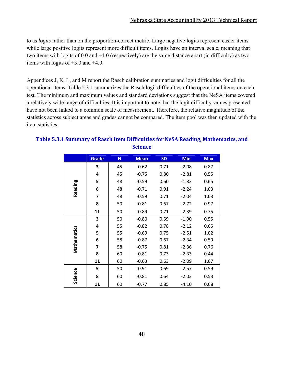to as *logits* rather than on the proportion-correct metric. Large negative logits represent easier items while large positive logits represent more difficult items. Logits have an interval scale, meaning that two items with logits of 0.0 and +1.0 (respectively) are the same distance apart (in difficulty) as two items with logits of +3.0 and +4.0.

Appendices J, K, L, and M report the Rasch calibration summaries and logit difficulties for all the operational items. Table 5.3.1 summarizes the Rasch logit difficulties of the operational items on each test. The minimum and maximum values and standard deviations suggest that the NeSA items covered a relatively wide range of difficulties. It is important to note that the logit difficulty values presented have not been linked to a common scale of measurement. Therefore, the relative magnitude of the statistics across subject areas and grades cannot be compared. The item pool was then updated with the item statistics.

|             | <b>Grade</b> | N  | <b>Mean</b> | <b>SD</b> | <b>Min</b> | <b>Max</b> |
|-------------|--------------|----|-------------|-----------|------------|------------|
|             | 3            | 45 | $-0.62$     | 0.71      | $-2.08$    | 0.87       |
|             | 4            | 45 | $-0.75$     | 0.80      | $-2.81$    | 0.55       |
|             | 5            | 48 | $-0.59$     | 0.60      | $-1.82$    | 0.65       |
| Reading     | 6            | 48 | $-0.71$     | 0.91      | $-2.24$    | 1.03       |
|             | 7            | 48 | $-0.59$     | 0.71      | $-2.04$    | 1.03       |
|             | 8            | 50 | $-0.81$     | 0.67      | $-2.72$    | 0.97       |
|             | 11           | 50 | $-0.89$     | 0.71      | $-2.39$    | 0.75       |
|             | 3            | 50 | $-0.80$     | 0.59      | $-1.90$    | 0.55       |
|             | 4            | 55 | $-0.82$     | 0.78      | $-2.12$    | 0.65       |
| Mathematics | 5            | 55 | $-0.69$     | 0.75      | $-2.51$    | 1.02       |
|             | 6            | 58 | $-0.87$     | 0.67      | $-2.34$    | 0.59       |
|             | 7            | 58 | $-0.75$     | 0.81      | $-2.36$    | 0.76       |
|             | 8            | 60 | $-0.81$     | 0.73      | $-2.33$    | 0.44       |
|             | 11           | 60 | $-0.63$     | 0.63      | $-2.09$    | 1.07       |
|             | 5            | 50 | $-0.91$     | 0.69      | $-2.57$    | 0.59       |
| Science     | 8            | 60 | $-0.81$     | 0.64      | $-2.03$    | 0.53       |
|             | 11           | 60 | $-0.77$     | 0.85      | $-4.10$    | 0.68       |

#### **Table 5.3.1 Summary of Rasch Item Difficulties for NeSA Reading, Mathematics, and Science**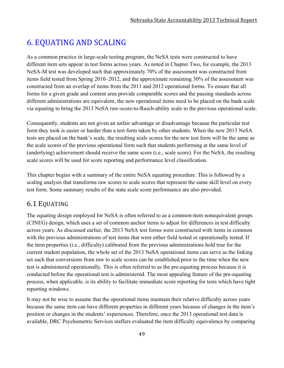# 6. EQUATING AND SCALING

As a common practice in large-scale testing program, the NeSA tests were constructed to have different item sets appear in test forms across years. As noted in Chapter Two, for example, the 2013 NeSA-M test was developed such that approximately 70% of the assessment was constructed from items field tested from Spring 2010–2012, and the approximate remaining 30% of the assessment was constructed from an overlap of items from the 2011 and 2012 operational forms. To ensure that all forms for a given grade and content area provide comparable scores and the passing standards across different administrations are equivalent, the new operational items need to be placed on the bank scale via equating to bring the 2013 NeSA raw-score-to-Rasch-ability scale to the previous operational scale.

Consequently, students are not given an unfair advantage or disadvantage because the particular test form they took is easier or harder than a test form taken by other students. When the new 2013 NeSA tests are placed on the bank's scale, the resulting scale scores for the new test form will be the same as the scale scores of the previous operational form such that students performing at the same level of (underlying) achievement should receive the same score (i.e., scale score). For the NeSA, the resulting scale scores will be used for score reporting and performance level classification.

This chapter begins with a summary of the entire NeSA equating procedure. This is followed by a scaling analysis that transforms raw scores to scale scores that represent the same skill level on every test form. Some summary results of the state scale score performance are also provided.

## 6.1 EQUATING

The equating design employed for NeSA is often referred to as a common-item nonequivalent groups (CINEG) design, which uses a set of common anchor items to adjust for differences in test difficulty across years. As discussed earlier, the 2013 NeSA test forms were constructed with items in common with the previous administrations of test items that were either field tested or operationally tested. If the item properties (i.e., difficulty) calibrated from the previous administrations hold true for the current student population, the whole set of the 2013 NeSA operational items can serve as the linking set such that conversions from raw to scale scores can be established prior to the time when the new test is administered operationally. This is often referred to as the pre-equating process because it is conducted before the operational test is administered. The most appealing feature of the pre-equating process, when applicable, is its ability to facilitate immediate score reporting for tests which have tight reporting windows.

It may not be wise to assume that the operational items maintain their relative difficulty across years because the same item can have different properties in different years because of changes in the item's position or changes in the students' experiences. Therefore, once the 2013 operational test data is available, DRC Psychometric Services staffers evaluated the item difficulty equivalence by comparing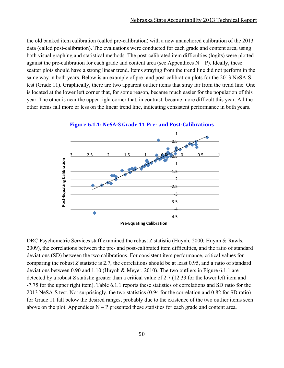the old banked item calibration (called pre-calibration) with a new unanchored calibration of the 2013 data (called post-calibration). The evaluations were conducted for each grade and content area, using both visual graphing and statistical methods. The post-calibrated item difficulties (logits) were plotted against the pre-calibration for each grade and content area (see Appendices  $N - P$ ). Ideally, these scatter plots should have a strong linear trend. Items straying from the trend line did not perform in the same way in both years. Below is an example of pre- and post-calibration plots for the 2013 NeSA-S test (Grade 11). Graphically, there are two apparent outlier items that stray far from the trend line. One is located at the lower left corner that, for some reason, became much easier for the population of this year. The other is near the upper right corner that, in contrast, became more difficult this year. All the other items fall more or less on the linear trend line, indicating consistent performance in both years.



**Figure 6.1.1: NeSA‐S Grade 11 Pre‐ and Post‐Calibrations**

DRC Psychometric Services staff examined the robust *Z* statistic (Huynh, 2000; Huynh & Rawls, 2009), the correlations between the pre- and post-calibrated item difficulties, and the ratio of standard deviations (SD) between the two calibrations. For consistent item performance, critical values for comparing the robust *Z* statistic is 2.7, the correlations should be at least 0.95, and a ratio of standard deviations between 0.90 and 1.10 (Huynh & Meyer, 2010). The two outliers in Figure 6.1.1 are detected by a robust *Z* statistic greater than a critical value of 2.7 (12.33 for the lower left item and -7.75 for the upper right item). Table 6.1.1 reports these statistics of correlations and SD ratio for the 2013 NeSA-S test. Not surprisingly, the two statistics (0.94 for the correlation and 0.82 for SD ratio) for Grade 11 fall below the desired ranges, probably due to the existence of the two outlier items seen above on the plot. Appendices  $N - P$  presented these statistics for each grade and content area.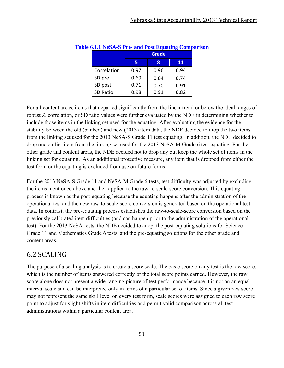|             | Grade |      |      |  |  |  |  |  |
|-------------|-------|------|------|--|--|--|--|--|
|             | 5     | я    | 11   |  |  |  |  |  |
| Correlation | 0.97  | 0.96 | 0.94 |  |  |  |  |  |
| SD pre      | 0.69  | 0.64 | 0.74 |  |  |  |  |  |
| SD post     | 0.71  | 0.70 | 0.91 |  |  |  |  |  |
| SD Ratio    | 0.98  | 0.91 | 0.82 |  |  |  |  |  |

#### **Table 6.1.1 NeSA-S Pre- and Post Equating Comparison**

For all content areas, items that departed significantly from the linear trend or below the ideal ranges of robust *Z*, correlation, or SD ratio values were further evaluated by the NDE in determining whether to include those items in the linking set used for the equating. After evaluating the evidence for the stability between the old (banked) and new (2013) item data, the NDE decided to drop the two items from the linking set used for the 2013 NeSA-S Grade 11 test equating. In addition, the NDE decided to drop one outlier item from the linking set used for the 2013 NeSA-M Grade 6 test equating. For the other grade and content areas, the NDE decided not to drop any but keep the whole set of items in the linking set for equating. As an additional protective measure, any item that is dropped from either the test form or the equating is excluded from use on future forms.

For the 2013 NeSA-S Grade 11 and NeSA-M Grade 6 tests, test difficulty was adjusted by excluding the items mentioned above and then applied to the raw-to-scale-score conversion. This equating process is known as the post-equating because the equating happens after the administration of the operational test and the new raw-to-scale-score conversion is generated based on the operational test data. In contrast, the pre-equating process establishes the raw-to-scale-score conversion based on the previously calibrated item difficulties (and can happen prior to the administration of the operational test). For the 2013 NeSA-tests, the NDE decided to adopt the post-equating solutions for Science Grade 11 and Mathematics Grade 6 tests, and the pre-equating solutions for the other grade and content areas.

## 6.2 SCALING

The purpose of a scaling analysis is to create a score scale. The basic score on any test is the raw score, which is the number of items answered correctly or the total score points earned. However, the raw score alone does not present a wide-ranging picture of test performance because it is not on an equalinterval scale and can be interpreted only in terms of a particular set of items. Since a given raw score may not represent the same skill level on every test form, scale scores were assigned to each raw score point to adjust for slight shifts in item difficulties and permit valid comparison across all test administrations within a particular content area.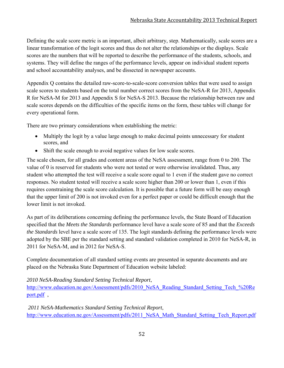Defining the scale score metric is an important, albeit arbitrary, step. Mathematically, scale scores are a linear transformation of the logit scores and thus do not alter the relationships or the displays. Scale scores are the numbers that will be reported to describe the performance of the students, schools, and systems. They will define the ranges of the performance levels, appear on individual student reports and school accountability analyses, and be dissected in newspaper accounts.

Appendix Q contains the detailed raw-score-to-scale-score conversion tables that were used to assign scale scores to students based on the total number correct scores from the NeSA-R for 2013, Appendix R for NeSA-M for 2013 and Appendix S for NeSA-S 2013. Because the relationship between raw and scale scores depends on the difficulties of the specific items on the form, these tables will change for every operational form.

There are two primary considerations when establishing the metric:

- Multiply the logit by a value large enough to make decimal points unnecessary for student scores, and
- Shift the scale enough to avoid negative values for low scale scores.

The scale chosen, for all grades and content areas of the NeSA assessment, range from 0 to 200. The value of 0 is reserved for students who were not tested or were otherwise invalidated. Thus, any student who attempted the test will receive a scale score equal to 1 even if the student gave no correct responses. No student tested will receive a scale score higher than 200 or lower than 1, even if this requires constraining the scale score calculation. It is possible that a future form will be easy enough that the upper limit of 200 is not invoked even for a perfect paper or could be difficult enough that the lower limit is not invoked.

As part of its deliberations concerning defining the performance levels, the State Board of Education specified that the *Meets the Standards* performance level have a scale score of 85 and that the *Exceeds the Standards* level have a scale score of 135. The logit standards defining the performance levels were adopted by the SBE per the standard setting and standard validation completed in 2010 for NeSA-R, in 2011 for NeSA-M, and in 2012 for NeSA-S.

Complete documentation of all standard setting events are presented in separate documents and are placed on the Nebraska State Department of Education website labeled:

#### *2010 NeSA-Reading Standard Setting Technical Report*,

http://www.education.ne.gov/Assessment/pdfs/2010\_NeSA\_Reading\_Standard\_Setting\_Tech\_%20Re port.pdf ,

 *2011 NeSA-Mathematics Standard Setting Technical Report*, http://www.education.ne.gov/Assessment/pdfs/2011\_NeSA\_Math\_Standard\_Setting\_Tech\_Report.pdf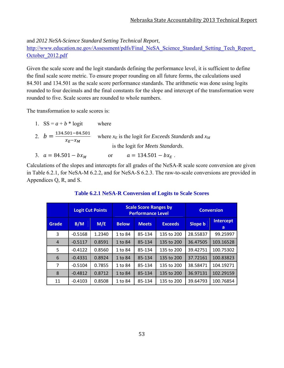and *2012 NeSA-Science Standard Setting Technical Report*,

http://www.education.ne.gov/Assessment/pdfs/Final\_NeSA\_Science\_Standard\_Setting\_Tech\_Report October\_2012.pdf

Given the scale score and the logit standards defining the performance level, it is sufficient to define the final scale score metric. To ensure proper rounding on all future forms, the calculations used 84.501 and 134.501 as the scale score performance standards. The arithmetic was done using logits rounded to four decimals and the final constants for the slope and intercept of the transformation were rounded to five. Scale scores are rounded to whole numbers.

The transformation to scale scores is:

| 1. $SS = a + b * logit$                                  | where                                                           |
|----------------------------------------------------------|-----------------------------------------------------------------|
| 2. $b = \frac{134.501 - 84.501}{ }$<br>$\chi_F - \chi_M$ | where $x_E$ is the logit for <i>Exceeds Standards</i> and $x_M$ |
|                                                          | is the logit for <i>Meets Standards</i> .                       |
| 3. $a = 84.501 - bx_M$                                   | $a = 134.501 - bx_E$ .<br>or                                    |

Calculations of the slopes and intercepts for all grades of the NeSA-R scale score conversion are given in Table 6.2.1, for NeSA-M 6.2.2, and for NeSA-S 6.2.3. The raw-to-scale conversions are provided in Appendices Q, R, and S.

|                |           | <b>Logit Cut Points</b> |              | <b>Scale Score Ranges by</b><br><b>Performance Level</b> | <b>Conversion</b> |                |                       |
|----------------|-----------|-------------------------|--------------|----------------------------------------------------------|-------------------|----------------|-----------------------|
| Grade          | B/M       | M/E                     | <b>Below</b> | <b>Meets</b>                                             | <b>Exceeds</b>    | <b>Slope b</b> | <b>Intercept</b><br>a |
| 3              | $-0.5168$ | 1.2340                  | 1 to 84      | 85-134                                                   | 135 to 200        | 28.55837       | 99.25997              |
| $\overline{4}$ | $-0.5117$ | 0.8591                  | 1 to 84      | 85-134                                                   | 135 to 200        | 36.47505       | 103.16528             |
| 5              | $-0.4122$ | 0.8560                  | 1 to 84      | 85-134                                                   | 135 to 200        | 39.42751       | 100.75302             |
| 6              | $-0.4331$ | 0.8924                  | 1 to 84      | 85-134                                                   | 135 to 200        | 37.72161       | 100.83823             |
| 7              | $-0.5104$ | 0.7855                  | 1 to 84      | 85-134                                                   | 135 to 200        | 38.58471       | 104.19271             |
| 8              | $-0.4812$ | 0.8712                  | 1 to 84      | 85-134                                                   | 135 to 200        | 36.97131       | 102.29159             |
| 11             | $-0.4103$ | 0.8508                  | 1 to 84      | 85-134                                                   | 135 to 200        | 39.64793       | 100.76854             |

#### **Table 6.2.1 NeSA-R Conversion of Logits to Scale Scores**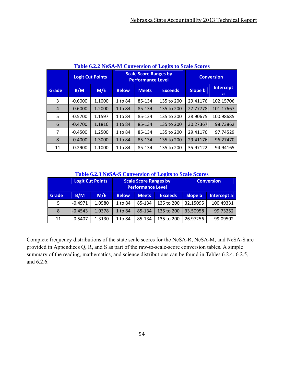|                |           | <b>Logit Cut Points</b> |              | <b>Scale Score Ranges by</b><br><b>Performance Level</b> | <b>Conversion</b> |                |                       |
|----------------|-----------|-------------------------|--------------|----------------------------------------------------------|-------------------|----------------|-----------------------|
| Grade          | B/M       | M/E                     | <b>Below</b> | <b>Meets</b>                                             | <b>Exceeds</b>    | <b>Slope b</b> | <b>Intercept</b><br>a |
| 3              | $-0.6000$ | 1.1000                  | 1 to 84      | 85-134                                                   | 135 to 200        | 29.41176       | 102.15706             |
| $\overline{4}$ | $-0.6000$ | 1.2000                  | 1 to 84      | 85-134                                                   | 135 to 200        | 27.77778       | 101.17667             |
| 5              | $-0.5700$ | 1.1597                  | 1 to 84      | 85-134                                                   | 135 to 200        | 28.90675       | 100.98685             |
| 6              | $-0.4700$ | 1.1816                  | 1 to 84      | 85-134                                                   | 135 to 200        | 30.27367       | 98.73862              |
| $\overline{7}$ | $-0.4500$ | 1.2500                  | 1 to 84      | 85-134                                                   | 135 to 200        | 29.41176       | 97.74529              |
| 8              | $-0.4000$ | 1.3000                  | 1 to 84      | 85-134                                                   | 135 to 200        | 29.41176       | 96.27470              |
| 11             | $-0.2900$ | 1.1000                  | 1 to 84      | 85-134                                                   | 135 to 200        | 35.97122       | 94.94165              |

**Table 6.2.2 NeSA-M Conversion of Logits to Scale Scores** 

**Table 6.2.3 NeSA-S Conversion of Logits to Scale Scores**

|       |           | Logit Cut Points<br><b>Scale Score Ranges by</b><br><b>Performance Level</b> |         |              | <b>Conversion</b> |          |             |
|-------|-----------|------------------------------------------------------------------------------|---------|--------------|-------------------|----------|-------------|
| Grade | B/M       | M/E<br><b>Below</b>                                                          |         | <b>Meets</b> | <b>Exceeds</b>    | Slope b  | Intercept a |
| 5     | $-0.4971$ | 1.0580                                                                       | 1 to 84 | 85-134       | 135 to 200        | 32.15095 | 100.49331   |
| 8     | $-0.4543$ | 1.0378                                                                       | 1 to 84 | 85-134       | 135 to 200        | 33.50958 | 99.73252    |
| 11    | $-0.5407$ | 1.3130                                                                       | 1 to 84 | 85-134       | 135 to 200        | 26.97256 | 99.09502    |

Complete frequency distributions of the state scale scores for the NeSA-R, NeSA-M, and NeSA-S are provided in Appendices Q, R, and S as part of the raw-to-scale-score conversion tables. A simple summary of the reading, mathematics, and science distributions can be found in Tables 6.2.4, 6.2.5, and 6.2.6.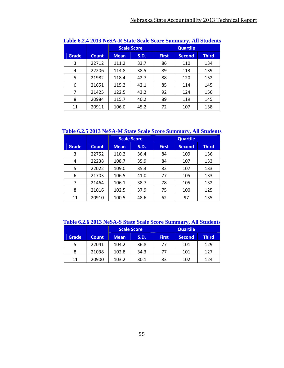|              |              |             | <b>Scale Score</b> |              |               |              |
|--------------|--------------|-------------|--------------------|--------------|---------------|--------------|
| <b>Grade</b> | <b>Count</b> | <b>Mean</b> | <b>S.D.</b>        | <b>First</b> | <b>Second</b> | <b>Third</b> |
| 3            | 22712        | 111.2       | 33.7               | 86           | 110           | 134          |
| 4            | 22206        | 114.8       | 38.5               | 89           | 113           | 139          |
| 5            | 21982        | 118.4       | 42.7               | 88           | 120           | 152          |
| 6            | 21651        | 115.2       | 42.1               | 85           | 114           | 145          |
| 7            | 21425        | 122.5       | 43.2               | 92           | 124           | 156          |
| 8            | 20984        | 115.7       | 40.2               | 89           | 119           | 145          |
| 11           | 20911        | 106.0       | 45.2               | 72           | 107           | 138          |

**Table 6.2.4 2013 NeSA-R State Scale Score Summary, All Students** 

#### **Table 6.2.5 2013 NeSA-M State Scale Score Summary, All Students**

|              |              |             | <b>Scale Score</b> |              |               |              |
|--------------|--------------|-------------|--------------------|--------------|---------------|--------------|
| <b>Grade</b> | <b>Count</b> | <b>Mean</b> | S.D.               | <b>First</b> | <b>Second</b> | <b>Third</b> |
| 3            | 22752        | 110.2       | 36.4               | 84           | 109           | 136          |
| 4            | 22238        | 108.7       | 35.9               | 84           | 107           | 133          |
| 5            | 22022        | 109.0       | 35.3               | 82           | 107           | 133          |
| 6            | 21703        | 106.5       | 41.0               | 77           | 105           | 133          |
| 7            | 21464        | 106.1       | 38.7               | 78           | 105           | 132          |
| 8            | 21016        | 102.5       | 37.9               | 75           | 100           | 125          |
| 11           | 20910        | 100.5       | 48.6               | 62           | 97            | 135          |

**Table 6.2.6 2013 NeSA-S State Scale Score Summary, All Students** 

|              |              | <b>Scale Score</b>                                   |      |              | <b>Quartile</b> |     |  |
|--------------|--------------|------------------------------------------------------|------|--------------|-----------------|-----|--|
| <b>Grade</b> | <b>Count</b> | <b>First</b><br>S.D.<br><b>Second</b><br><b>Mean</b> |      | <b>Third</b> |                 |     |  |
| 5            | 22041        | 104.2                                                | 36.8 | 77           | 101             | 129 |  |
| 8            | 21038        | 102.8                                                | 34.3 | 77           | 101             | 127 |  |
| 11           | 20900        | 103.2                                                | 30.1 | 83<br>102    |                 | 124 |  |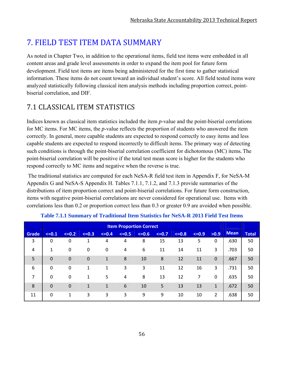# **7. FIELD TEST ITEM DATA SUMMARY**

As noted in Chapter Two, in addition to the operational items, field test items were embedded in all content areas and grade level assessments in order to expand the item pool for future form development. Field test items are items being administered for the first time to gather statistical information. These items do not count toward an individual student's score. All field tested items were analyzed statistically following classical item analysis methods including proportion correct, pointbiserial correlation, and DIF.

# 7.1 CLASSICAL ITEM STATISTICS

Indices known as classical item statistics included the item *p*-value and the point-biserial correlations for MC items. For MC items, the *p*-value reflects the proportion of students who answered the item correctly. In general, more capable students are expected to respond correctly to easy items and less capable students are expected to respond incorrectly to difficult items. The primary way of detecting such conditions is through the point-biserial correlation coefficient for dichotomous (MC) items. The point-biserial correlation will be positive if the total test mean score is higher for the students who respond correctly to MC items and negative when the reverse is true.

 The traditional statistics are computed for each NeSA-R field test item in Appendix F, for NeSA-M Appendix G and NeSA-S Appendix H. Tables 7.1.1, 7.1.2, and 7.1.3 provide summaries of the distributions of item proportion correct and point-biserial correlations. For future form construction, items with negative point-biserial correlations are never considered for operational use. Items with correlations less than 0.2 or proportion correct less than 0.3 or greater 0.9 are avoided when possible.

|                |             |              |             |              |         | <b>Item Proportion Correct</b> |         |         |         |              |             |              |
|----------------|-------------|--------------|-------------|--------------|---------|--------------------------------|---------|---------|---------|--------------|-------------|--------------|
| Grade          | $\leq -0.1$ | $\leq -0.2$  | $\leq -0.3$ | $\leq 0.4$   | $<=0.5$ | $<=0.6$                        | $<=0.7$ | $<=0.8$ | $<=0.9$ | >0.9         | <b>Mean</b> | <b>Total</b> |
| 3              | 0           | 0            | 1           | 4            | 4       | 8                              | 15      | 13      | 5       | $\mathbf{0}$ | .630        | 50           |
| $\overline{4}$ | 1           | 0            | 0           | 0            | 4       | 6                              | 11      | 14      | 11      | 3            | .703        | 50           |
| 5              | 0           | $\mathbf 0$  | $\mathbf 0$ | $\mathbf{1}$ | 8       | 10                             | 8       | 12      | 11      | $\mathbf 0$  | .667        | 50           |
| 6              | $\mathbf 0$ | 0            | 1           | 1            | 3       | 3                              | 11      | 12      | 16      | 3            | .731        | 50           |
| 7              | $\Omega$    | 0            | 1           | 5            | 4       | 8                              | 13      | 12      | 7       | $\mathbf{0}$ | .635        | 50           |
| 8              | $\mathbf 0$ | 0            | 1           | 1            | 6       | 10                             | 5       | 13      | 13      | $\mathbf{1}$ | .672        | 50           |
| 11             | $\Omega$    | $\mathbf{1}$ | 3           | 3            | 3       | 9                              | 9       | 10      | 10      | 2            | .638        | 50           |

|  |  | Table 7.1.1 Summary of Traditional Item Statistics for NeSA-R 2013 Field Test Items |
|--|--|-------------------------------------------------------------------------------------|
|  |  |                                                                                     |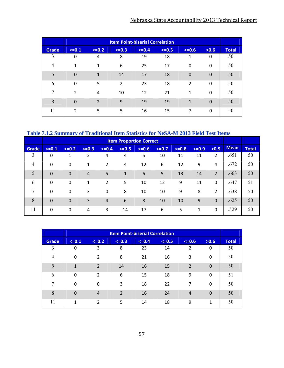## Nebraska State Accountability 2013 Technical Report

|                |                | <b>Item Point-biserial Correlation</b> |         |         |         |                |          |              |  |  |  |
|----------------|----------------|----------------------------------------|---------|---------|---------|----------------|----------|--------------|--|--|--|
| <b>Grade</b>   | $<=0.1$        | $\leq -0.2$                            | $<=0.3$ | $<=0.4$ | $<=0.5$ | $<=0.6$        | >0.6     | <b>Total</b> |  |  |  |
| 3              | 0              | 4                                      | 8       | 19      | 18      | 1              | 0        | 50           |  |  |  |
| $\overline{4}$ | 1              | $\mathbf{1}$                           | 6       | 25      | 17      | 0              | $\Omega$ | 50           |  |  |  |
| 5              | $\Omega$       | 1                                      | 14      | 17      | 18      | $\Omega$       | $\Omega$ | 50           |  |  |  |
| 6              | $\Omega$       | 5                                      | 2       | 23      | 18      | $\overline{2}$ | $\Omega$ | 50           |  |  |  |
| 7              | $\overline{2}$ | 4                                      | 10      | 12      | 21      | 1              | $\Omega$ | 50           |  |  |  |
| 8              | $\Omega$       | $\overline{\phantom{0}}$               | 9       | 19      | 19      | $\mathbf{1}$   | $\Omega$ | 50           |  |  |  |
| 11             | $\overline{2}$ | 5                                      | 5       | 16      | 15      | 7              | 0        | 50           |  |  |  |

#### **Table 7.1.2 Summary of Traditional Item Statistics for NeSA-M 2013 Field Test Items**

|                |             |             |                |                | <b>Item Proportion Correct</b> |         |         |         |         |                |             |              |
|----------------|-------------|-------------|----------------|----------------|--------------------------------|---------|---------|---------|---------|----------------|-------------|--------------|
| <b>Grade</b>   | $\leq -0.1$ | $\leq -0.2$ | $\leq -0.3$    | $<=0.4$        | $<=0.5$                        | $<=0.6$ | $<=0.7$ | $<=0.8$ | $<=0.9$ | >0.9           | <b>Mean</b> | <b>Total</b> |
| 3              | 0           | 1           | 2              | 4              | 4                              | 5       | 10      | 11      | 11      | 2              | .651        | 50           |
| $\overline{4}$ | $\Omega$    | $\mathbf 0$ | 1              | 2              | 4                              | 12      | 6       | 12      | 9       | 4              | .672        | 50           |
| 5              | $\Omega$    | 0           | $\overline{4}$ | 5              | $\mathbf{1}$                   | 6       | 5       | 13      | 14      | $\overline{2}$ | .663        | 50           |
| 6              | 0           | 0           | 1              | 2              | 5                              | 10      | 12      | 9       | 11      | 0              | .647        | 51           |
| $\overline{7}$ | $\Omega$    | $\mathbf 0$ | 3              | 0              | 8                              | 10      | 10      | 9       | 8       | $\overline{2}$ | .638        | 50           |
| 8              | $\Omega$    | 0           | 3              | $\overline{4}$ | 6                              | 8       | 10      | 10      | 9       | $\Omega$       | .625        | 50           |
| 11             | $\mathbf 0$ | $\mathbf 0$ | 4              | 3              | 14                             | 17      | 6       | 5       | 1       | 0              | .529        | 50           |

|                |              |                |                | <b>Item Point-biserial Correlation</b> |         |                |              |              |
|----------------|--------------|----------------|----------------|----------------------------------------|---------|----------------|--------------|--------------|
| Grade          | $<=0.1$      | $<=0.2$        | $<=0.3$        | $<=0.4$                                | $<=0.5$ | $<=0.6$        | >0.6         | <b>Total</b> |
| 3              | 0            | 3              | 8              | 23                                     | 14      | $\overline{2}$ | 0            | 50           |
| $\overline{4}$ | 0            | $\overline{2}$ | 8              | 21                                     | 16      | 3              | $\Omega$     | 50           |
| 5              | $\mathbf{1}$ | $\mathcal{P}$  | 14             | 16                                     | 15      | $\overline{2}$ | $\Omega$     | 50           |
| 6              | 0            | $\overline{2}$ | 6              | 15                                     | 18      | 9              | 0            | 51           |
| $\overline{7}$ | 0            | 0              | 3              | 18                                     | 22      | 7              | $\mathbf{0}$ | 50           |
| 8              | $\Omega$     | $\overline{4}$ | $\overline{2}$ | 16                                     | 24      | $\overline{4}$ | $\Omega$     | 50           |
| 11             | 1            | $\overline{2}$ | 5              | 14                                     | 18      | 9              | 1            | 50           |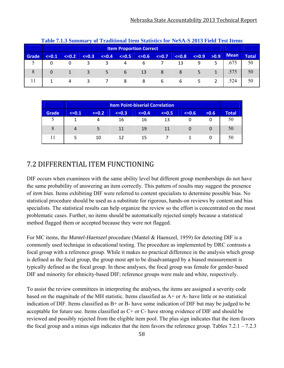|       |         | Table 7.1.3 Summary of Traditional Item Statistics for NeSA-S 2013 Field Test Items |             |            |            |             |            |             |         |      |      |              |
|-------|---------|-------------------------------------------------------------------------------------|-------------|------------|------------|-------------|------------|-------------|---------|------|------|--------------|
|       |         | <b>Item Proportion Correct</b>                                                      |             |            |            |             |            |             |         |      |      |              |
| Grade | $<=0.1$ | $\leq -0.2$                                                                         | $\leq -0.3$ | $\leq 0.4$ | $\leq 0.5$ | $\leq -0.6$ | $\leq 0.7$ | $\leq -0.8$ | $<=0.9$ | >0.9 | Mean | <b>Total</b> |
|       |         |                                                                                     |             |            |            |             |            | 13          | 9       |      | .675 | 50           |
| 8     | 0       |                                                                                     |             |            | 6          | 13          |            | 8           |         |      | .575 | 50           |
|       |         | 4                                                                                   |             |            | 8          | 8           |            | 6           |         |      | .524 | 50           |

|       |         | <b>Item Point-biserial Correlation</b>                      |    |    |    |  |   |    |  |  |  |  |  |
|-------|---------|-------------------------------------------------------------|----|----|----|--|---|----|--|--|--|--|--|
| Grade | $<=0.1$ | $<=0.3$<br>$<=0.5$<br>$<=0.2$<br>$<=0.4$<br>$<=0.6$<br>>0.6 |    |    |    |  |   |    |  |  |  |  |  |
| ر     |         | 4                                                           | 16 | 16 | 13 |  | 0 | 50 |  |  |  |  |  |
| 8     | 4       |                                                             | 11 | 19 | 11 |  | 0 | 50 |  |  |  |  |  |
| 11    |         | 10                                                          | 12 | 15 |    |  | 0 | 50 |  |  |  |  |  |

### 7.2 DIFFERENTIAL ITEM FUNCTIONING

DIF occurs when examinees with the same ability level but different group memberships do not have the same probability of answering an item correctly. This pattern of results may suggest the presence of *item bias*. Items exhibiting DIF were referred to content specialists to determine possible bias. No statistical procedure should be used as a substitute for rigorous, hands-on reviews by content and bias specialists. The statistical results can help organize the review so the effort is concentrated on the most problematic cases. Further, no items should be automatically rejected simply because a statistical method flagged them or accepted because they were not flagged.

For MC items, the *Mantel-Haenszel* procedure (Mantel & Haenszel, 1959) for detecting DIF is a commonly used technique in educational testing. The procedure as implemented by DRC contrasts a focal group with a reference group. While it makes no practical difference in the analysis which group is defined as the focal group, the group most apt to be disadvantaged by a biased measurement is typically defined as the focal group. In these analyses, the focal group was female for gender-based DIF and minority for ethnicity-based DIF; reference groups were male and white, respectively.

To assist the review committees in interpreting the analyses, the items are assigned a severity code based on the magnitude of the MH statistic. Items classified as A+ or A- have little or no statistical indication of DIF. Items classified as B+ or B- have some indication of DIF but may be judged to be acceptable for future use. Items classified as C+ or C- have strong evidence of DIF and should be reviewed and possibly rejected from the eligible item pool. The plus sign indicates that the item favors the focal group and a minus sign indicates that the item favors the reference group. Tables  $7.2.1 - 7.2.3$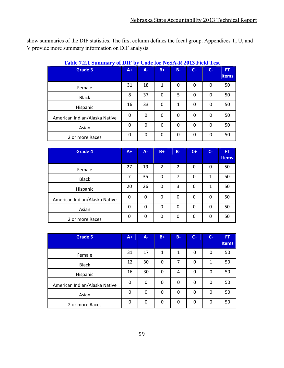show summaries of the DIF statistics. The first column defines the focal group. Appendices T, U, and V provide more summary information on DIF analysis.

| $\frac{1}{2}$ which is commuted to $\frac{1}{2}$ or $\frac{1}{2}$ and $\frac{1}{2}$ is $\frac{1}{2}$ or $\frac{1}{2}$ and $\frac{1}{2}$ is $\frac{1}{2}$ is $\frac{1}{2}$ |          |              |              |              |       |       |                           |
|---------------------------------------------------------------------------------------------------------------------------------------------------------------------------|----------|--------------|--------------|--------------|-------|-------|---------------------------|
| <b>Grade 3</b>                                                                                                                                                            | $A+$     | $A -$        | $B+$         | $B -$        | $C +$ | $C -$ | <b>FT</b><br><b>Items</b> |
| Female                                                                                                                                                                    | 31       | 18           | 1            | $\Omega$     | 0     | 0     | 50                        |
| <b>Black</b>                                                                                                                                                              | 8        | 37           | 0            | 5            | 0     | 0     | 50                        |
| Hispanic                                                                                                                                                                  | 16       | 33           | $\mathbf{0}$ | $\mathbf{1}$ | 0     | 0     | 50                        |
| American Indian/Alaska Native                                                                                                                                             | 0        | 0            | 0            | 0            | 0     | 0     | 50                        |
| Asian                                                                                                                                                                     | $\Omega$ | $\Omega$     | $\mathbf{0}$ | $\Omega$     | 0     | 0     | 50                        |
| 2 or more Races                                                                                                                                                           | $\Omega$ | $\mathbf{0}$ | $\mathbf{0}$ | $\Omega$     | 0     | 0     | 50                        |

#### **Table 7.2.1 Summary of DIF by Code for NeSA-R 2013 Field Test**

| <b>Grade 4</b>                | $A+$     | A- | $B+$     | $B -$          | $C+$ | $C -$ | FT.<br><b>Items</b> |
|-------------------------------|----------|----|----------|----------------|------|-------|---------------------|
| Female                        | 27       | 19 | 2        | $\overline{2}$ | 0    | 0     | 50                  |
| <b>Black</b>                  | 7        | 35 | 0        | 7              | 0    | 1     | 50                  |
| Hispanic                      | 20       | 26 | 0        | 3              | 0    | 1     | 50                  |
| American Indian/Alaska Native | $\Omega$ | 0  | $\Omega$ | 0              | 0    | 0     | 50                  |
| Asian                         | $\Omega$ | 0  | $\Omega$ | $\Omega$       | 0    | 0     | 50                  |
| 2 or more Races               | $\Omega$ | 0  | 0        | $\Omega$       | 0    | 0     | 50                  |

| <b>Grade 5</b>                | $A+$     | A- | $B +$ | $B -$        | $C+$         | $C-$ | <b>FT</b><br><b>Items</b> |
|-------------------------------|----------|----|-------|--------------|--------------|------|---------------------------|
| Female                        | 31       | 17 | 1     | $\mathbf{1}$ | 0            | 0    | 50                        |
| <b>Black</b>                  | 12       | 30 | 0     | 7            | 0            | 1    | 50                        |
| Hispanic                      | 16       | 30 | 0     | 4            | $\Omega$     | 0    | 50                        |
| American Indian/Alaska Native | 0        | 0  | 0     | 0            | 0            | 0    | 50                        |
| Asian                         | $\Omega$ | 0  | 0     | $\Omega$     | $\mathbf{0}$ | 0    | 50                        |
| 2 or more Races               | 0        | 0  | 0     | 0            | 0            | 0    | 50                        |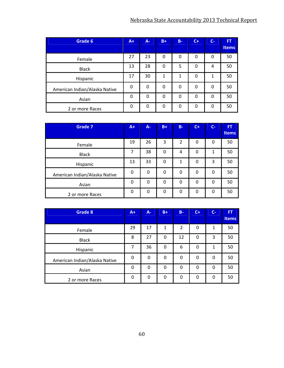| Grade 6                       | $A+$     | A-       | $B+$     | $B -$    | $C+$         | $C-$ | <b>FT</b>    |
|-------------------------------|----------|----------|----------|----------|--------------|------|--------------|
|                               |          |          |          |          |              |      | <b>Items</b> |
| Female                        | 27       | 23       | $\Omega$ | 0        | 0            | 0    | 50           |
| <b>Black</b>                  | 13       | 28       | $\Omega$ | 5        | 0            | 4    | 50           |
| Hispanic                      | 17       | 30       | 1        | 1        | $\Omega$     | 1    | 50           |
| American Indian/Alaska Native | $\Omega$ | $\Omega$ | 0        | 0        | 0            | 0    | 50           |
| Asian                         | 0        | 0        | 0        | 0        | $\Omega$     | 0    | 50           |
| 2 or more Races               | $\Omega$ | 0        | $\Omega$ | $\Omega$ | $\mathbf{0}$ | 0    | 50           |

| <b>Grade 7</b>                | $A+$     | $A -$    | $B+$     | $B -$          | $C+$ | $C-$ | <b>FT</b><br>Items |
|-------------------------------|----------|----------|----------|----------------|------|------|--------------------|
| Female                        | 19       | 26       | 3        | $\overline{2}$ | 0    | 0    | 50                 |
| <b>Black</b>                  | 7        | 38       | 0        | 4              | 0    | 1    | 50                 |
| Hispanic                      | 13       | 33       | 0        | 1              | 0    | 3    | 50                 |
| American Indian/Alaska Native | $\Omega$ | 0        | 0        | 0              | 0    | 0    | 50                 |
| Asian                         | $\Omega$ | $\Omega$ | $\Omega$ | $\mathbf{0}$   | 0    | 0    | 50                 |
| 2 or more Races               | $\Omega$ | $\Omega$ | 0        | 0              | 0    | 0    | 50                 |

| <b>Grade 8</b>                | $A+1$    | $A -$    | $B +$ | $B -$          | $C+$ | $C-$     | ÆT           |
|-------------------------------|----------|----------|-------|----------------|------|----------|--------------|
|                               |          |          |       |                |      |          | <b>Items</b> |
| Female                        | 29       | 17       | 1     | $\overline{2}$ | 0    | 1        | 50           |
| <b>Black</b>                  | 8        | 27       | 0     | 12             | 0    | 3        | 50           |
| Hispanic                      | 7        | 36       | 0     | 6              | 0    | 1        | 50           |
| American Indian/Alaska Native | $\Omega$ | 0        | 0     | 0              | 0    | 0        | 50           |
| Asian                         | 0        | $\Omega$ | 0     | $\Omega$       | 0    | $\Omega$ | 50           |
| 2 or more Races               | 0        | 0        | 0     | 0              | 0    | 0        | 50           |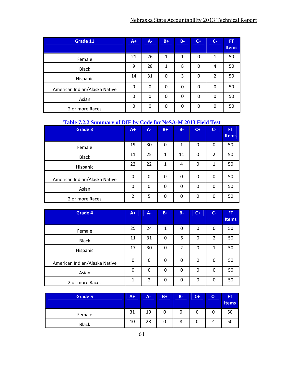| Grade 11                      | $A+$     | $A -$ | $B+$         | $B -$ | $C+$ | $C-$         | <b>FT</b>    |
|-------------------------------|----------|-------|--------------|-------|------|--------------|--------------|
|                               |          |       |              |       |      |              | <b>Items</b> |
| Female                        | 21       | 26    | 1            | 1     | 0    | 1            | 50           |
| <b>Black</b>                  | 9        | 28    | $\mathbf{1}$ | 8     | 0    | 4            | 50           |
| Hispanic                      | 14       | 31    | 0            | 3     | 0    | 2            | 50           |
| American Indian/Alaska Native | $\Omega$ | 0     | 0            | 0     | 0    | $\mathbf{0}$ | 50           |
| Asian                         | $\Omega$ | 0     | 0            | 0     | 0    | 0            | 50           |
| 2 or more Races               | 0        | 0     | 0            | 0     | 0    | 0            | 50           |

#### **Table 7.2.2 Summary of DIF by Code for NeSA-M 2013 Field Test**

| <b>Grade 3</b>                | $A+$     | A- | $B+$         | <b>B-</b> | $C +$ | $C -$          | FT,<br><b>Items</b> |
|-------------------------------|----------|----|--------------|-----------|-------|----------------|---------------------|
| Female                        | 19       | 30 | 0            | 1         | 0     | 0              | 50                  |
| <b>Black</b>                  | 11       | 25 | $\mathbf{1}$ | 11        | 0     | $\overline{2}$ | 50                  |
| Hispanic                      | 22       | 22 | 1            | 4         | 0     | 1              | 50                  |
| American Indian/Alaska Native | 0        | 0  | 0            | 0         | 0     | 0              | 50                  |
| Asian                         | $\Omega$ | 0  | 0            | 0         | 0     | $\Omega$       | 50                  |
| 2 or more Races               | 2        | 5  | 0            | 0         | 0     | 0              | 50                  |

| <b>Grade 4</b>                | $A+$     | $A -$          | $B+$ | $B -$          | $C+$     | $C-$           | FT<br><b>Items</b> |
|-------------------------------|----------|----------------|------|----------------|----------|----------------|--------------------|
| Female                        | 25       | 24             | 1    | 0              | 0        | 0              | 50                 |
| <b>Black</b>                  | 11       | 31             | 0    | 6              | 0        | $\overline{2}$ | 50                 |
| Hispanic                      | 17       | 30             | 0    | $\overline{2}$ | 0        | 1              | 50                 |
| American Indian/Alaska Native | $\Omega$ | 0              | 0    | 0              | $\Omega$ | 0              | 50                 |
| Asian                         | $\Omega$ | $\Omega$       | 0    | $\Omega$       | 0        | 0              | 50                 |
| 2 or more Races               | 1        | $\overline{2}$ | 0    | 0              | 0        | 0              | 50                 |

| <b>Grade 5</b> | A+ | A- | $B+$ | $B -$ | $\overline{C}$ | $C -$ | <b>FT</b><br><b>Items</b> |
|----------------|----|----|------|-------|----------------|-------|---------------------------|
| Female         | 31 | 19 |      | 0     | ι              |       | 50                        |
| <b>Black</b>   | 10 | 28 |      | 8     | L              | 4     | 50                        |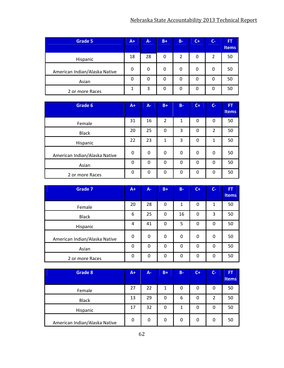| Grade 5                       | $A+$     | $A -$ | $B+$ | $B -$          | $C+$ | $C-$ | <b>FT</b><br><b>Items</b> |
|-------------------------------|----------|-------|------|----------------|------|------|---------------------------|
| Hispanic                      | 18       | 28    | 0    | $\overline{2}$ | 0    | 2    | 50                        |
| American Indian/Alaska Native | 0        |       | 0    | 0              | 0    |      | 50                        |
| Asian                         | $\Omega$ |       | 0    | 0              | 0    |      | 50                        |
| 2 or more Races               |          | 3     | 0    | 0              | 0    |      | 50                        |

| Grade 6                       | $A+$     | $A -$    | $B+$           | $B -$    | $C+$ | $C-$           | FT    |
|-------------------------------|----------|----------|----------------|----------|------|----------------|-------|
|                               |          |          |                |          |      |                | Items |
| Female                        | 31       | 16       | $\overline{2}$ | 1        | 0    | 0              | 50    |
| <b>Black</b>                  | 20       | 25       | 0              | 3        | 0    | $\overline{2}$ | 50    |
| Hispanic                      | 22       | 23       | 1              | 3        | 0    | 1              | 50    |
| American Indian/Alaska Native | $\Omega$ | 0        | 0              | 0        | 0    | 0              | 50    |
| Asian                         | $\Omega$ | $\Omega$ | $\Omega$       | $\Omega$ | 0    | 0              | 50    |
| 2 or more Races               | $\Omega$ | 0        | 0              | 0        | 0    | $\Omega$       | 50    |

| <b>Grade 7</b>                | $A+$     | A-           | $B +$ | $B -$    | $C +$ | $C-$     | FT<br><b>Items</b> |
|-------------------------------|----------|--------------|-------|----------|-------|----------|--------------------|
| Female                        | 20       | 28           | 0     | 1        | 0     | 1        | 50                 |
| <b>Black</b>                  | 6        | 25           | 0     | 16       | 0     | 3        | 50                 |
| Hispanic                      | 4        | 41           | 0     | 5        | 0     | $\Omega$ | 50                 |
| American Indian/Alaska Native | 0        | 0            | 0     | 0        | 0     | 0        | 50                 |
| Asian                         | $\Omega$ | $\mathbf{0}$ | 0     | 0        | 0     | $\Omega$ | 50                 |
| 2 or more Races               | $\Omega$ | $\mathbf{0}$ | 0     | $\Omega$ | 0     | $\Omega$ | 50                 |

| Grade 8                       | $A+$ | <b>A-</b> | $B+$ | $B -$ | $C+$ | <b>C-</b> | FT.<br><b>Items</b> |
|-------------------------------|------|-----------|------|-------|------|-----------|---------------------|
| Female                        | 27   | 22        | 1    | 0     | 0    | 0         | 50                  |
| <b>Black</b>                  | 13   | 29        | 0    | 6     | 0    | 2         | 50                  |
| Hispanic                      | 17   | 32        | 0    | 1     | 0    | 0         | 50                  |
| American Indian/Alaska Native | 0    | 0         | 0    | 0     | 0    | 0         | 50                  |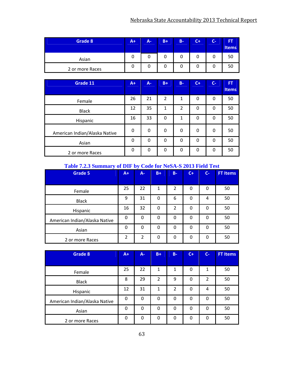| Grade 8         | $A+1$ | <b>A-</b> | $B+$ | B- | $\mathsf{C}\text{+}$ | $\mathsf{C}\text{-}$ | <b>FT</b><br><b>Items</b> |
|-----------------|-------|-----------|------|----|----------------------|----------------------|---------------------------|
| Asian           |       |           |      |    |                      |                      | 50                        |
| 2 or more Races |       |           |      |    |                      |                      |                           |

| Grade 11                      | $A+$     | $A -$    | $B+$           | $B -$          | $C+$ | $C-$     | FT<br><b>Items</b> |
|-------------------------------|----------|----------|----------------|----------------|------|----------|--------------------|
| Female                        | 26       | 21       | $\overline{2}$ | 1              | 0    | 0        | 50                 |
| <b>Black</b>                  | 12       | 35       | 1              | $\overline{2}$ | 0    | 0        | 50                 |
| Hispanic                      | 16       | 33       | 0              | 1              | 0    | 0        | 50                 |
| American Indian/Alaska Native | 0        | 0        | 0              | 0              | 0    | 0        | 50                 |
| Asian                         | $\Omega$ | $\Omega$ | $\Omega$       | $\Omega$       | 0    | 0        | 50                 |
| 2 or more Races               | $\Omega$ | $\Omega$ | $\Omega$       | $\Omega$       | 0    | $\Omega$ | 50                 |

#### **Table 7.2.3 Summary of DIF by Code for NeSA-S 2013 Field Test**

| <b>Grade 5</b>                | $A+$           | $\bullet$<br>A- | $B+$     | $B -$ | $C+$         | $C-$ | <b>FT Items</b> |
|-------------------------------|----------------|-----------------|----------|-------|--------------|------|-----------------|
|                               |                |                 |          |       |              |      |                 |
| Female                        | 25             | 22              | 1        | 2     | 0            | 0    | 50              |
| <b>Black</b>                  | 9              | 31              | 0        | 6     | 0            | 4    | 50              |
| Hispanic                      | 16             | 32              | 0        | 2     | 0            | 0    | 50              |
| American Indian/Alaska Native | $\Omega$       | $\Omega$        | 0        | 0     | $\mathbf{0}$ | 0    | 50              |
| Asian                         | $\Omega$       | $\Omega$        | $\Omega$ | 0     | 0            | 0    | 50              |
| 2 or more Races               | $\overline{2}$ | $\overline{2}$  | $\Omega$ | 0     | $\Omega$     | 0    | 50              |

| <b>Grade 8</b>                | $A+$     | A-       | $B+$           | $B -$ | $C+$     | $C-$           | <b>FT Items</b> |
|-------------------------------|----------|----------|----------------|-------|----------|----------------|-----------------|
|                               |          |          |                |       |          |                |                 |
| Female                        | 25       | 22       | 1              | 1     | $\Omega$ | 1              | 50              |
| <b>Black</b>                  | 8        | 29       | $\overline{2}$ | 9     | 0        | $\overline{2}$ | 50              |
| Hispanic                      | 12       | 31       | 1              | 2     | 0        | 4              | 50              |
| American Indian/Alaska Native | $\Omega$ | $\Omega$ | 0              | 0     | 0        | 0              | 50              |
| Asian                         | $\Omega$ | $\Omega$ | 0              | 0     | $\Omega$ | 0              | 50              |
| 2 or more Races               | 0        | 0        | 0              | 0     | 0        | 0              | 50              |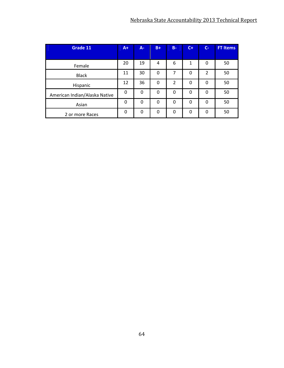| Grade 11                      | $A+$     | A-       | $B+$     | $B -$    | $C +$    | $C -$          | <b>FT Items</b> |
|-------------------------------|----------|----------|----------|----------|----------|----------------|-----------------|
|                               |          |          |          |          |          |                |                 |
| Female                        | 20       | 19       | 4        | 6        | 1        | 0              | 50              |
| <b>Black</b>                  | 11       | 30       | 0        | 7        | 0        | $\overline{2}$ | 50              |
| Hispanic                      | 12       | 36       | $\Omega$ | 2        | 0        | 0              | 50              |
| American Indian/Alaska Native | $\Omega$ | $\Omega$ | 0        | 0        | 0        | 0              | 50              |
| Asian                         | $\Omega$ | $\Omega$ | $\Omega$ | $\Omega$ | 0        | 0              | 50              |
| 2 or more Races               | $\Omega$ | $\Omega$ | $\Omega$ | 0        | $\Omega$ | $\Omega$       | 50              |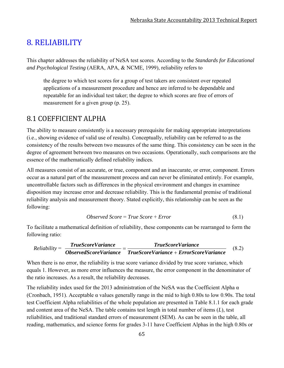# 8. RELIABILITY

This chapter addresses the reliability of NeSA test scores. According to the *Standards for Educational and Psychological Testing* (AERA, APA, & NCME, 1999), reliability refers to

the degree to which test scores for a group of test takers are consistent over repeated applications of a measurement procedure and hence are inferred to be dependable and repeatable for an individual test taker; the degree to which scores are free of errors of measurement for a given group (p. 25).

## 8.1 COEFFICIENT ALPHA

The ability to measure consistently is a necessary prerequisite for making appropriate interpretations (i.e., showing evidence of valid use of results). Conceptually, reliability can be referred to as the consistency of the results between two measures of the same thing. This consistency can be seen in the degree of agreement between two measures on two occasions. Operationally, such comparisons are the essence of the mathematically defined reliability indices.

All measures consist of an accurate, or true, component and an inaccurate, or error, component. Errors occur as a natural part of the measurement process and can never be eliminated entirely. For example, uncontrollable factors such as differences in the physical environment and changes in examinee disposition may increase error and decrease reliability. This is the fundamental premise of traditional reliability analysis and measurement theory. Stated explicitly, this relationship can be seen as the following:

$$
Observed Score = True Score + Error
$$
\n
$$
(8.1)
$$

To facilitate a mathematical definition of reliability, these components can be rearranged to form the following ratio:

$$
Reliability = \frac{TrueScoreVariance}{ObserveVariance} = \frac{TrueScoreVariance}{TrueScoreVariance + ErrorScoreVariance}
$$
(8.2)

When there is no error, the reliability is true score variance divided by true score variance, which equals 1. However, as more error influences the measure, the error component in the denominator of the ratio increases. As a result, the reliability decreases.

The reliability index used for the 2013 administration of the NeSA was the Coefficient Alpha  $\alpha$ (Cronbach, 1951). Acceptable α values generally range in the mid to high 0.80s to low 0.90s. The total test Coefficient Alpha reliabilities of the whole population are presented in Table 8.1.1 for each grade and content area of the NeSA. The table contains test length in total number of items (*L*), test reliabilities, and traditional standard errors of measurement (SEM). As can be seen in the table, all reading, mathematics, and science forms for grades 3-11 have Coefficient Alphas in the high 0.80s or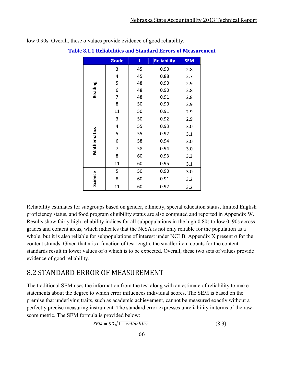|             | <b>Grade</b> | L  | <b>Reliability</b> | <b>SEM</b> |
|-------------|--------------|----|--------------------|------------|
| Reading     | 3            | 45 | 0.90               | 2.8        |
|             | 4            | 45 | 0.88               | 2.7        |
|             | 5            | 48 | 0.90               | 2.9        |
|             | 6            | 48 | 0.90               | 2.8        |
|             | 7            | 48 | 0.91               | 2.8        |
|             | 8            | 50 | 0.90               | 2.9        |
|             | 11           | 50 | 0.91               | 2.9        |
| Mathematics | 3            | 50 | 0.92               | 2.9        |
|             | 4            | 55 | 0.93               | 3.0        |
|             | 5            | 55 | 0.92               | 3.1        |
|             | 6            | 58 | 0.94               | 3.0        |
|             | 7            | 58 | 0.94               | 3.0        |
|             | 8            | 60 | 0.93               | 3.3        |
|             | 11           | 60 | 0.95               | 3.1        |
| Science     | 5            | 50 | 0.90               | 3.0        |
|             | 8            | 60 | 0.91               | 3.2        |
|             | 11           | 60 | 0.92               | 3.2        |

low 0.90s. Overall, these α values provide evidence of good reliability.

**Table 8.1.1 Reliabilities and Standard Errors of Measurement** 

Reliability estimates for subgroups based on gender, ethnicity, special education status, limited English proficiency status, and food program eligibility status are also computed and reported in Appendix W. Results show fairly high reliability indices for all subpopulations in the high 0.80s to low 0. 90s across grades and content areas, which indicates that the NeSA is not only reliable for the population as a whole, but it is also reliable for subpopulations of interest under NCLB. Appendix X present  $\alpha$  for the content strands. Given that  $\alpha$  is a function of test length, the smaller item counts for the content standards result in lower values of  $\alpha$  which is to be expected. Overall, these two sets of values provide evidence of good reliability.

## 8.2 STANDARD ERROR OF MEASUREMENT

The traditional SEM uses the information from the test along with an estimate of reliability to make statements about the degree to which error influences individual scores. The SEM is based on the premise that underlying traits, such as academic achievement, cannot be measured exactly without a perfectly precise measuring instrument. The standard error expresses unreliability in terms of the rawscore metric. The SEM formula is provided below:

$$
SEM = SD\sqrt{1 - reliability} \tag{8.3}
$$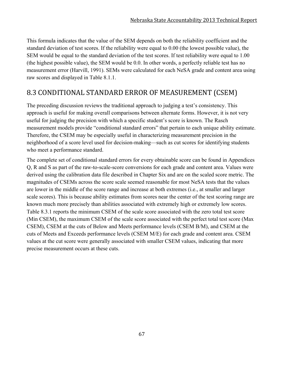This formula indicates that the value of the SEM depends on both the reliability coefficient and the standard deviation of test scores. If the reliability were equal to 0.00 (the lowest possible value), the SEM would be equal to the standard deviation of the test scores. If test reliability were equal to 1.00 (the highest possible value), the SEM would be 0.0. In other words, a perfectly reliable test has no measurement error (Harvill, 1991). SEMs were calculated for each NeSA grade and content area using raw scores and displayed in Table 8.1.1.

# 8.3 CONDITIONAL STANDARD ERROR OF MEASUREMENT (CSEM)

The preceding discussion reviews the traditional approach to judging a test's consistency. This approach is useful for making overall comparisons between alternate forms. However, it is not very useful for judging the precision with which a specific student's score is known. The Rasch measurement models provide "conditional standard errors" that pertain to each unique ability estimate. Therefore, the CSEM may be especially useful in characterizing measurement precision in the neighborhood of a score level used for decision-making—such as cut scores for identifying students who meet a performance standard.

The complete set of conditional standard errors for every obtainable score can be found in Appendices Q, R and S as part of the raw-to-scale-score conversions for each grade and content area. Values were derived using the calibration data file described in Chapter Six and are on the scaled score metric. The magnitudes of CSEMs across the score scale seemed reasonable for most NeSA tests that the values are lower in the middle of the score range and increase at both extremes (i.e., at smaller and larger scale scores). This is because ability estimates from scores near the center of the test scoring range are known much more precisely than abilities associated with extremely high or extremely low scores. Table 8.3.1 reports the minimum CSEM of the scale score associated with the zero total test score (Min CSEM), the maximum CSEM of the scale score associated with the perfect total test score (Max CSEM), CSEM at the cuts of Below and Meets performance levels (CSEM B/M), and CSEM at the cuts of Meets and Exceeds performance levels (CSEM M/E) for each grade and content area. CSEM values at the cut score were generally associated with smaller CSEM values, indicating that more precise measurement occurs at these cuts.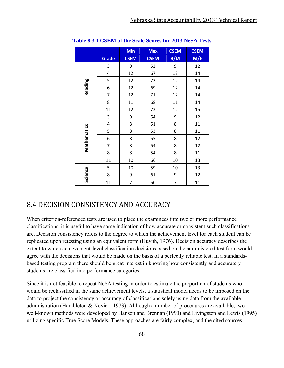|             |                         | <b>Min</b>  | <b>Max</b>  | <b>CSEM</b> | <b>CSEM</b> |
|-------------|-------------------------|-------------|-------------|-------------|-------------|
|             | Grade                   | <b>CSEM</b> | <b>CSEM</b> | B/M         | M/E         |
|             | 3                       | 9           | 52          | 9           | 12          |
|             | 4                       | 12          | 67          | 12          | 14          |
|             | 5                       | 12          | 72          | 12          | 14          |
| Reading     | 6                       | 12          | 69          | 12          | 14          |
|             | 7                       | 12          | 71          | 12          | 14          |
|             | 8                       | 11          | 68          | 11          | 14          |
|             | 11                      | 12          | 73          | 12          | 15          |
|             | 3                       | 9           | 54          | 9           | 12          |
|             | $\overline{\mathbf{4}}$ | 8           | 51          | 8           | 11          |
| Mathematics | 5                       | 8           | 53          | 8           | 11          |
|             | 6                       | 8           | 55          | 8           | 12          |
|             | 7                       | 8           | 54          | 8           | 12          |
|             | 8                       | 8           | 54          | 8           | 11          |
|             | 11                      | 10          | 66          | 10          | 13          |
|             | 5                       | 10          | 59          | 10          | 13          |
| Science     | 8                       | 9           | 61          | 9           | 12          |
|             | 11                      | 7           | 50          | 7           | 11          |

**Table 8.3.1 CSEM of the Scale Scores for 2013 NeSA Tests** 

# 8.4 DECISION CONSISTENCY AND ACCURACY

When criterion-referenced tests are used to place the examinees into two or more performance classifications, it is useful to have some indication of how accurate or consistent such classifications are. Decision consistency refers to the degree to which the achievement level for each student can be replicated upon retesting using an equivalent form (Huynh, 1976). Decision accuracy describes the extent to which achievement-level classification decisions based on the administered test form would agree with the decisions that would be made on the basis of a perfectly reliable test. In a standardsbased testing program there should be great interest in knowing how consistently and accurately students are classified into performance categories.

Since it is not feasible to repeat NeSA testing in order to estimate the proportion of students who would be reclassified in the same achievement levels, a statistical model needs to be imposed on the data to project the consistency or accuracy of classifications solely using data from the available administration (Hambleton & Novick, 1973). Although a number of procedures are available, two well-known methods were developed by Hanson and Brennan (1990) and Livingston and Lewis (1995) utilizing specific True Score Models. These approaches are fairly complex, and the cited sources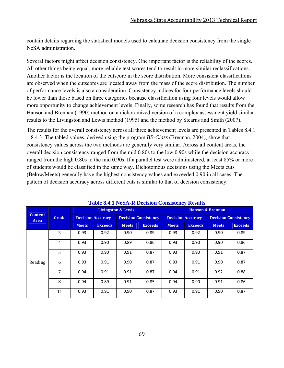contain details regarding the statistical models used to calculate decision consistency from the single NeSA administration.

Several factors might affect decision consistency. One important factor is the reliability of the scores. All other things being equal, more reliable test scores tend to result in more similar reclassifications. Another factor is the location of the cutscore in the score distribution. More consistent classifications are observed when the cutscores are located away from the mass of the score distribution. The number of performance levels is also a consideration. Consistency indices for four performance levels should be lower than those based on three categories because classification using four levels would allow more opportunity to change achievement levels. Finally, some research has found that results from the Hanson and Brennan (1990) method on a dichotomized version of a complex assessment yield similar results to the Livingston and Lewis method (1995) and the method by Stearns and Smith (2007).

The results for the overall consistency across all three achievement levels are presented in Tables 8.4.1 – 8.4.3. The tabled values, derived using the program *BB-Class* (Brennan, 2004), show that consistency values across the two methods are generally very similar. Across all content areas, the overall decision consistency ranged from the mid 0.80s to the low 0.90s while the decision accuracy ranged from the high 0.80s to the mid 0.90s. If a parallel test were administered, at least 85% or more of students would be classified in the same way. Dichotomous decisions using the Meets cuts (Below/Meets) generally have the highest consistency values and exceeded 0.90 in all cases. The pattern of decision accuracy across different cuts is similar to that of decision consistency.

|                               |       |              |                          |                               | Table 0.7.1 INCREA Decision Consistency Results |              |                          |                             |                |
|-------------------------------|-------|--------------|--------------------------|-------------------------------|-------------------------------------------------|--------------|--------------------------|-----------------------------|----------------|
|                               |       |              |                          | <b>Livingston &amp; Lewis</b> |                                                 |              |                          | <b>Hanson &amp; Brennan</b> |                |
| <b>Content</b><br><b>Area</b> | Grade |              | <b>Decision Accuracy</b> |                               | <b>Decision Consistency</b>                     |              | <b>Decision Accuracy</b> | <b>Decision Consistency</b> |                |
|                               |       | <b>Meets</b> | <b>Exceeds</b>           | <b>Meets</b>                  | <b>Exceeds</b>                                  | <b>Meets</b> | <b>Exceeds</b>           | <b>Meets</b>                | <b>Exceeds</b> |
|                               | 3     | 0.93         | 0.92                     | 0.90                          | 0.89                                            | 0.93         | 0.92                     | 0.90                        | 0.89           |
|                               | 4     | 0.93         | 0.90                     | 0.89                          | 0.86                                            | 0.93         | 0.90                     | 0.90                        | 0.86           |
|                               | 5     | 0.93         | 0.90                     | 0.91                          | 0.87                                            | 0.93         | 0.90                     | 0.91                        | 0.87           |
| Reading                       | 6     | 0.93         | 0.91                     | 0.90                          | 0.87                                            | 0.93         | 0.91                     | 0.90                        | 0.87           |
|                               | 7     | 0.94         | 0.91                     | 0.91                          | 0.87                                            | 0.94         | 0.91                     | 0.92                        | 0.88           |
|                               | 8     | 0.94         | 0.89                     | 0.91                          | 0.85                                            | 0.94         | 0.90                     | 0.91                        | 0.86           |
|                               | 11    | 0.93         | 0.91                     | 0.90                          | 0.87                                            | 0.93         | 0.91                     | 0.90                        | 0.87           |

#### **Table 8.4.1 NeSA-R Decision Consistency Results**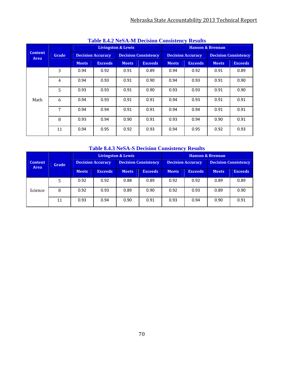| <b>Table 6.4.2 INESA-IM DECISION CONSISTENCY RESULTS</b> |                |              |                          |                               |                             |              |                          |                             |                |  |
|----------------------------------------------------------|----------------|--------------|--------------------------|-------------------------------|-----------------------------|--------------|--------------------------|-----------------------------|----------------|--|
|                                                          |                |              |                          | <b>Livingston &amp; Lewis</b> |                             |              |                          | <b>Hanson &amp; Brennan</b> |                |  |
| <b>Content</b><br><b>Area</b>                            | Grade          |              | <b>Decision Accuracy</b> |                               | <b>Decision Consistency</b> |              | <b>Decision Accuracy</b> | <b>Decision Consistency</b> |                |  |
|                                                          |                | <b>Meets</b> | <b>Exceeds</b>           | <b>Meets</b>                  | <b>Exceeds</b>              | <b>Meets</b> | <b>Exceeds</b>           | <b>Meets</b>                | <b>Exceeds</b> |  |
|                                                          | 3              | 0.94         | 0.92                     | 0.91                          | 0.89                        | 0.94         | 0.92                     | 0.91                        | 0.89           |  |
|                                                          | $\overline{4}$ | 0.94         | 0.93                     | 0.91                          | 0.90                        | 0.94         | 0.93                     | 0.91                        | 0.90           |  |
|                                                          | 5              | 0.93         | 0.93                     | 0.91                          | 0.90                        | 0.93         | 0.93                     | 0.91                        | 0.90           |  |
| Math                                                     | 6              | 0.94         | 0.93                     | 0.91                          | 0.91                        | 0.94         | 0.93                     | 0.91                        | 0.91           |  |
|                                                          | 7              | 0.94         | 0.94                     | 0.91                          | 0.91                        | 0.94         | 0.94                     | 0.91                        | 0.91           |  |
|                                                          | 8              | 0.93         | 0.94                     | 0.90                          | 0.91                        | 0.93         | 0.94                     | 0.90                        | 0.91           |  |
|                                                          | 11             | 0.94         | 0.95                     | 0.92                          | 0.93                        | 0.94         | 0.95                     | 0.92                        | 0.93           |  |

## **Table 8.4.2 NeSA-M Decision Consistency Results**

### **Table 8.4.3 NeSA-S Decision Consistency Results**

|                               |       |                          |                | <b>Livingston &amp; Lewis</b> |                | <b>Hanson &amp; Brennan</b> |                          |                             |                |  |
|-------------------------------|-------|--------------------------|----------------|-------------------------------|----------------|-----------------------------|--------------------------|-----------------------------|----------------|--|
| <b>Content</b><br><b>Area</b> | Grade | <b>Decision Accuracy</b> |                | <b>Decision Consistency</b>   |                |                             | <b>Decision Accuracy</b> | <b>Decision Consistency</b> |                |  |
|                               |       | <b>Meets</b>             | <b>Exceeds</b> | <b>Meets</b>                  | <b>Exceeds</b> | <b>Meets</b>                | <b>Exceeds</b>           | <b>Meets</b>                | <b>Exceeds</b> |  |
|                               | 5     | 0.92                     | 0.92           | 0.88                          | 0.89           | 0.92                        | 0.92                     | 0.89                        | 0.89           |  |
| Science                       | 8     | 0.92                     | 0.93           | 0.89                          | 0.90           | 0.92                        | 0.93                     | 0.89                        | 0.90           |  |
|                               | 11    | 0.93                     | 0.94           | 0.90                          | 0.91           | 0.93                        | 0.94                     | 0.90                        | 0.91           |  |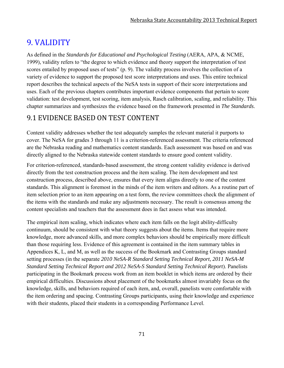# 9. VALIDITY

As defined in the *Standards for Educational and Psychological Testing* (AERA, APA, & NCME, 1999), validity refers to "the degree to which evidence and theory support the interpretation of test scores entailed by proposed uses of tests" (p. 9). The validity process involves the collection of a variety of evidence to support the proposed test score interpretations and uses. This entire technical report describes the technical aspects of the NeSA tests in support of their score interpretations and uses. Each of the previous chapters contributes important evidence components that pertain to score validation: test development, test scoring, item analysis, Rasch calibration, scaling, and reliability. This chapter summarizes and synthesizes the evidence based on the framework presented in *The Standards*.

# 9.1 EVIDENCE BASED ON TEST CONTENT

Content validity addresses whether the test adequately samples the relevant material it purports to cover. The NeSA for grades 3 through 11 is a criterion-referenced assessment. The criteria referenced are the Nebraska reading and mathematics content standards. Each assessment was based on and was directly aligned to the Nebraska statewide content standards to ensure good content validity.

For criterion-referenced, standards-based assessment, the strong content validity evidence is derived directly from the test construction process and the item scaling. The item development and test construction process, described above, ensures that every item aligns directly to one of the content standards. This alignment is foremost in the minds of the item writers and editors. As a routine part of item selection prior to an item appearing on a test form, the review committees check the alignment of the items with the standards and make any adjustments necessary. The result is consensus among the content specialists and teachers that the assessment does in fact assess what was intended.

The empirical item scaling, which indicates where each item falls on the logit ability-difficulty continuum, should be consistent with what theory suggests about the items. Items that require more knowledge, more advanced skills, and more complex behaviors should be empirically more difficult than those requiring less. Evidence of this agreement is contained in the item summary tables in Appendices K, L, and M, as well as the success of the Bookmark and Contrasting Groups standard setting processes (in the separate *2010 NeSA-R Standard Setting Technical Report, 2011 NeSA-M Standard Setting Technical Report and 2012 NeSA-S Standard Setting Technical Report*). Panelists participating in the Bookmark process work from an item booklet in which items are ordered by their empirical difficulties. Discussions about placement of the bookmarks almost invariably focus on the knowledge, skills, and behaviors required of each item, and, overall, panelists were comfortable with the item ordering and spacing. Contrasting Groups participants, using their knowledge and experience with their students, placed their students in a corresponding Performance Level.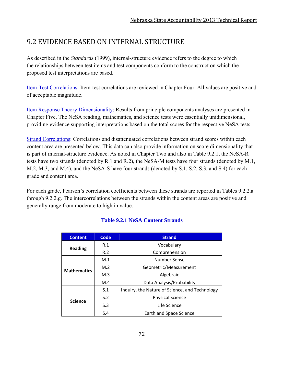# 9.2 EVIDENCE BASED ON INTERNAL STRUCTURE

As described in the *Standards* (1999), internal-structure evidence refers to the degree to which the relationships between test items and test components conform to the construct on which the proposed test interpretations are based.

Item-Test Correlations: Item-test correlations are reviewed in Chapter Four. All values are positive and of acceptable magnitude.

Item Response Theory Dimensionality: Results from principle components analyses are presented in Chapter Five. The NeSA reading, mathematics, and science tests were essentially unidimensional, providing evidence supporting interpretations based on the total scores for the respective NeSA tests.

Strand Correlations: Correlations and disattenuated correlations between strand scores within each content area are presented below. This data can also provide information on score dimensionality that is part of internal-structure evidence. As noted in Chapter Two and also in Table 9.2.1, the NeSA-R tests have two strands (denoted by R.1 and R.2), the NeSA-M tests have four strands (denoted by M.1, M.2, M.3, and M.4), and the NeSA-S have four strands (denoted by S.1, S.2, S.3, and S.4) for each grade and content area.

For each grade, Pearson's correlation coefficients between these strands are reported in Tables 9.2.2.a through 9.2.2.g. The intercorrelations between the strands within the content areas are positive and generally range from moderate to high in value.

| <b>Content</b>     | <b>Code</b> | <b>Strand</b>                                  |  |  |  |  |
|--------------------|-------------|------------------------------------------------|--|--|--|--|
| <b>Reading</b>     | R.1         | Vocabulary                                     |  |  |  |  |
|                    | R.2         | Comprehension                                  |  |  |  |  |
|                    | M.1         | Number Sense                                   |  |  |  |  |
| <b>Mathematics</b> | M.2         | Geometric/Measurement                          |  |  |  |  |
|                    | M.3         | Algebraic                                      |  |  |  |  |
|                    | M.4         | Data Analysis/Probability                      |  |  |  |  |
|                    | S.1         | Inquiry, the Nature of Science, and Technology |  |  |  |  |
|                    | S.2         | <b>Physical Science</b>                        |  |  |  |  |
| <b>Science</b>     | S.3         | Life Science                                   |  |  |  |  |
|                    | S.4         | Earth and Space Science                        |  |  |  |  |

# **Table 9.2.1 NeSA Content Strands**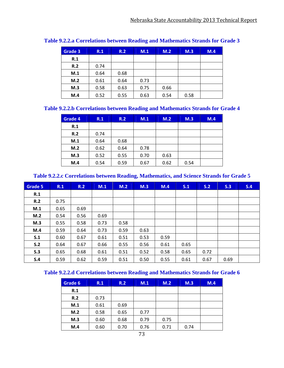| Grade 3 | R.1  | R.2  | M.1  | M.2  | M.3  | M.4 |
|---------|------|------|------|------|------|-----|
| R.1     |      |      |      |      |      |     |
| R.2     | 0.74 |      |      |      |      |     |
| M.1     | 0.64 | 0.68 |      |      |      |     |
| M.2     | 0.61 | 0.64 | 0.73 |      |      |     |
| M.3     | 0.58 | 0.63 | 0.75 | 0.66 |      |     |
| M.4     | 0.52 | 0.55 | 0.63 | 0.54 | 0.58 |     |

### **Table 9.2.2.a Correlations between Reading and Mathematics Strands for Grade 3**

## **Table 9.2.2.b Correlations between Reading and Mathematics Strands for Grade 4**

| <b>Grade 4</b> | R.1  | R.2  | M.1  | M.2  | M.3  | M.4 |
|----------------|------|------|------|------|------|-----|
| R.1            |      |      |      |      |      |     |
| R.2            | 0.74 |      |      |      |      |     |
| M.1            | 0.64 | 0.68 |      |      |      |     |
| M.2            | 0.62 | 0.64 | 0.78 |      |      |     |
| M.3            | 0.52 | 0.55 | 0.70 | 0.63 |      |     |
| M.4            | 0.54 | 0.59 | 0.67 | 0.62 | 0.54 |     |

### **Table 9.2.2.c Correlations between Reading, Mathematics, and Science Strands for Grade 5**

| <b>Grade 5</b> | R.1  | R.2  | M.1  | M.2  | M.3  | M.4  | S.1  | S.2  | S.3  | S.4 |
|----------------|------|------|------|------|------|------|------|------|------|-----|
| R.1            |      |      |      |      |      |      |      |      |      |     |
| R.2            | 0.75 |      |      |      |      |      |      |      |      |     |
| M.1            | 0.65 | 0.69 |      |      |      |      |      |      |      |     |
| M.2            | 0.54 | 0.56 | 0.69 |      |      |      |      |      |      |     |
| M.3            | 0.55 | 0.58 | 0.73 | 0.58 |      |      |      |      |      |     |
| M.4            | 0.59 | 0.64 | 0.73 | 0.59 | 0.63 |      |      |      |      |     |
| S.1            | 0.60 | 0.67 | 0.61 | 0.51 | 0.53 | 0.59 |      |      |      |     |
| S.2            | 0.64 | 0.67 | 0.66 | 0.55 | 0.56 | 0.61 | 0.65 |      |      |     |
| S.3            | 0.65 | 0.68 | 0.61 | 0.51 | 0.52 | 0.58 | 0.65 | 0.72 |      |     |
| S.4            | 0.59 | 0.62 | 0.59 | 0.51 | 0.50 | 0.55 | 0.61 | 0.67 | 0.69 |     |

### **Table 9.2.2.d Correlations between Reading and Mathematics Strands for Grade 6**

| Grade 6 | R.1  | R.2  | M.1  | M.2  | M.3  | M.4 |
|---------|------|------|------|------|------|-----|
| R.1     |      |      |      |      |      |     |
| R.2     | 0.73 |      |      |      |      |     |
| M.1     | 0.61 | 0.69 |      |      |      |     |
| M.2     | 0.58 | 0.65 | 0.77 |      |      |     |
| M.3     | 0.60 | 0.68 | 0.79 | 0.75 |      |     |
| M.4     | 0.60 | 0.70 | 0.76 | 0.71 | 0.74 |     |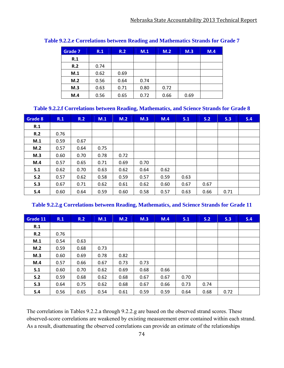| Grade 7 | R.1  | R.2  | M.1  | M.2  | M.3  | M.4 |
|---------|------|------|------|------|------|-----|
| R.1     |      |      |      |      |      |     |
| R.2     | 0.74 |      |      |      |      |     |
| M.1     | 0.62 | 0.69 |      |      |      |     |
| M.2     | 0.56 | 0.64 | 0.74 |      |      |     |
| M.3     | 0.63 | 0.71 | 0.80 | 0.72 |      |     |
| M.4     | 0.56 | 0.65 | 0.72 | 0.66 | 0.69 |     |

### **Table 9.2.2.e Correlations between Reading and Mathematics Strands for Grade 7**

#### **Table 9.2.2.f Correlations between Reading, Mathematics, and Science Strands for Grade 8**

| Grade 8 | R.1  | R.2  | M.1  | M.2  | M.3  | M.4  | S.1  | S.2  | S.3  | S.4 |
|---------|------|------|------|------|------|------|------|------|------|-----|
| R.1     |      |      |      |      |      |      |      |      |      |     |
| R.2     | 0.76 |      |      |      |      |      |      |      |      |     |
| M.1     | 0.59 | 0.67 |      |      |      |      |      |      |      |     |
| M.2     | 0.57 | 0.64 | 0.75 |      |      |      |      |      |      |     |
| M.3     | 0.60 | 0.70 | 0.78 | 0.72 |      |      |      |      |      |     |
| M.4     | 0.57 | 0.65 | 0.71 | 0.69 | 0.70 |      |      |      |      |     |
| S.1     | 0.62 | 0.70 | 0.63 | 0.62 | 0.64 | 0.62 |      |      |      |     |
| S.2     | 0.57 | 0.62 | 0.58 | 0.59 | 0.57 | 0.59 | 0.63 |      |      |     |
| S.3     | 0.67 | 0.71 | 0.62 | 0.61 | 0.62 | 0.60 | 0.67 | 0.67 |      |     |
| S.4     | 0.60 | 0.64 | 0.59 | 0.60 | 0.58 | 0.57 | 0.63 | 0.66 | 0.71 |     |

#### **Table 9.2.2.g Correlations between Reading, Mathematics, and Science Strands for Grade 11**

| Grade 11 | R.1  | R.2  | M.1  | M.2  | M.3  | M.4  | S.1  | S.2  | S.3  | S.4 |
|----------|------|------|------|------|------|------|------|------|------|-----|
| R.1      |      |      |      |      |      |      |      |      |      |     |
| R.2      | 0.76 |      |      |      |      |      |      |      |      |     |
| M.1      | 0.54 | 0.63 |      |      |      |      |      |      |      |     |
| M.2      | 0.59 | 0.68 | 0.73 |      |      |      |      |      |      |     |
| M.3      | 0.60 | 0.69 | 0.78 | 0.82 |      |      |      |      |      |     |
| M.4      | 0.57 | 0.66 | 0.67 | 0.73 | 0.73 |      |      |      |      |     |
| S.1      | 0.60 | 0.70 | 0.62 | 0.69 | 0.68 | 0.66 |      |      |      |     |
| S.2      | 0.59 | 0.68 | 0.62 | 0.68 | 0.67 | 0.67 | 0.70 |      |      |     |
| S.3      | 0.64 | 0.75 | 0.62 | 0.68 | 0.67 | 0.66 | 0.73 | 0.74 |      |     |
| S.4      | 0.56 | 0.65 | 0.54 | 0.61 | 0.59 | 0.59 | 0.64 | 0.68 | 0.72 |     |

The correlations in Tables 9.2.2.a through 9.2.2.g are based on the observed strand scores. These observed-score correlations are weakened by existing measurement error contained within each strand. As a result, disattenuating the observed correlations can provide an estimate of the relationships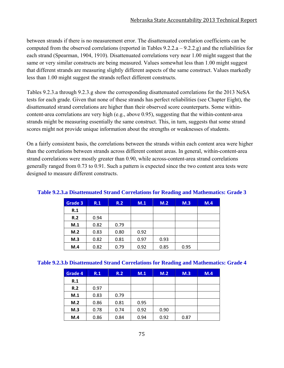between strands if there is no measurement error. The disattenuated correlation coefficients can be computed from the observed correlations (reported in Tables  $9.2.2.a - 9.2.2.g$ ) and the reliabilities for each strand (Spearman, 1904, 1910). Disattenuated correlations very near 1.00 might suggest that the same or very similar constructs are being measured. Values somewhat less than 1.00 might suggest that different strands are measuring slightly different aspects of the same construct. Values markedly less than 1.00 might suggest the strands reflect different constructs.

Tables 9.2.3.a through 9.2.3.g show the corresponding disattenuated correlations for the 2013 NeSA tests for each grade. Given that none of these strands has perfect reliabilities (see Chapter Eight), the disattenuated strand correlations are higher than their observed score counterparts. Some withincontent-area correlations are very high (e.g., above 0.95), suggesting that the within-content-area strands might be measuring essentially the same construct. This, in turn, suggests that some strand scores might not provide unique information about the strengths or weaknesses of students.

On a fairly consistent basis, the correlations between the strands within each content area were higher than the correlations between strands across different content areas. In general, within-content-area strand correlations were mostly greater than 0.90, while across-content-area strand correlations generally ranged from 0.73 to 0.91. Such a pattern is expected since the two content area tests were designed to measure different constructs.

| Grade 3 | R.1  | R.2  | M.1  | M.2  | M.3  | M.4 |
|---------|------|------|------|------|------|-----|
| R.1     |      |      |      |      |      |     |
| R.2     | 0.94 |      |      |      |      |     |
| M.1     | 0.82 | 0.79 |      |      |      |     |
| M.2     | 0.83 | 0.80 | 0.92 |      |      |     |
| M.3     | 0.82 | 0.81 | 0.97 | 0.93 |      |     |
| M.4     | 0.82 | 0.79 | 0.92 | 0.85 | 0.95 |     |

#### **Table 9.2.3.a Disattenuated Strand Correlations for Reading and Mathematics: Grade 3**

#### **Table 9.2.3.b Disattenuated Strand Correlations for Reading and Mathematics: Grade 4**

| Grade 4 | R.1  | R.2  | M.1  | M.2  | M.3  | M.4 |
|---------|------|------|------|------|------|-----|
| R.1     |      |      |      |      |      |     |
| R.2     | 0.97 |      |      |      |      |     |
| M.1     | 0.83 | 0.79 |      |      |      |     |
| M.2     | 0.86 | 0.81 | 0.95 |      |      |     |
| M.3     | 0.78 | 0.74 | 0.92 | 0.90 |      |     |
| M.4     | 0.86 | 0.84 | 0.94 | 0.92 | 0.87 |     |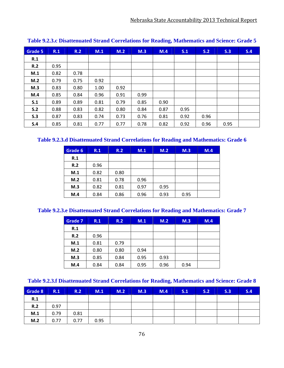| Grade 5 | R.1  | R.2  | M.1  | M.2  | M.3  | M.4  | S.1  | S.2  | S.3  | S.4 |
|---------|------|------|------|------|------|------|------|------|------|-----|
| R.1     |      |      |      |      |      |      |      |      |      |     |
| R.2     | 0.95 |      |      |      |      |      |      |      |      |     |
| M.1     | 0.82 | 0.78 |      |      |      |      |      |      |      |     |
| M.2     | 0.79 | 0.75 | 0.92 |      |      |      |      |      |      |     |
| M.3     | 0.83 | 0.80 | 1.00 | 0.92 |      |      |      |      |      |     |
| M.4     | 0.85 | 0.84 | 0.96 | 0.91 | 0.99 |      |      |      |      |     |
| S.1     | 0.89 | 0.89 | 0.81 | 0.79 | 0.85 | 0.90 |      |      |      |     |
| S.2     | 0.88 | 0.83 | 0.82 | 0.80 | 0.84 | 0.87 | 0.95 |      |      |     |
| S.3     | 0.87 | 0.83 | 0.74 | 0.73 | 0.76 | 0.81 | 0.92 | 0.96 |      |     |
| S.4     | 0.85 | 0.81 | 0.77 | 0.77 | 0.78 | 0.82 | 0.92 | 0.96 | 0.95 |     |

**Table 9.2.3.c Disattenuated Strand Correlations for Reading, Mathematics and Science: Grade 5**

## **Table 9.2.3.d Disattenuated Strand Correlations for Reading and Mathematics: Grade 6**

| Grade 6 | R.1  | R.2  | M.1  | M.2  | M.3  | M.4 |
|---------|------|------|------|------|------|-----|
| R.1     |      |      |      |      |      |     |
| R.2     | 0.96 |      |      |      |      |     |
| M.1     | 0.82 | 0.80 |      |      |      |     |
| M.2     | 0.81 | 0.78 | 0.96 |      |      |     |
| M.3     | 0.82 | 0.81 | 0.97 | 0.95 |      |     |
| M.4     | 0.84 | 0.86 | 0.96 | 0.93 | 0.95 |     |

### **Table 9.2.3.e Disattenuated Strand Correlations for Reading and Mathematics: Grade 7**

| Grade 7 | R.1  | R.2  | M.1  | M.2  | M.3  | M.4 |
|---------|------|------|------|------|------|-----|
| R.1     |      |      |      |      |      |     |
| R.2     | 0.96 |      |      |      |      |     |
| M.1     | 0.81 | 0.79 |      |      |      |     |
| M.2     | 0.80 | 0.80 | 0.94 |      |      |     |
| M.3     | 0.85 | 0.84 | 0.95 | 0.93 |      |     |
| M.4     | 0.84 | 0.84 | 0.95 | 0.96 | 0.94 |     |

| Grade 8 | R.1  | R.2  | M.1  | M.2 | M.3 | M.4 | S.1 | S.2 | S.3 | S.4 |
|---------|------|------|------|-----|-----|-----|-----|-----|-----|-----|
| R.1     |      |      |      |     |     |     |     |     |     |     |
| R.2     | 0.97 |      |      |     |     |     |     |     |     |     |
| M.1     | 0.79 | 0.81 |      |     |     |     |     |     |     |     |
| M.2     | 0.77 | 0.77 | 0.95 |     |     |     |     |     |     |     |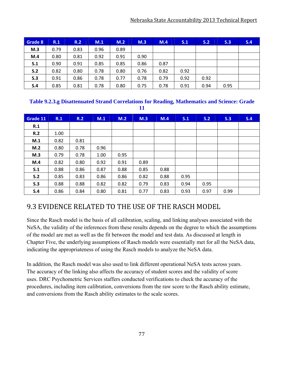| Grade 8 | R.1  | R.2  | M.1  | M.2  | M.3  | M.4  | S.1  | S <sub>2</sub> | S.3  | S.4 |
|---------|------|------|------|------|------|------|------|----------------|------|-----|
| M.3     | 0.79 | 0.83 | 0.96 | 0.89 |      |      |      |                |      |     |
| M.4     | 0.80 | 0.81 | 0.92 | 0.91 | 0.90 |      |      |                |      |     |
| S.1     | 0.90 | 0.91 | 0.85 | 0.85 | 0.86 | 0.87 |      |                |      |     |
| S.2     | 0.82 | 0.80 | 0.78 | 0.80 | 0.76 | 0.82 | 0.92 |                |      |     |
| S.3     | 0.91 | 0.86 | 0.78 | 0.77 | 0.78 | 0.79 | 0.92 | 0.92           |      |     |
| S.4     | 0.85 | 0.81 | 0.78 | 0.80 | 0.75 | 0.78 | 0.91 | 0.94           | 0.95 |     |

#### **Table 9.2.3.g Disattenuated Strand Correlations for Reading, Mathematics and Science: Grade 11**

| Grade 11 | R.1  | R.2  | M.1  | M.2  | M.3  | M.4  | S.1  | S.2  | S.3  | S.4 |
|----------|------|------|------|------|------|------|------|------|------|-----|
| R.1      |      |      |      |      |      |      |      |      |      |     |
| R.2      | 1.00 |      |      |      |      |      |      |      |      |     |
| M.1      | 0.82 | 0.81 |      |      |      |      |      |      |      |     |
| M.2      | 0.80 | 0.78 | 0.96 |      |      |      |      |      |      |     |
| M.3      | 0.79 | 0.78 | 1.00 | 0.95 |      |      |      |      |      |     |
| M.4      | 0.82 | 0.80 | 0.92 | 0.91 | 0.89 |      |      |      |      |     |
| S.1      | 0.88 | 0.86 | 0.87 | 0.88 | 0.85 | 0.88 |      |      |      |     |
| S.2      | 0.85 | 0.83 | 0.86 | 0.86 | 0.82 | 0.88 | 0.95 |      |      |     |
| S.3      | 0.88 | 0.88 | 0.82 | 0.82 | 0.79 | 0.83 | 0.94 | 0.95 |      |     |
| S.4      | 0.86 | 0.84 | 0.80 | 0.81 | 0.77 | 0.83 | 0.93 | 0.97 | 0.99 |     |

# 9.3 EVIDENCE RELATED TO THE USE OF THE RASCH MODEL

Since the Rasch model is the basis of all calibration, scaling, and linking analyses associated with the NeSA, the validity of the inferences from these results depends on the degree to which the assumptions of the model are met as well as the fit between the model and test data. As discussed at length in Chapter Five, the underlying assumptions of Rasch models were essentially met for all the NeSA data, indicating the appropriateness of using the Rasch models to analyze the NeSA data.

In addition, the Rasch model was also used to link different operational NeSA tests across years. The accuracy of the linking also affects the accuracy of student scores and the validity of score uses. DRC Psychometric Services staffers conducted verifications to check the accuracy of the procedures, including item calibration, conversions from the raw score to the Rasch ability estimate, and conversions from the Rasch ability estimates to the scale scores.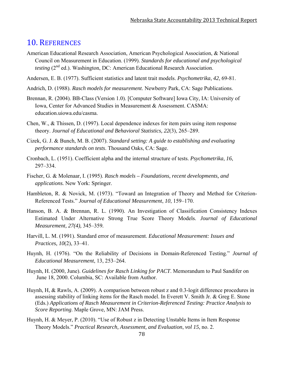# 10. REFERENCES

- American Educational Research Association, American Psychological Association, & National Council on Measurement in Education. (1999). *Standards for educational and psychological testing* (2<sup>nd</sup> ed.). Washington, DC: American Educational Research Association.
- Andersen, E. B. (1977). Sufficient statistics and latent trait models. *Psychometrika*, *42*, 69-81.
- Andrich, D. (1988). *Rasch models for measurement*. Newberry Park, CA: Sage Publications.
- Brennan, R. (2004). BB-Class (Version 1.0). [Computer Software] Iowa City, IA: University of Iowa, Center for Advanced Studies in Measurement & Assessment. CASMA: education.uiowa.edu/casma.
- Chen, W., & Thissen, D. (1997). Local dependence indexes for item pairs using item response theory. *Journal of Educational and Behavioral Statistics, 22*(3), 265–289.
- Cizek, G. J. & Bunch, M. B. (2007). *Standard setting: A guide to establishing and evaluating performance standards on tests*. Thousand Oaks, CA: Sage.
- Cronbach, L. (1951). Coefficient alpha and the internal structure of tests. *Psychometrika*, *16*, 297–334.
- Fischer, G. & Molenaar, I. (1995). *Rasch models Foundations, recent developments, and applications.* New York: Springer.
- Hambleton, R. & Novick, M. (1973). "Toward an Integration of Theory and Method for Criterion-Referenced Tests." *Journal of Educational Measurement*, *10*, 159–170.
- Hanson, B. A. & Brennan, R. L. (1990). An Investigation of Classification Consistency Indexes Estimated Under Alternative Strong True Score Theory Models. *Journal of Educational Measurement, 27(4),* 345–359*.*
- Harvill, L. M. (1991). Standard error of measurement. *Educational Measurement: Issues and Practices, 10*(2), 33–41.
- Huynh, H. (1976). "On the Reliability of Decisions in Domain-Referenced Testing." *Journal of Educational Measurement*, 13, 253–264.
- Huynh, H. (2000, June). *Guidelines for Rasch Linking for PACT*. Memorandum to Paul Sandifer on June 18, 2000. Columbia, SC: Available from Author.
- Huynh, H, & Rawls, A. (2009). A comparison between robust z and 0.3-logit difference procedures in assessing stability of linking items for the Rasch model. In Everett V. Smith Jr. & Greg E. Stone (Eds.) *Applications of Rasch Measurement in Criterion-Referenced Testing: Practice Analysis to Score Reporting*. Maple Grove, MN: JAM Press.
- Huynh, H. & Meyer, P. (2010). "Use of Robust z in Detecting Unstable Items in Item Response Theory Models." *Practical Research, Assessment, and Evaluation*, *vol 15*, no. 2.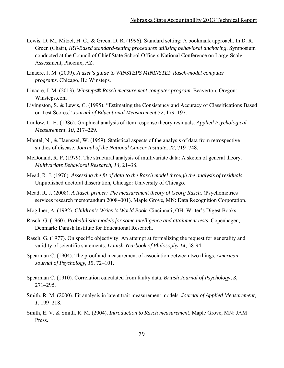- Lewis, D. M., Mitzel, H. C., & Green, D. R. (1996). Standard setting: A bookmark approach. In D. R. Green (Chair), *IRT-Based standard-setting procedures utilizing behavioral anchoring*. Symposium conducted at the Council of Chief State School Officers National Conference on Large-Scale Assessment, Phoenix, AZ.
- Linacre, J. M. (2009). *A user's guide to WINSTEPS MININSTEP Rasch-model computer programs*. Chicago, IL: Winsteps.
- Linacre, J. M. (2013). *Winsteps® Rasch measurement computer program*. Beaverton, Oregon: Winsteps.com
- Livingston, S. & Lewis, C. (1995). "Estimating the Consistency and Accuracy of Classifications Based on Test Scores." *Journal of Educational Measurement 32*, 179–197.
- Ludlow, L. H. (1986). Graphical analysis of item response theory residuals. *Applied Psychological Measurement*, *10*, 217–229.
- Mantel, N., & Haenszel, W. (1959). Statistical aspects of the analysis of data from retrospective studies of disease. *Journal of the National Cancer Institute*, *22*, 719–748.
- McDonald, R. P. (1979). The structural analysis of multivariate data: A sketch of general theory. *Multivariate Behavioral Research, 14,* 21–38.
- Mead, R. J. (1976). *Assessing the fit of data to the Rasch model through the analysis of residuals*. Unpublished doctoral dissertation, Chicago: University of Chicago.
- Mead, R. J. (2008). *A Rasch primer: The measurement theory of Georg Rasch*. (Psychometrics services research memorandum 2008–001). Maple Grove, MN: Data Recognition Corporation.
- Mogilner, A. (1992). *Children's Writer's World Book*. Cincinnati, OH: Writer's Digest Books.
- Rasch, G. (1960). *Probabilistic models for some intelligence and attainment tests*. Copenhagen, Denmark: Danish Institute for Educational Research.
- Rasch, G. (1977). On specific objectivity: An attempt at formalizing the request for generality and validity of scientific statements. *Danish Yearbook of Philosophy 14*, 58-94.
- Spearman C. (1904). The proof and measurement of association between two things. *American Journal of Psychology*, *15*, 72–101.
- Spearman C. (1910). Correlation calculated from faulty data. *British Journal of Psychology*, *3*, 271–295.
- Smith, R. M. (2000). Fit analysis in latent trait measurement models. *Journal of Applied Measurement*, *1*, 199–218.
- Smith, E. V. & Smith, R. M. (2004). *Introduction to Rasch measurement*. Maple Grove, MN: JAM Press.